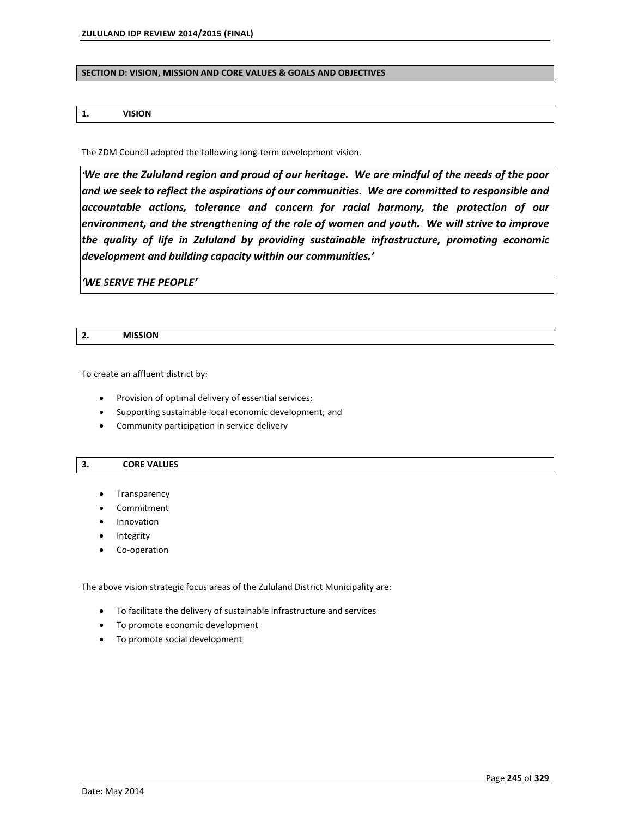### **SECTION D: VISION, MISSION AND CORE VALUES & GOALS AND OBJECTIVES**

### **1. VISION**

The ZDM Council adopted the following long-term development vision.

*ëWe are the Zululand region and proud of our heritage. We are mindful of the needs of the poor and we seek to reflect the aspirations of our communities. We are committed to responsible and accountable actions, tolerance and concern for racial harmony, the protection of our environment, and the strengthening of the role of women and youth. We will strive to improve the quality of life in Zululand by providing sustainable infrastructure, promoting economic development and building capacity within our communities.í*

*ëWE SERVE THE PEOPLEí*

| L. | <b>MISSION</b> |
|----|----------------|
|    |                |

To create an affluent district by:

- Provision of optimal delivery of essential services;
- Supporting sustainable local economic development; and
- Community participation in service delivery

### **3. CORE VALUES**

- Transparency
- Commitment
- Innovation
- Integrity
- Co-operation

The above vision strategic focus areas of the Zululand District Municipality are:

- To facilitate the delivery of sustainable infrastructure and services
- To promote economic development
- To promote social development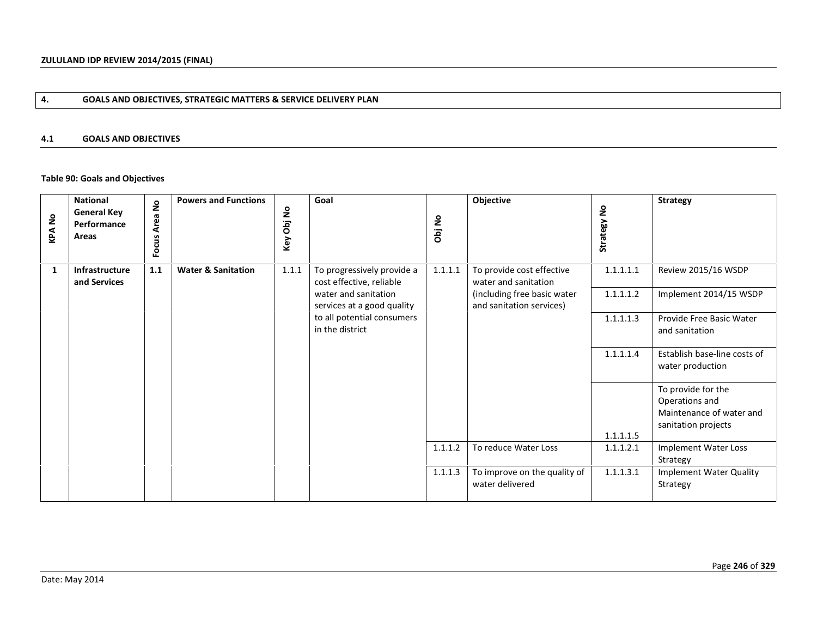# **4. GOALS AND OBJECTIVES, STRATEGIC MATTERS & SERVICE DELIVERY PLAN**

### **4.1 GOALS AND OBJECTIVES**

### **Table 90: Goals and Objectives**

| <b>KPANo</b> | <b>National</b><br><b>General Key</b><br>Performance<br>Areas | å<br>Area | <b>Powers and Functions</b>   | Obj No<br>Key | Goal                                                   | Obj No  | Objective                                               | å<br>Strategy I | <b>Strategy</b>                                  |
|--------------|---------------------------------------------------------------|-----------|-------------------------------|---------------|--------------------------------------------------------|---------|---------------------------------------------------------|-----------------|--------------------------------------------------|
|              |                                                               | Focus     |                               |               |                                                        |         |                                                         |                 |                                                  |
| 1            | Infrastructure<br>and Services                                | 1.1       | <b>Water &amp; Sanitation</b> | 1.1.1         | To progressively provide a<br>cost effective, reliable | 1.1.1.1 | To provide cost effective<br>water and sanitation       | 1.1.1.1.1       | Review 2015/16 WSDP                              |
|              |                                                               |           |                               |               | water and sanitation<br>services at a good quality     |         | (including free basic water<br>and sanitation services) | 1.1.1.1.2       | Implement 2014/15 WSDP                           |
|              |                                                               |           |                               |               | to all potential consumers<br>in the district          |         |                                                         | 1.1.1.1.3       | Provide Free Basic Water<br>and sanitation       |
|              |                                                               |           |                               |               |                                                        |         |                                                         | 1.1.1.1.4       | Establish base-line costs of<br>water production |
|              |                                                               |           |                               |               |                                                        |         |                                                         |                 | To provide for the<br>Operations and             |
|              |                                                               |           |                               |               |                                                        |         |                                                         |                 | Maintenance of water and<br>sanitation projects  |
|              |                                                               |           |                               |               |                                                        |         |                                                         | 1.1.1.1.5       |                                                  |
|              |                                                               |           |                               |               |                                                        | 1.1.1.2 | To reduce Water Loss                                    | 1.1.1.2.1       | Implement Water Loss<br>Strategy                 |
|              |                                                               |           |                               |               |                                                        | 1.1.1.3 | To improve on the quality of                            | 1.1.1.3.1       | <b>Implement Water Quality</b>                   |
|              |                                                               |           |                               |               |                                                        |         | water delivered                                         |                 | Strategy                                         |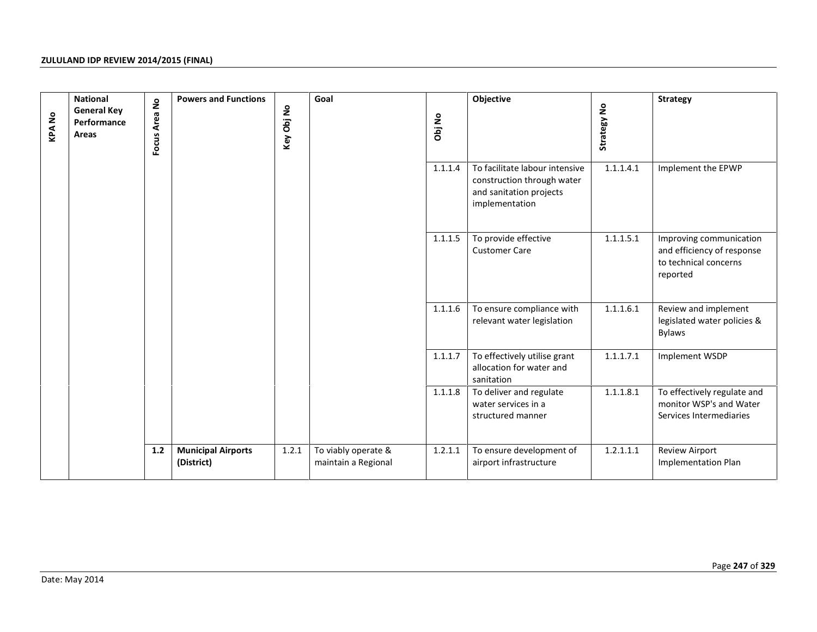| <b>KPANo</b> | <b>National</b><br><b>General Key</b><br>Performance<br>Areas | Focus Area No | <b>Powers and Functions</b>             | Key Obj No | Goal                                       | Obj No  | Objective                                                                                                 | Strategy No | <b>Strategy</b>                                                                            |
|--------------|---------------------------------------------------------------|---------------|-----------------------------------------|------------|--------------------------------------------|---------|-----------------------------------------------------------------------------------------------------------|-------------|--------------------------------------------------------------------------------------------|
|              |                                                               |               |                                         |            |                                            | 1.1.1.4 | To facilitate labour intensive<br>construction through water<br>and sanitation projects<br>implementation | 1.1.1.4.1   | Implement the EPWP                                                                         |
|              |                                                               |               |                                         |            |                                            | 1.1.1.5 | To provide effective<br><b>Customer Care</b>                                                              | 1.1.1.5.1   | Improving communication<br>and efficiency of response<br>to technical concerns<br>reported |
|              |                                                               |               |                                         |            |                                            | 1.1.1.6 | To ensure compliance with<br>relevant water legislation                                                   | 1.1.1.6.1   | Review and implement<br>legislated water policies &<br><b>Bylaws</b>                       |
|              |                                                               |               |                                         |            |                                            | 1.1.1.7 | To effectively utilise grant<br>allocation for water and<br>sanitation                                    | 1.1.1.7.1   | Implement WSDP                                                                             |
|              |                                                               |               |                                         |            |                                            | 1.1.1.8 | To deliver and regulate<br>water services in a<br>structured manner                                       | 1.1.1.8.1   | To effectively regulate and<br>monitor WSP's and Water<br>Services Intermediaries          |
|              |                                                               | $1.2$         | <b>Municipal Airports</b><br>(District) | 1.2.1      | To viably operate &<br>maintain a Regional | 1.2.1.1 | To ensure development of<br>airport infrastructure                                                        | 1.2.1.1.1   | Review Airport<br><b>Implementation Plan</b>                                               |
|              |                                                               |               |                                         |            |                                            |         |                                                                                                           |             |                                                                                            |
|              | Date: May 2014                                                |               |                                         |            |                                            |         |                                                                                                           |             | Page 247 of 329                                                                            |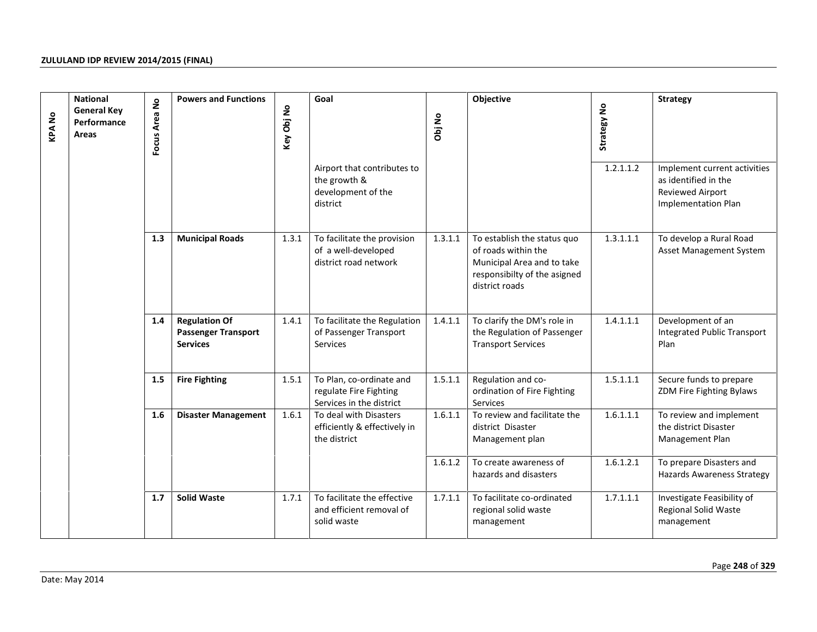| <b>KPANo</b> | <b>National</b><br><b>General Key</b><br>Performance<br>Areas | $\mathsf{S}$<br>Focus Area | <b>Powers and Functions</b>                                           | Key Obj No | Goal                                                                           | Obj No  | Objective                                                                                                                          | Strategy No | <b>Strategy</b>                                                                                        |
|--------------|---------------------------------------------------------------|----------------------------|-----------------------------------------------------------------------|------------|--------------------------------------------------------------------------------|---------|------------------------------------------------------------------------------------------------------------------------------------|-------------|--------------------------------------------------------------------------------------------------------|
|              |                                                               |                            |                                                                       |            | Airport that contributes to<br>the growth &<br>development of the<br>district  |         |                                                                                                                                    | 1.2.1.1.2   | Implement current activities<br>as identified in the<br><b>Reviewed Airport</b><br>Implementation Plan |
|              |                                                               | 1.3                        | <b>Municipal Roads</b>                                                | 1.3.1      | To facilitate the provision<br>of a well-developed<br>district road network    | 1.3.1.1 | To establish the status quo<br>of roads within the<br>Municipal Area and to take<br>responsibilty of the asigned<br>district roads | 1.3.1.1.1   | To develop a Rural Road<br><b>Asset Management System</b>                                              |
|              |                                                               | 1.4                        | <b>Regulation Of</b><br><b>Passenger Transport</b><br><b>Services</b> | 1.4.1      | To facilitate the Regulation<br>of Passenger Transport<br>Services             | 1.4.1.1 | To clarify the DM's role in<br>the Regulation of Passenger<br><b>Transport Services</b>                                            | 1.4.1.1.1   | Development of an<br><b>Integrated Public Transport</b><br>Plan                                        |
|              |                                                               | 1.5                        | <b>Fire Fighting</b>                                                  | 1.5.1      | To Plan, co-ordinate and<br>regulate Fire Fighting<br>Services in the district | 1.5.1.1 | Regulation and co-<br>ordination of Fire Fighting<br><b>Services</b>                                                               | 1.5.1.1.1   | Secure funds to prepare<br>ZDM Fire Fighting Bylaws                                                    |
|              |                                                               | 1.6                        | <b>Disaster Management</b>                                            | 1.6.1      | To deal with Disasters<br>efficiently & effectively in<br>the district         | 1.6.1.1 | To review and facilitate the<br>district Disaster<br>Management plan                                                               | 1.6.1.1.1   | To review and implement<br>the district Disaster<br>Management Plan                                    |
|              |                                                               |                            |                                                                       |            |                                                                                | 1.6.1.2 | To create awareness of<br>hazards and disasters                                                                                    | 1.6.1.2.1   | To prepare Disasters and<br><b>Hazards Awareness Strategy</b>                                          |
|              |                                                               | 1.7                        | <b>Solid Waste</b>                                                    | 1.7.1      | To facilitate the effective<br>and efficient removal of<br>solid waste         | 1.7.1.1 | To facilitate co-ordinated<br>regional solid waste<br>management                                                                   | 1.7.1.1.1   | Investigate Feasibility of<br>Regional Solid Waste<br>management                                       |
|              | Date: May 2014                                                |                            |                                                                       |            |                                                                                |         |                                                                                                                                    |             | Page 248 of 329                                                                                        |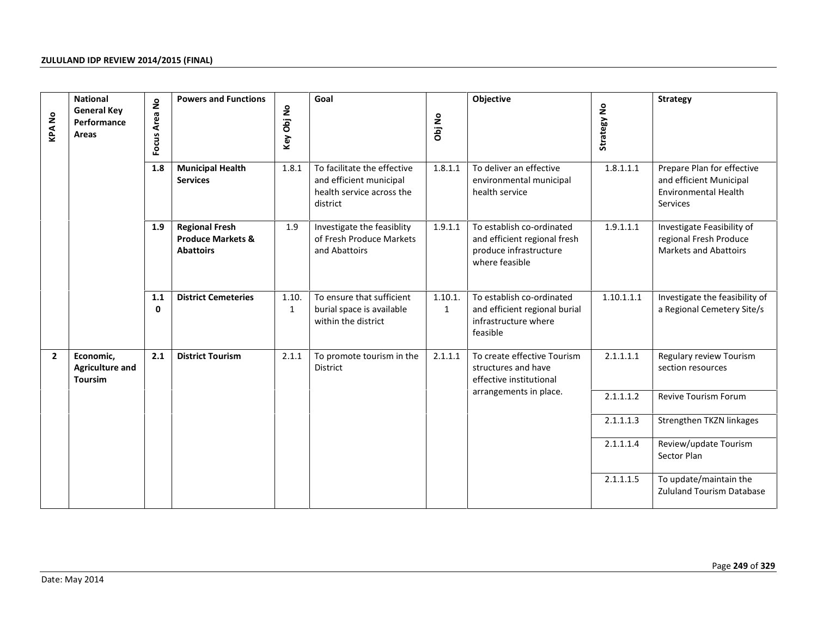| <b>KPANo</b>   | <b>National</b><br><b>General Key</b><br>Performance<br>Areas | Focus Area No<br>1.8 | <b>Powers and Functions</b>                                               | Key Obj No            | Goal                                                                                            | Obj No                  | Objective                                                                                             | Strategy No | <b>Strategy</b>                                                                                  |
|----------------|---------------------------------------------------------------|----------------------|---------------------------------------------------------------------------|-----------------------|-------------------------------------------------------------------------------------------------|-------------------------|-------------------------------------------------------------------------------------------------------|-------------|--------------------------------------------------------------------------------------------------|
|                |                                                               |                      | <b>Municipal Health</b><br><b>Services</b>                                | 1.8.1                 | To facilitate the effective<br>and efficient municipal<br>health service across the<br>district | 1.8.1.1                 | To deliver an effective<br>environmental municipal<br>health service                                  | 1.8.1.1.1   | Prepare Plan for effective<br>and efficient Municipal<br><b>Environmental Health</b><br>Services |
|                |                                                               | 1.9                  | <b>Regional Fresh</b><br><b>Produce Markets &amp;</b><br><b>Abattoirs</b> | 1.9                   | Investigate the feasiblity<br>of Fresh Produce Markets<br>and Abattoirs                         | 1.9.1.1                 | To establish co-ordinated<br>and efficient regional fresh<br>produce infrastructure<br>where feasible | 1.9.1.1.1   | Investigate Feasibility of<br>regional Fresh Produce<br><b>Markets and Abattoirs</b>             |
|                |                                                               | 1.1<br>$\mathbf 0$   | <b>District Cemeteries</b>                                                | 1.10.<br>$\mathbf{1}$ | To ensure that sufficient<br>burial space is available<br>within the district                   | 1.10.1.<br>$\mathbf{1}$ | To establish co-ordinated<br>and efficient regional burial<br>infrastructure where<br>feasible        | 1.10.1.1.1  | Investigate the feasibility of<br>a Regional Cemetery Site/s                                     |
| $\overline{2}$ | Economic,<br><b>Agriculture and</b><br><b>Toursim</b>         | 2.1                  | <b>District Tourism</b>                                                   | 2.1.1                 | To promote tourism in the<br>District                                                           | 2.1.1.1                 | To create effective Tourism<br>structures and have<br>effective institutional                         | 2.1.1.1.1   | Regulary review Tourism<br>section resources                                                     |
|                |                                                               |                      |                                                                           |                       |                                                                                                 |                         | arrangements in place.                                                                                | 2.1.1.1.2   | Revive Tourism Forum                                                                             |
|                |                                                               |                      |                                                                           |                       |                                                                                                 |                         |                                                                                                       | 2.1.1.1.3   | Strengthen TKZN linkages                                                                         |
|                |                                                               |                      |                                                                           |                       |                                                                                                 |                         |                                                                                                       | 2.1.1.1.4   | Review/update Tourism<br>Sector Plan                                                             |
|                |                                                               |                      |                                                                           |                       |                                                                                                 |                         |                                                                                                       | 2.1.1.1.5   | To update/maintain the<br><b>Zululand Tourism Database</b>                                       |
|                |                                                               |                      |                                                                           |                       |                                                                                                 |                         |                                                                                                       |             | Page 249 of 329                                                                                  |
|                | Date: May 2014                                                |                      |                                                                           |                       |                                                                                                 |                         |                                                                                                       |             |                                                                                                  |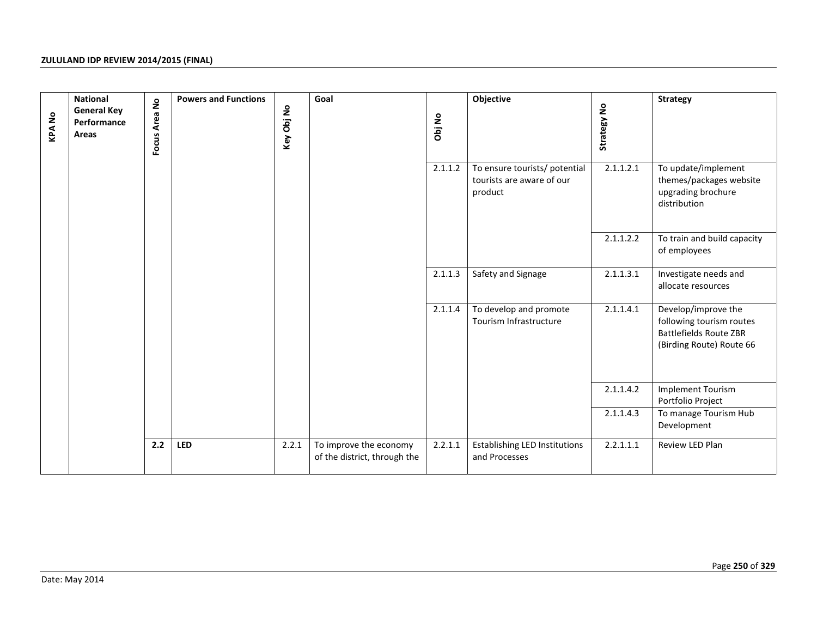| <b>KPANo</b> | <b>National</b><br><b>General Key</b><br>Performance<br>Areas | Focus Area No | <b>Powers and Functions</b><br>Key Obj No |       | Goal                                                   | Obj No  | Objective                                                             | Strategy No | <b>Strategy</b>                                                                                              |
|--------------|---------------------------------------------------------------|---------------|-------------------------------------------|-------|--------------------------------------------------------|---------|-----------------------------------------------------------------------|-------------|--------------------------------------------------------------------------------------------------------------|
|              |                                                               |               |                                           |       |                                                        | 2.1.1.2 | To ensure tourists/ potential<br>tourists are aware of our<br>product | 2.1.1.2.1   | To update/implement<br>themes/packages website<br>upgrading brochure<br>distribution                         |
|              |                                                               |               |                                           |       |                                                        |         |                                                                       | 2.1.1.2.2   | To train and build capacity<br>of employees                                                                  |
|              |                                                               |               |                                           |       |                                                        | 2.1.1.3 | Safety and Signage                                                    | 2.1.1.3.1   | Investigate needs and<br>allocate resources                                                                  |
|              |                                                               |               |                                           |       |                                                        | 2.1.1.4 | To develop and promote<br>Tourism Infrastructure                      | 2.1.1.4.1   | Develop/improve the<br>following tourism routes<br><b>Battlefields Route ZBR</b><br>(Birding Route) Route 66 |
|              |                                                               |               |                                           |       |                                                        |         |                                                                       | 2.1.1.4.2   | <b>Implement Tourism</b><br>Portfolio Project                                                                |
|              |                                                               |               |                                           |       |                                                        |         |                                                                       | 2.1.1.4.3   | To manage Tourism Hub<br>Development                                                                         |
|              |                                                               | 2.2           | <b>LED</b>                                | 2.2.1 | To improve the economy<br>of the district, through the | 2.2.1.1 | <b>Establishing LED Institutions</b><br>and Processes                 | 2.2.1.1.1   | Review LED Plan                                                                                              |
|              |                                                               |               |                                           |       |                                                        |         |                                                                       |             |                                                                                                              |
|              | Date: May 2014                                                |               |                                           |       |                                                        |         |                                                                       |             | Page 250 of 329                                                                                              |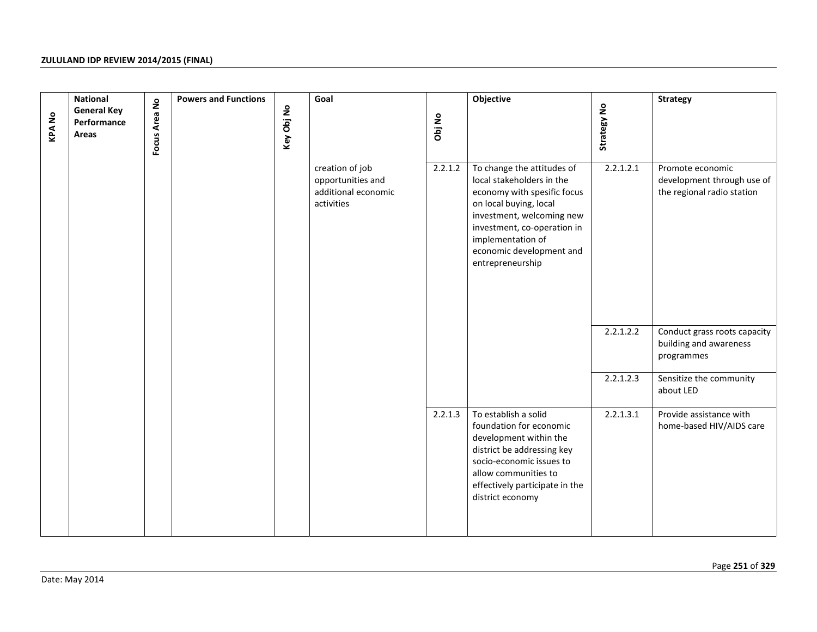| <b>KPANo</b> | <b>National</b><br><b>General Key</b><br>Performance<br>Areas | Focus Area No | <b>Powers and Functions</b> | Key Obj No | Goal                                                                      | Obj No  | Objective                                                                                                                                                                                                                                         | Strategy No | <b>Strategy</b>                                                              |
|--------------|---------------------------------------------------------------|---------------|-----------------------------|------------|---------------------------------------------------------------------------|---------|---------------------------------------------------------------------------------------------------------------------------------------------------------------------------------------------------------------------------------------------------|-------------|------------------------------------------------------------------------------|
|              |                                                               |               |                             |            | creation of job<br>opportunities and<br>additional economic<br>activities | 2.2.1.2 | To change the attitudes of<br>local stakeholders in the<br>economy with spesific focus<br>on local buying, local<br>investment, welcoming new<br>investment, co-operation in<br>implementation of<br>economic development and<br>entrepreneurship | 2.2.1.2.1   | Promote economic<br>development through use of<br>the regional radio station |
|              |                                                               |               |                             |            |                                                                           |         |                                                                                                                                                                                                                                                   | 2.2.1.2.2   | Conduct grass roots capacity<br>building and awareness<br>programmes         |
|              |                                                               |               |                             |            |                                                                           |         |                                                                                                                                                                                                                                                   | 2.2.1.2.3   | Sensitize the community<br>about LED                                         |
|              |                                                               |               |                             |            |                                                                           | 2.2.1.3 | To establish a solid<br>foundation for economic<br>development within the<br>district be addressing key<br>socio-economic issues to<br>allow communities to<br>effectively participate in the<br>district economy                                 | 2.2.1.3.1   | Provide assistance with<br>home-based HIV/AIDS care                          |
|              | Date: May 2014                                                |               |                             |            |                                                                           |         |                                                                                                                                                                                                                                                   |             | Page 251 of 329                                                              |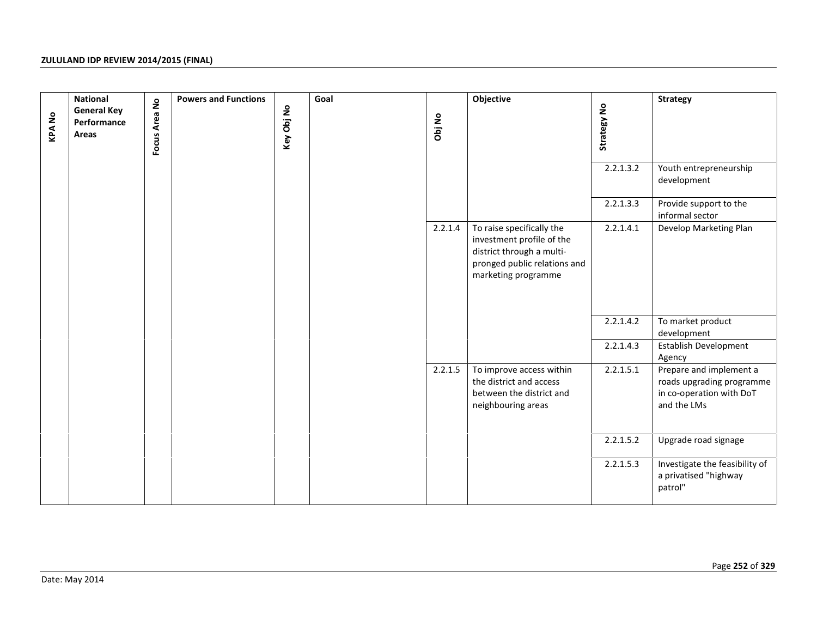| <b>KPANO</b> | <b>National</b><br><b>General Key</b><br>Performance<br>Areas | Focus Area No | <b>Powers and Functions</b> | Key Obj No | Goal | Obj No  | Objective                                                                                                                                  | Strategy No<br>2.2.1.3.2 | <b>Strategy</b><br>Youth entrepreneurship<br>development                                        |
|--------------|---------------------------------------------------------------|---------------|-----------------------------|------------|------|---------|--------------------------------------------------------------------------------------------------------------------------------------------|--------------------------|-------------------------------------------------------------------------------------------------|
|              |                                                               |               |                             |            |      |         |                                                                                                                                            | 2.2.1.3.3                | Provide support to the<br>informal sector                                                       |
|              |                                                               |               |                             |            |      | 2.2.1.4 | To raise specifically the<br>investment profile of the<br>district through a multi-<br>pronged public relations and<br>marketing programme | 2.2.1.4.1                | Develop Marketing Plan                                                                          |
|              |                                                               |               |                             |            |      |         |                                                                                                                                            | 2.2.1.4.2                | To market product<br>development                                                                |
|              |                                                               |               |                             |            |      |         |                                                                                                                                            | 2.2.1.4.3                | Establish Development<br>Agency                                                                 |
|              |                                                               |               |                             |            |      | 2.2.1.5 | To improve access within<br>the district and access<br>between the district and<br>neighbouring areas                                      | 2.2.1.5.1                | Prepare and implement a<br>roads upgrading programme<br>in co-operation with DoT<br>and the LMs |
|              |                                                               |               |                             |            |      |         |                                                                                                                                            | 2.2.1.5.2                | Upgrade road signage                                                                            |
|              |                                                               |               |                             |            |      |         |                                                                                                                                            | 2.2.1.5.3                | Investigate the feasibility of<br>a privatised "highway<br>patrol"                              |
|              | Date: May 2014                                                |               |                             |            |      |         |                                                                                                                                            |                          | Page 252 of 329                                                                                 |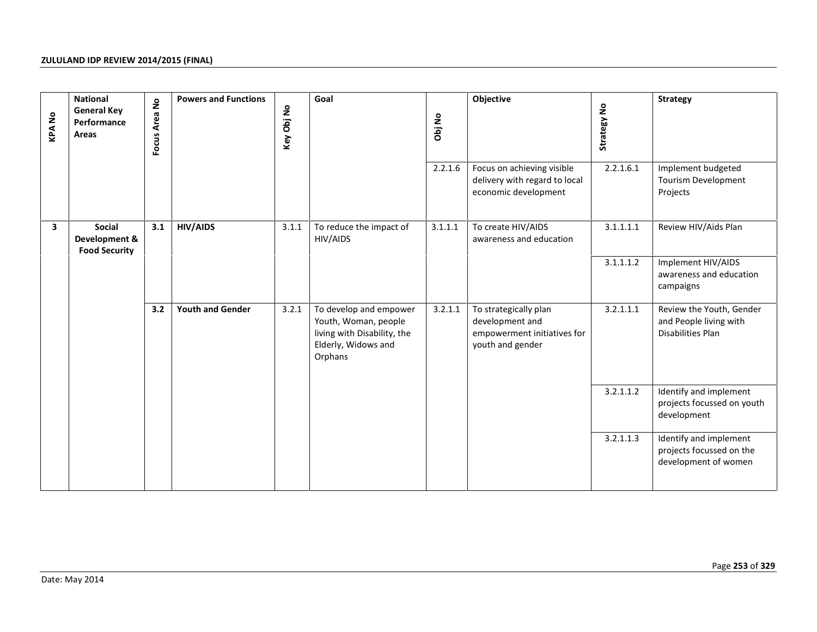| <b>KPANO</b>            | <b>National</b><br><b>General Key</b><br>Performance<br>Areas | Focus Area No | <b>Powers and Functions</b> | Key Obj No | Goal                                                                                                            | Obj No  | Objective                                                                                   | Strategy No | <b>Strategy</b>                                                            |
|-------------------------|---------------------------------------------------------------|---------------|-----------------------------|------------|-----------------------------------------------------------------------------------------------------------------|---------|---------------------------------------------------------------------------------------------|-------------|----------------------------------------------------------------------------|
|                         |                                                               |               |                             |            |                                                                                                                 | 2.2.1.6 | Focus on achieving visible<br>delivery with regard to local<br>economic development         | 2.2.1.6.1   | Implement budgeted<br>Tourism Development<br>Projects                      |
| $\overline{\mathbf{3}}$ | Social<br>Development &<br><b>Food Security</b>               | 3.1           | <b>HIV/AIDS</b>             | 3.1.1      | To reduce the impact of<br>HIV/AIDS                                                                             | 3.1.1.1 | To create HIV/AIDS<br>awareness and education                                               | 3.1.1.1.1   | Review HIV/Aids Plan                                                       |
|                         |                                                               |               |                             |            |                                                                                                                 |         |                                                                                             | 3.1.1.1.2   | Implement HIV/AIDS<br>awareness and education<br>campaigns                 |
|                         |                                                               | 3.2           | <b>Youth and Gender</b>     | 3.2.1      | To develop and empower<br>Youth, Woman, people<br>living with Disability, the<br>Elderly, Widows and<br>Orphans | 3.2.1.1 | To strategically plan<br>development and<br>empowerment initiatives for<br>youth and gender | 3.2.1.1.1   | Review the Youth, Gender<br>and People living with<br>Disabilities Plan    |
|                         |                                                               |               |                             |            |                                                                                                                 |         |                                                                                             | 3.2.1.1.2   | Identify and implement<br>projects focussed on youth<br>development        |
|                         |                                                               |               |                             |            |                                                                                                                 |         |                                                                                             | 3.2.1.1.3   | Identify and implement<br>projects focussed on the<br>development of women |
|                         |                                                               |               |                             |            |                                                                                                                 |         |                                                                                             |             |                                                                            |
|                         | Date: May 2014                                                |               |                             |            |                                                                                                                 |         |                                                                                             |             | Page 253 of 329                                                            |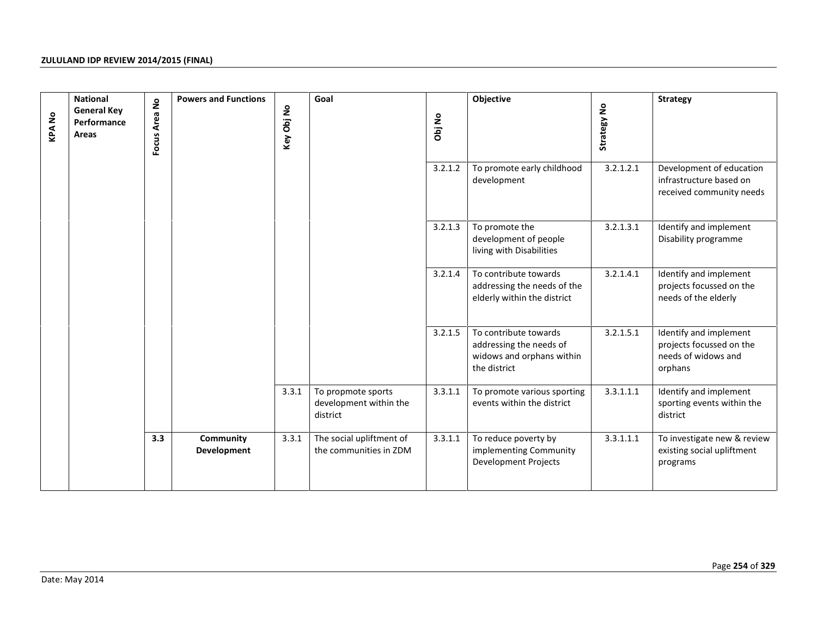| <b>KPANo</b> | <b>National</b><br><b>General Key</b><br>Performance<br>Areas | Focus Area No | <b>Powers and Functions</b> | Key Obj No | Goal                                                     | Obj No  | Objective                                                                                     | Strategy No | <b>Strategy</b>                                                                      |
|--------------|---------------------------------------------------------------|---------------|-----------------------------|------------|----------------------------------------------------------|---------|-----------------------------------------------------------------------------------------------|-------------|--------------------------------------------------------------------------------------|
|              |                                                               |               |                             |            |                                                          | 3.2.1.2 | To promote early childhood<br>development                                                     | 3.2.1.2.1   | Development of education<br>infrastructure based on<br>received community needs      |
|              |                                                               |               |                             |            |                                                          | 3.2.1.3 | To promote the<br>development of people<br>living with Disabilities                           | 3.2.1.3.1   | Identify and implement<br>Disability programme                                       |
|              |                                                               |               |                             |            |                                                          | 3.2.1.4 | To contribute towards<br>addressing the needs of the<br>elderly within the district           | 3.2.1.4.1   | Identify and implement<br>projects focussed on the<br>needs of the elderly           |
|              |                                                               |               |                             |            |                                                          | 3.2.1.5 | To contribute towards<br>addressing the needs of<br>widows and orphans within<br>the district | 3.2.1.5.1   | Identify and implement<br>projects focussed on the<br>needs of widows and<br>orphans |
|              |                                                               |               |                             | 3.3.1      | To propmote sports<br>development within the<br>district | 3.3.1.1 | To promote various sporting<br>events within the district                                     | 3.3.1.1.1   | Identify and implement<br>sporting events within the<br>district                     |
|              |                                                               | 3.3           | Community<br>Development    | 3.3.1      | The social upliftment of<br>the communities in ZDM       | 3.3.1.1 | To reduce poverty by<br>implementing Community<br>Development Projects                        | 3.3.1.1.1   | To investigate new & review<br>existing social upliftment<br>programs                |
|              |                                                               |               |                             |            |                                                          |         |                                                                                               |             |                                                                                      |
|              | Date: May 2014                                                |               |                             |            |                                                          |         |                                                                                               |             | Page 254 of 329                                                                      |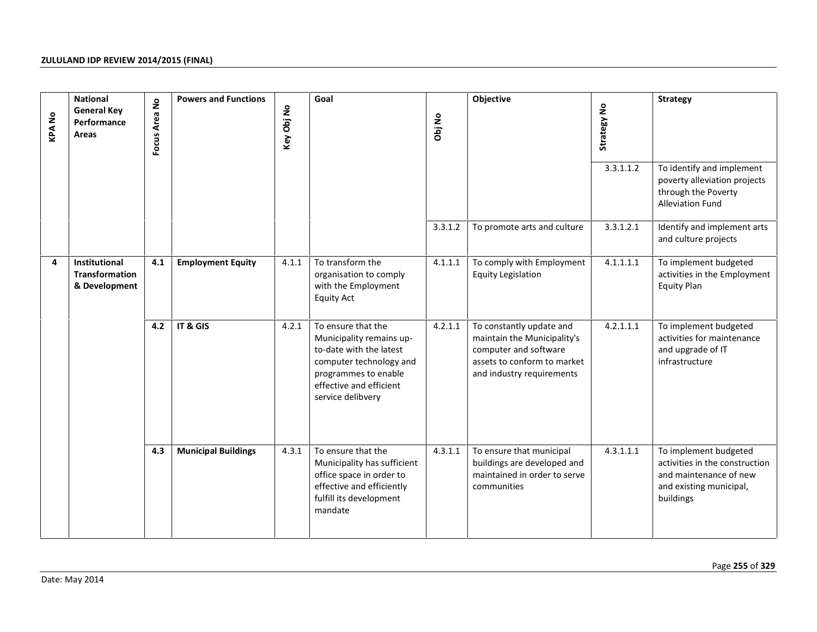| <b>KPANo</b> | <b>National</b><br><b>General Key</b><br>Performance<br>Areas  | $\mathsf{S}$<br>Focus Area | <b>Powers and Functions</b> | Key Obj No | Goal                                                                                                                                                                         | Obj No  | Objective                                                                                                                                    | Strategy No | <b>Strategy</b>                                                                                                           |
|--------------|----------------------------------------------------------------|----------------------------|-----------------------------|------------|------------------------------------------------------------------------------------------------------------------------------------------------------------------------------|---------|----------------------------------------------------------------------------------------------------------------------------------------------|-------------|---------------------------------------------------------------------------------------------------------------------------|
|              |                                                                |                            |                             |            |                                                                                                                                                                              |         |                                                                                                                                              | 3.3.1.1.2   | To identify and implement<br>poverty alleviation projects<br>through the Poverty<br><b>Alleviation Fund</b>               |
|              |                                                                |                            |                             |            |                                                                                                                                                                              | 3.3.1.2 | To promote arts and culture                                                                                                                  | 3.3.1.2.1   | Identify and implement arts<br>and culture projects                                                                       |
| 4            | <b>Institutional</b><br><b>Transformation</b><br>& Development | 4.1                        | <b>Employment Equity</b>    | 4.1.1      | To transform the<br>organisation to comply<br>with the Employment<br><b>Equity Act</b>                                                                                       | 4.1.1.1 | To comply with Employment<br><b>Equity Legislation</b>                                                                                       | 4.1.1.1.1   | To implement budgeted<br>activities in the Employment<br><b>Equity Plan</b>                                               |
|              |                                                                | 4.2                        | IT & GIS                    | 4.2.1      | To ensure that the<br>Municipality remains up-<br>to-date with the latest<br>computer technology and<br>programmes to enable<br>effective and efficient<br>service delibvery | 4.2.1.1 | To constantly update and<br>maintain the Municipality's<br>computer and software<br>assets to conform to market<br>and industry requirements | 4.2.1.1.1   | To implement budgeted<br>activities for maintenance<br>and upgrade of IT<br>infrastructure                                |
|              |                                                                | 4.3                        | <b>Municipal Buildings</b>  | 4.3.1      | To ensure that the<br>Municipality has sufficient<br>office space in order to<br>effective and efficiently<br>fulfill its development<br>mandate                             | 4.3.1.1 | To ensure that municipal<br>buildings are developed and<br>maintained in order to serve<br>communities                                       | 4.3.1.1.1   | To implement budgeted<br>activities in the construction<br>and maintenance of new<br>and existing municipal,<br>buildings |
|              | Date: May 2014                                                 |                            |                             |            |                                                                                                                                                                              |         |                                                                                                                                              |             | Page 255 of 329                                                                                                           |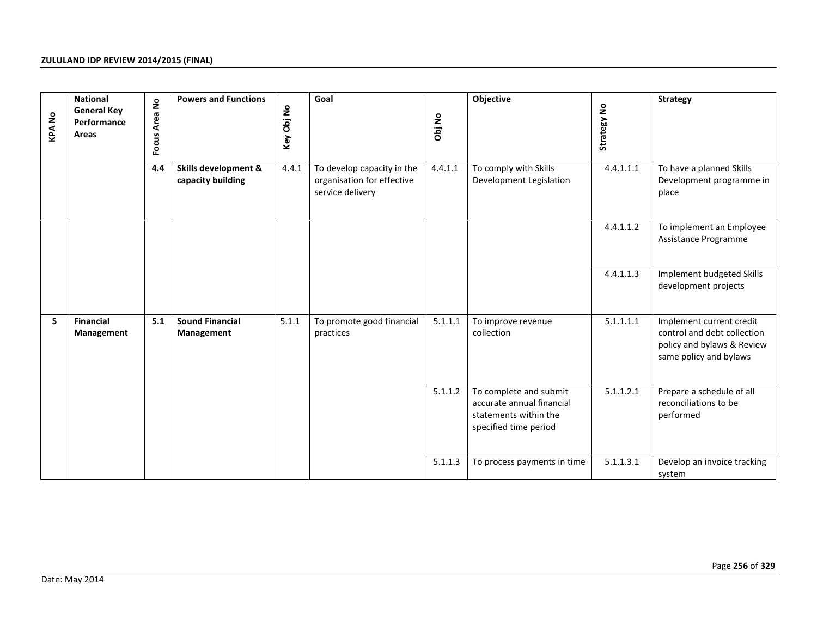|                |                                |     | <b>Powers and Functions</b><br>Focus Area No<br>4.4<br>Skills development &<br>capacity building | Key Obj No<br>4.4.1 |                                                                              | Obj No<br>4.4.1.1 | Objective<br>To comply with Skills<br>Development Legislation                                         | Strategy No |                                                                                                                 |
|----------------|--------------------------------|-----|--------------------------------------------------------------------------------------------------|---------------------|------------------------------------------------------------------------------|-------------------|-------------------------------------------------------------------------------------------------------|-------------|-----------------------------------------------------------------------------------------------------------------|
|                |                                |     |                                                                                                  |                     | To develop capacity in the<br>organisation for effective<br>service delivery |                   |                                                                                                       | 4.4.1.1.1   | To have a planned Skills<br>Development programme in<br>place                                                   |
|                |                                |     |                                                                                                  |                     |                                                                              |                   |                                                                                                       | 4.4.1.1.2   | To implement an Employee<br>Assistance Programme                                                                |
|                |                                |     |                                                                                                  |                     |                                                                              |                   |                                                                                                       | 4.4.1.1.3   | Implement budgeted Skills<br>development projects                                                               |
| 5              | <b>Financial</b><br>Management | 5.1 | <b>Sound Financial</b><br>Management                                                             | 5.1.1               | To promote good financial<br>practices                                       | 5.1.1.1           | To improve revenue<br>collection                                                                      | 5.1.1.1.1   | Implement current credit<br>control and debt collection<br>policy and bylaws & Review<br>same policy and bylaws |
|                |                                |     |                                                                                                  |                     |                                                                              | 5.1.1.2           | To complete and submit<br>accurate annual financial<br>statements within the<br>specified time period | 5.1.1.2.1   | Prepare a schedule of all<br>reconciliations to be<br>performed                                                 |
|                |                                |     |                                                                                                  |                     |                                                                              | 5.1.1.3           | To process payments in time                                                                           | 5.1.1.3.1   | Develop an invoice tracking<br>system                                                                           |
| Date: May 2014 |                                |     |                                                                                                  |                     |                                                                              |                   |                                                                                                       |             | Page 256 of 329                                                                                                 |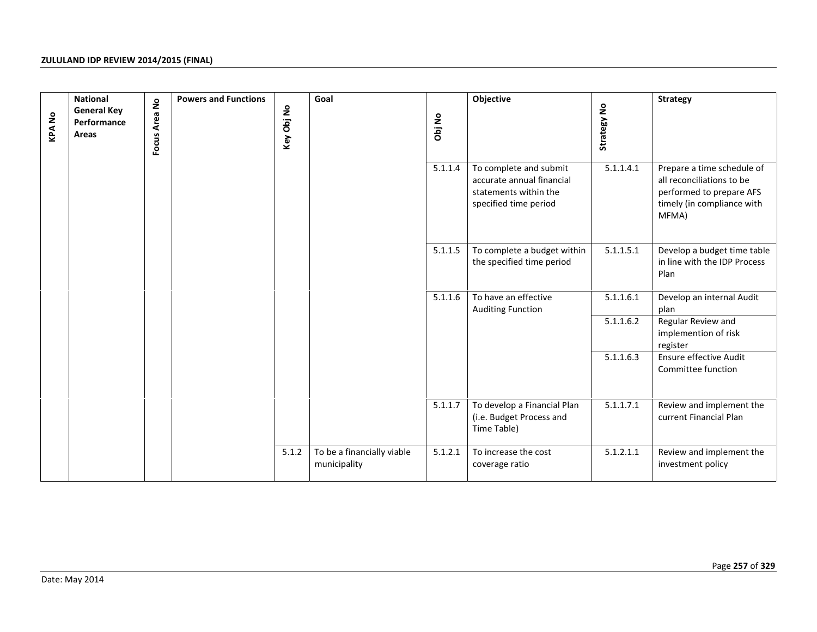| <b>KPANo</b> | <b>National</b><br><b>General Key</b><br>Performance<br>Areas | Focus Area No | <b>Powers and Functions</b> | Key Obj No | Goal                                       | Obj No  | Objective                                                                                             | Strategy No | <b>Strategy</b>                                                                                                            |
|--------------|---------------------------------------------------------------|---------------|-----------------------------|------------|--------------------------------------------|---------|-------------------------------------------------------------------------------------------------------|-------------|----------------------------------------------------------------------------------------------------------------------------|
|              |                                                               |               |                             |            |                                            | 5.1.1.4 | To complete and submit<br>accurate annual financial<br>statements within the<br>specified time period | 5.1.1.4.1   | Prepare a time schedule of<br>all reconciliations to be<br>performed to prepare AFS<br>timely (in compliance with<br>MFMA) |
|              |                                                               |               |                             |            |                                            | 5.1.1.5 | To complete a budget within<br>the specified time period                                              | 5.1.1.5.1   | Develop a budget time table<br>in line with the IDP Process<br>Plan                                                        |
|              |                                                               |               |                             |            |                                            | 5.1.1.6 | To have an effective<br><b>Auditing Function</b>                                                      | 5.1.1.6.1   | Develop an internal Audit<br>plan                                                                                          |
|              |                                                               |               |                             |            |                                            |         |                                                                                                       | 5.1.1.6.2   | Regular Review and<br>implemention of risk<br>register                                                                     |
|              |                                                               |               |                             |            |                                            |         |                                                                                                       | 5.1.1.6.3   | Ensure effective Audit<br>Committee function                                                                               |
|              |                                                               |               |                             |            |                                            | 5.1.1.7 | To develop a Financial Plan<br>(i.e. Budget Process and<br>Time Table)                                | 5.1.1.7.1   | Review and implement the<br>current Financial Plan                                                                         |
|              |                                                               |               |                             | 5.1.2      | To be a financially viable<br>municipality | 5.1.2.1 | To increase the cost<br>coverage ratio                                                                | 5.1.2.1.1   | Review and implement the<br>investment policy                                                                              |
|              |                                                               |               |                             |            |                                            |         |                                                                                                       |             |                                                                                                                            |
|              | Date: May 2014                                                |               |                             |            |                                            |         |                                                                                                       |             | Page 257 of 329                                                                                                            |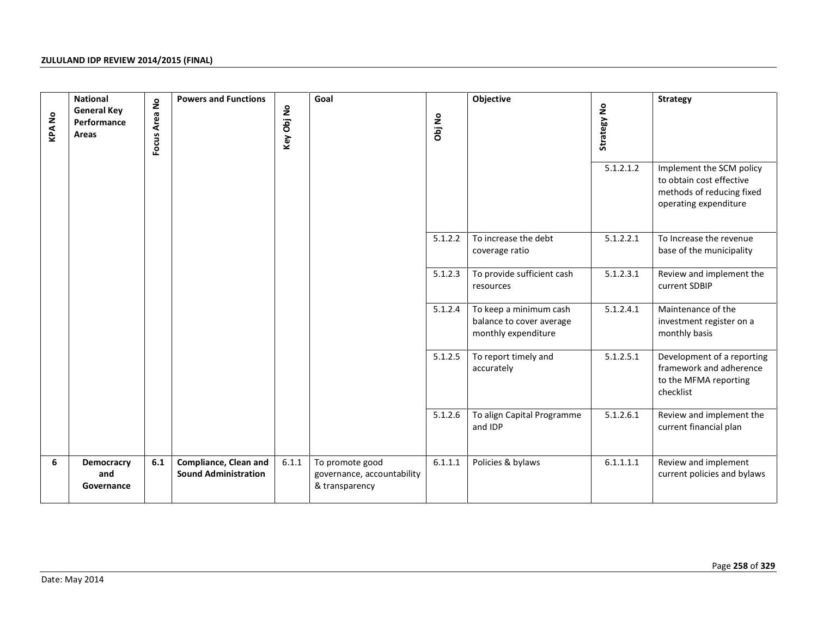| <b>KPANo</b> | <b>National</b><br><b>General Key</b><br>Performance<br>Areas | Focus Area No | <b>Powers and Functions</b>                                 | Key Obj No | Goal                                                            | Obj No  | Objective                                                                 | Strategy No<br>5.1.2.1.2 | <b>Strategy</b><br>Implement the SCM policy<br>to obtain cost effective                     |
|--------------|---------------------------------------------------------------|---------------|-------------------------------------------------------------|------------|-----------------------------------------------------------------|---------|---------------------------------------------------------------------------|--------------------------|---------------------------------------------------------------------------------------------|
|              |                                                               |               |                                                             |            |                                                                 |         |                                                                           |                          | methods of reducing fixed<br>operating expenditure                                          |
|              |                                                               |               |                                                             |            |                                                                 | 5.1.2.2 | To increase the debt<br>coverage ratio                                    | 5.1.2.2.1                | To Increase the revenue<br>base of the municipality                                         |
|              |                                                               |               |                                                             |            |                                                                 | 5.1.2.3 | To provide sufficient cash<br>resources                                   | 5.1.2.3.1                | Review and implement the<br>current SDBIP                                                   |
|              |                                                               |               |                                                             |            |                                                                 | 5.1.2.4 | To keep a minimum cash<br>balance to cover average<br>monthly expenditure | 5.1.2.4.1                | Maintenance of the<br>investment register on a<br>monthly basis                             |
|              |                                                               |               |                                                             |            |                                                                 | 5.1.2.5 | To report timely and<br>accurately                                        | 5.1.2.5.1                | Development of a reporting<br>framework and adherence<br>to the MFMA reporting<br>checklist |
|              |                                                               |               |                                                             |            |                                                                 | 5.1.2.6 | To align Capital Programme<br>and IDP                                     | 5.1.2.6.1                | Review and implement the<br>current financial plan                                          |
| 6            | <b>Democracry</b><br>and<br>Governance                        | 6.1           | <b>Compliance, Clean and</b><br><b>Sound Administration</b> | 6.1.1      | To promote good<br>governance, accountability<br>& transparency | 6.1.1.1 | Policies & bylaws                                                         | 6.1.1.1.1                | Review and implement<br>current policies and bylaws                                         |
|              |                                                               |               |                                                             |            |                                                                 |         |                                                                           |                          |                                                                                             |
|              | Date: May 2014                                                |               |                                                             |            |                                                                 |         |                                                                           |                          | Page 258 of 329                                                                             |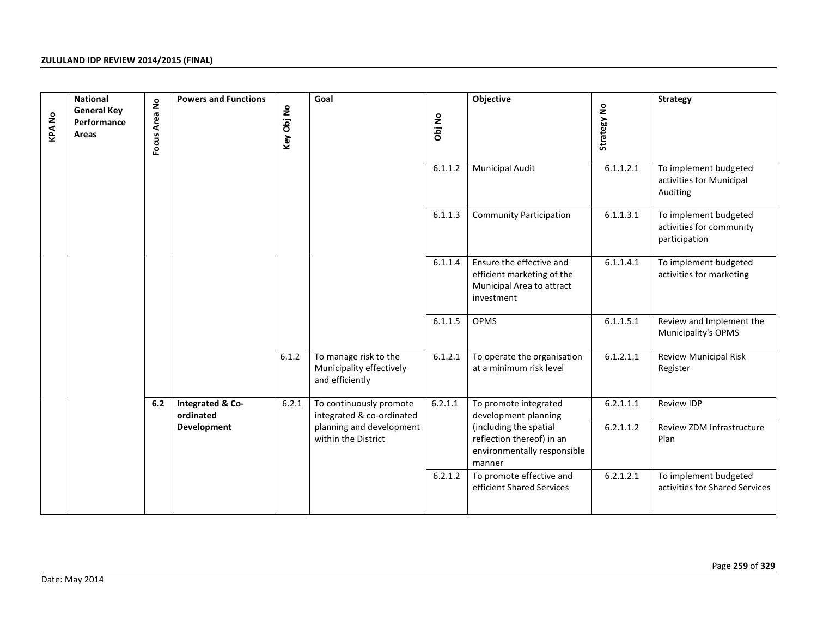| <b>KPANo</b> | <b>National</b><br><b>General Key</b><br>Performance<br>Areas | Focus Area No | <b>Powers and Functions</b>   | Key Obj No | Goal                                                                 | Obj No  | Objective                                                                                         | Strategy No | <b>Strategy</b>                                                    |
|--------------|---------------------------------------------------------------|---------------|-------------------------------|------------|----------------------------------------------------------------------|---------|---------------------------------------------------------------------------------------------------|-------------|--------------------------------------------------------------------|
|              |                                                               |               |                               |            |                                                                      | 6.1.1.2 | <b>Municipal Audit</b>                                                                            | 6.1.1.2.1   | To implement budgeted<br>activities for Municipal<br>Auditing      |
|              |                                                               |               |                               |            |                                                                      | 6.1.1.3 | <b>Community Participation</b>                                                                    | 6.1.1.3.1   | To implement budgeted<br>activities for community<br>participation |
|              |                                                               |               |                               |            |                                                                      | 6.1.1.4 | Ensure the effective and<br>efficient marketing of the<br>Municipal Area to attract<br>investment | 6.1.1.4.1   | To implement budgeted<br>activities for marketing                  |
|              |                                                               |               |                               |            |                                                                      | 6.1.1.5 | OPMS                                                                                              | 6.1.1.5.1   | Review and Implement the<br>Municipality's OPMS                    |
|              |                                                               |               |                               | 6.1.2      | To manage risk to the<br>Municipality effectively<br>and efficiently | 6.1.2.1 | To operate the organisation<br>at a minimum risk level                                            | 6.1.2.1.1   | <b>Review Municipal Risk</b><br>Register                           |
|              |                                                               | 6.2           | Integrated & Co-<br>ordinated | 6.2.1      | To continuously promote<br>integrated & co-ordinated                 | 6.2.1.1 | To promote integrated<br>development planning                                                     | 6.2.1.1.1   | <b>Review IDP</b>                                                  |
|              |                                                               |               | Development                   |            | planning and development<br>within the District                      |         | (including the spatial<br>reflection thereof) in an<br>environmentally responsible<br>manner      | 6.2.1.1.2   | Review ZDM Infrastructure<br>Plan                                  |
|              |                                                               |               |                               |            |                                                                      | 6.2.1.2 | To promote effective and<br>efficient Shared Services                                             | 6.2.1.2.1   | To implement budgeted<br>activities for Shared Services            |
|              | Date: May 2014                                                |               |                               |            |                                                                      |         |                                                                                                   |             | Page 259 of 329                                                    |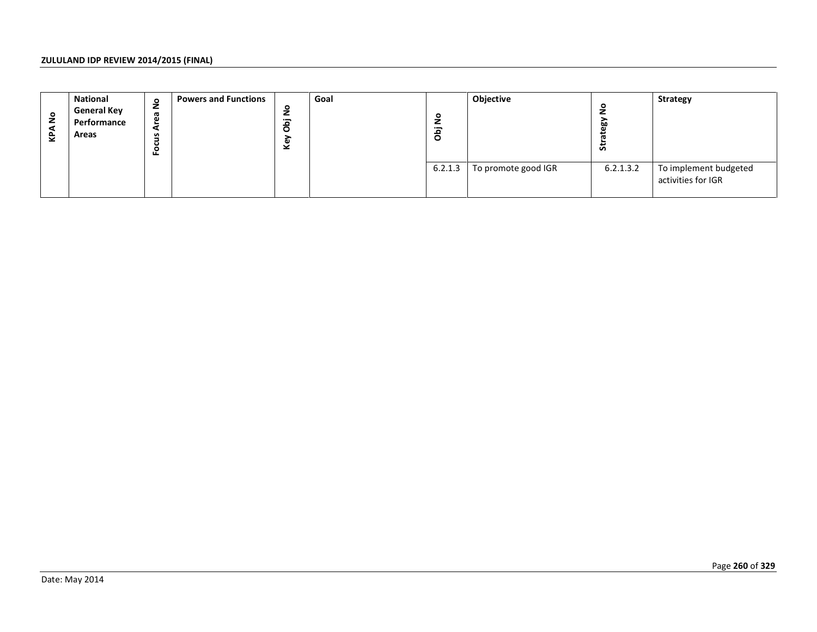| <b>KPANo</b> | <b>National</b><br><b>General Key</b><br>Performance<br>Areas | Focus Area No | <b>Powers and Functions</b> | Key Obj No | Goal | Obj No  | Objective           | Strategy No | Strategy                                    |
|--------------|---------------------------------------------------------------|---------------|-----------------------------|------------|------|---------|---------------------|-------------|---------------------------------------------|
|              |                                                               |               |                             |            |      | 6.2.1.3 | To promote good IGR | 6.2.1.3.2   | To implement budgeted<br>activities for IGR |
|              |                                                               |               |                             |            |      |         |                     |             |                                             |
|              |                                                               |               |                             |            |      |         |                     |             |                                             |
|              |                                                               |               |                             |            |      |         |                     |             |                                             |
|              |                                                               |               |                             |            |      |         |                     |             |                                             |
|              |                                                               |               |                             |            |      |         |                     |             |                                             |
|              |                                                               |               |                             |            |      |         |                     |             |                                             |
|              |                                                               |               |                             |            |      |         |                     |             |                                             |
|              |                                                               |               |                             |            |      |         |                     |             |                                             |
|              |                                                               |               |                             |            |      |         |                     |             |                                             |
|              |                                                               |               |                             |            |      |         |                     |             | Page 260 of 329                             |
|              | Date: May 2014                                                |               |                             |            |      |         |                     |             |                                             |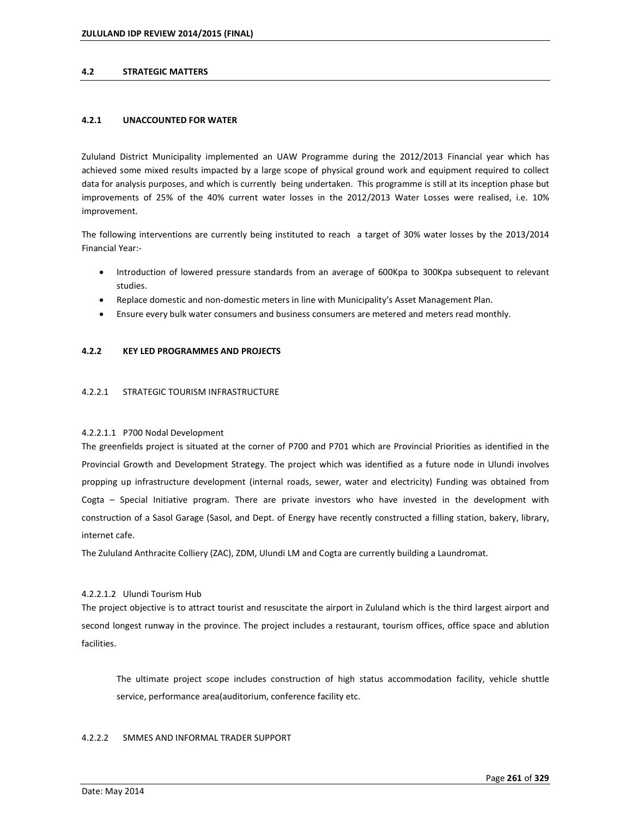### **4.2 STRATEGIC MATTERS**

### **4.2.1 UNACCOUNTED FOR WATER**

Zululand District Municipality implemented an UAW Programme during the 2012/2013 Financial year which has achieved some mixed results impacted by a large scope of physical ground work and equipment required to collect data for analysis purposes, and which is currently being undertaken. This programme is still at its inception phase but improvements of 25% of the 40% current water losses in the 2012/2013 Water Losses were realised, i.e. 10% improvement.

The following interventions are currently being instituted to reach a target of 30% water losses by the 2013/2014 Financial Year:-

- Introduction of lowered pressure standards from an average of 600Kpa to 300Kpa subsequent to relevant studies.
- Replace domestic and non-domestic meters in line with Municipalityís Asset Management Plan.
- Ensure every bulk water consumers and business consumers are metered and meters read monthly.

### **4.2.2 KEY LED PROGRAMMES AND PROJECTS**

### 4.2.2.1 STRATEGIC TOURISM INFRASTRUCTURE

### 4.2.2.1.1 P700 Nodal Development

The greenfields project is situated at the corner of P700 and P701 which are Provincial Priorities as identified in the Provincial Growth and Development Strategy. The project which was identified as a future node in Ulundi involves propping up infrastructure development (internal roads, sewer, water and electricity) Funding was obtained from Cogta - Special Initiative program. There are private investors who have invested in the development with construction of a Sasol Garage (Sasol, and Dept. of Energy have recently constructed a filling station, bakery, library, internet cafe.

The Zululand Anthracite Colliery (ZAC), ZDM, Ulundi LM and Cogta are currently building a Laundromat.

### 4.2.2.1.2 Ulundi Tourism Hub

The project objective is to attract tourist and resuscitate the airport in Zululand which is the third largest airport and second longest runway in the province. The project includes a restaurant, tourism offices, office space and ablution facilities.

The ultimate project scope includes construction of high status accommodation facility, vehicle shuttle service, performance area(auditorium, conference facility etc.

### 4.2.2.2 SMMES AND INFORMAL TRADER SUPPORT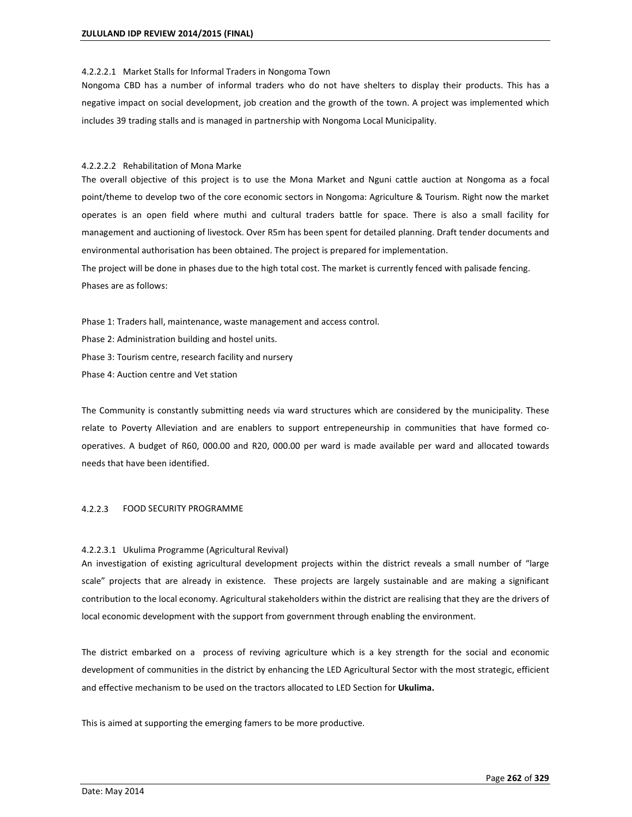#### 4.2.2.2.1 Market Stalls for Informal Traders in Nongoma Town

Nongoma CBD has a number of informal traders who do not have shelters to display their products. This has a negative impact on social development, job creation and the growth of the town. A project was implemented which includes 39 trading stalls and is managed in partnership with Nongoma Local Municipality.

### 4.2.2.2.2 Rehabilitation of Mona Marke

The overall objective of this project is to use the Mona Market and Nguni cattle auction at Nongoma as a focal point/theme to develop two of the core economic sectors in Nongoma: Agriculture & Tourism. Right now the market operates is an open field where muthi and cultural traders battle for space. There is also a small facility for management and auctioning of livestock. Over R5m has been spent for detailed planning. Draft tender documents and environmental authorisation has been obtained. The project is prepared for implementation.

The project will be done in phases due to the high total cost. The market is currently fenced with palisade fencing. Phases are as follows:

Phase 1: Traders hall, maintenance, waste management and access control.

Phase 2: Administration building and hostel units.

Phase 3: Tourism centre, research facility and nursery

Phase 4: Auction centre and Vet station

The Community is constantly submitting needs via ward structures which are considered by the municipality. These relate to Poverty Alleviation and are enablers to support entrepeneurship in communities that have formed cooperatives. A budget of R60, 000.00 and R20, 000.00 per ward is made available per ward and allocated towards needs that have been identified.

### 4.2.2.3 FOOD SECURITY PROGRAMME

### 4.2.2.3.1 Ukulima Programme (Agricultural Revival)

An investigation of existing agricultural development projects within the district reveals a small number of "large scale" projects that are already in existence. These projects are largely sustainable and are making a significant contribution to the local economy. Agricultural stakeholders within the district are realising that they are the drivers of local economic development with the support from government through enabling the environment.

The district embarked on a process of reviving agriculture which is a key strength for the social and economic development of communities in the district by enhancing the LED Agricultural Sector with the most strategic, efficient and effective mechanism to be used on the tractors allocated to LED Section for **Ukulima.** 

This is aimed at supporting the emerging famers to be more productive.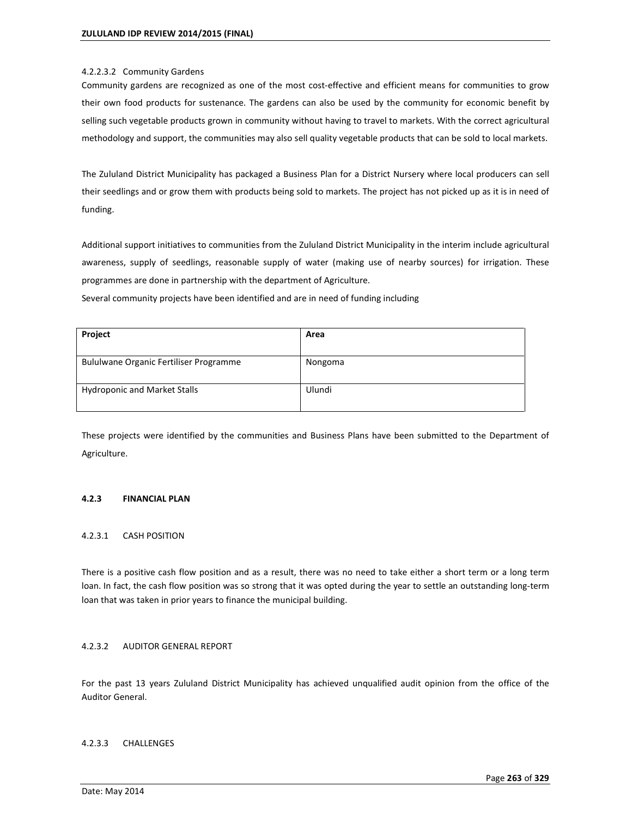### 4.2.2.3.2 Community Gardens

Community gardens are recognized as one of the most cost-effective and efficient means for communities to grow their own food products for sustenance. The gardens can also be used by the community for economic benefit by selling such vegetable products grown in community without having to travel to markets. With the correct agricultural methodology and support, the communities may also sell quality vegetable products that can be sold to local markets.

The Zululand District Municipality has packaged a Business Plan for a District Nursery where local producers can sell their seedlings and or grow them with products being sold to markets. The project has not picked up as it is in need of funding.

Additional support initiatives to communities from the Zululand District Municipality in the interim include agricultural awareness, supply of seedlings, reasonable supply of water (making use of nearby sources) for irrigation. These programmes are done in partnership with the department of Agriculture.

Several community projects have been identified and are in need of funding including

| Project                                | Area    |
|----------------------------------------|---------|
| Bululwane Organic Fertiliser Programme | Nongoma |
| <b>Hydroponic and Market Stalls</b>    | Ulundi  |

These projects were identified by the communities and Business Plans have been submitted to the Department of Agriculture.

### **4.2.3 FINANCIAL PLAN**

### 4.2.3.1 CASH POSITION

There is a positive cash flow position and as a result, there was no need to take either a short term or a long term loan. In fact, the cash flow position was so strong that it was opted during the year to settle an outstanding long-term loan that was taken in prior years to finance the municipal building.

### 4.2.3.2 AUDITOR GENERAL REPORT

For the past 13 years Zululand District Municipality has achieved unqualified audit opinion from the office of the Auditor General.

### 4.2.3.3 CHALLENGES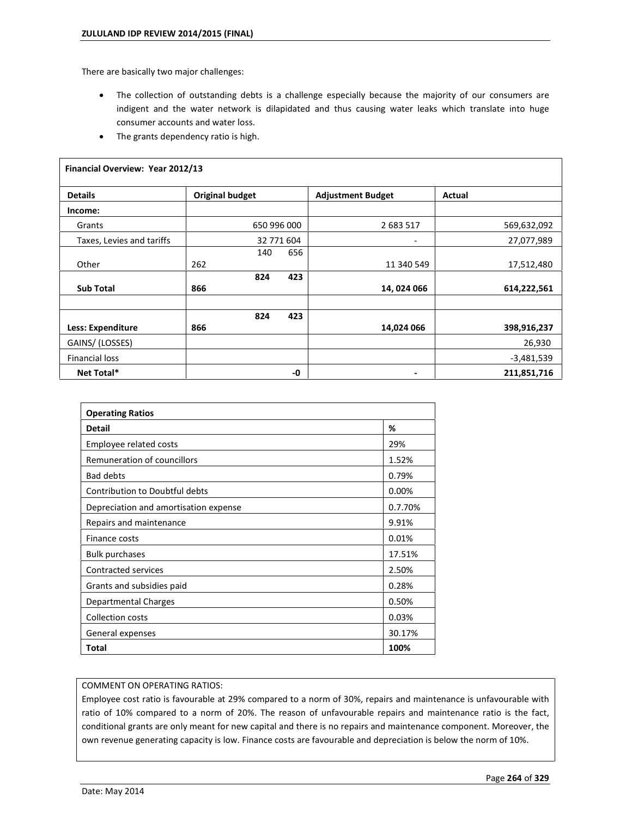There are basically two major challenges:

- The collection of outstanding debts is a challenge especially because the majority of our consumers are indigent and the water network is dilapidated and thus causing water leaks which translate into huge consumer accounts and water loss.
- The grants dependency ratio is high.

| Financial Overview: Year 2012/13 |                        |             |                          |              |
|----------------------------------|------------------------|-------------|--------------------------|--------------|
| <b>Details</b>                   | <b>Original budget</b> |             | <b>Adjustment Budget</b> | Actual       |
| Income:                          |                        |             |                          |              |
| Grants                           |                        | 650 996 000 | 2 683 517                | 569,632,092  |
| Taxes, Levies and tariffs        |                        | 32 771 604  | Ξ.                       | 27,077,989   |
|                                  | 140                    | 656         |                          |              |
| Other                            | 262                    |             | 11 340 549               | 17,512,480   |
|                                  | 824                    | 423         |                          |              |
| <b>Sub Total</b>                 | 866                    |             | 14,024 066               | 614,222,561  |
|                                  | 824                    | 423         |                          |              |
| <b>Less: Expenditure</b>         | 866                    |             | 14,024 066               | 398,916,237  |
| GAINS/(LOSSES)                   |                        |             |                          | 26,930       |
| <b>Financial loss</b>            |                        |             |                          | $-3,481,539$ |
| Net Total*                       |                        | -0          | ٠                        | 211,851,716  |

| <b>Operating Ratios</b>               |         |
|---------------------------------------|---------|
| <b>Detail</b>                         | %       |
| Employee related costs                | 29%     |
| Remuneration of councillors           | 1.52%   |
| <b>Bad debts</b>                      | 0.79%   |
| Contribution to Doubtful debts        | 0.00%   |
| Depreciation and amortisation expense | 0.7.70% |
| Repairs and maintenance               | 9.91%   |
| Finance costs                         | 0.01%   |
| <b>Bulk purchases</b>                 | 17.51%  |
| Contracted services                   | 2.50%   |
| Grants and subsidies paid             | 0.28%   |
| Departmental Charges                  | 0.50%   |
| <b>Collection costs</b>               | 0.03%   |
| General expenses                      | 30.17%  |
| Total                                 | 100%    |

### COMMENT ON OPERATING RATIOS:

Employee cost ratio is favourable at 29% compared to a norm of 30%, repairs and maintenance is unfavourable with ratio of 10% compared to a norm of 20%. The reason of unfavourable repairs and maintenance ratio is the fact, conditional grants are only meant for new capital and there is no repairs and maintenance component. Moreover, the own revenue generating capacity is low. Finance costs are favourable and depreciation is below the norm of 10%.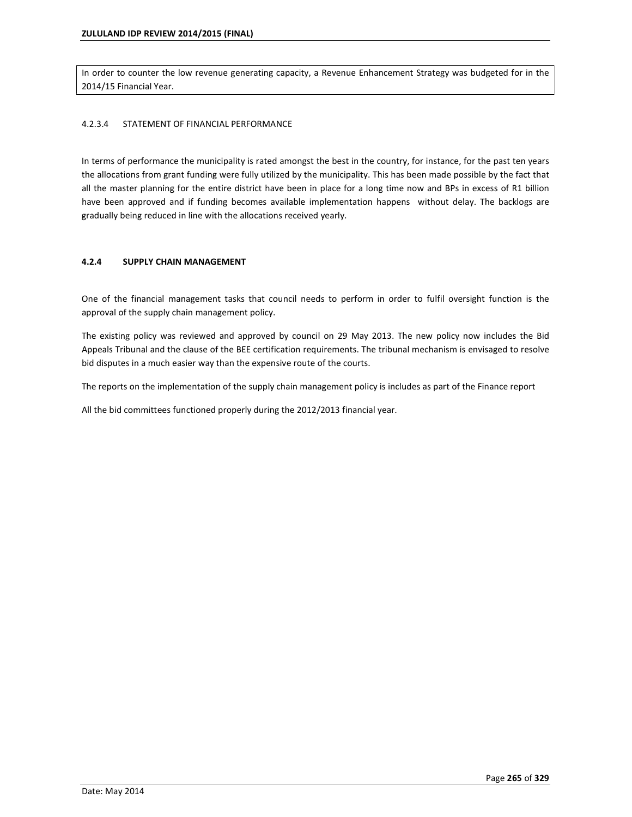In order to counter the low revenue generating capacity, a Revenue Enhancement Strategy was budgeted for in the 2014/15 Financial Year.

### 4.2.3.4 STATEMENT OF FINANCIAL PERFORMANCE

In terms of performance the municipality is rated amongst the best in the country, for instance, for the past ten years the allocations from grant funding were fully utilized by the municipality. This has been made possible by the fact that all the master planning for the entire district have been in place for a long time now and BPs in excess of R1 billion have been approved and if funding becomes available implementation happens without delay. The backlogs are gradually being reduced in line with the allocations received yearly.

### **4.2.4 SUPPLY CHAIN MANAGEMENT**

One of the financial management tasks that council needs to perform in order to fulfil oversight function is the approval of the supply chain management policy.

The existing policy was reviewed and approved by council on 29 May 2013. The new policy now includes the Bid Appeals Tribunal and the clause of the BEE certification requirements. The tribunal mechanism is envisaged to resolve bid disputes in a much easier way than the expensive route of the courts.

The reports on the implementation of the supply chain management policy is includes as part of the Finance report

All the bid committees functioned properly during the 2012/2013 financial year.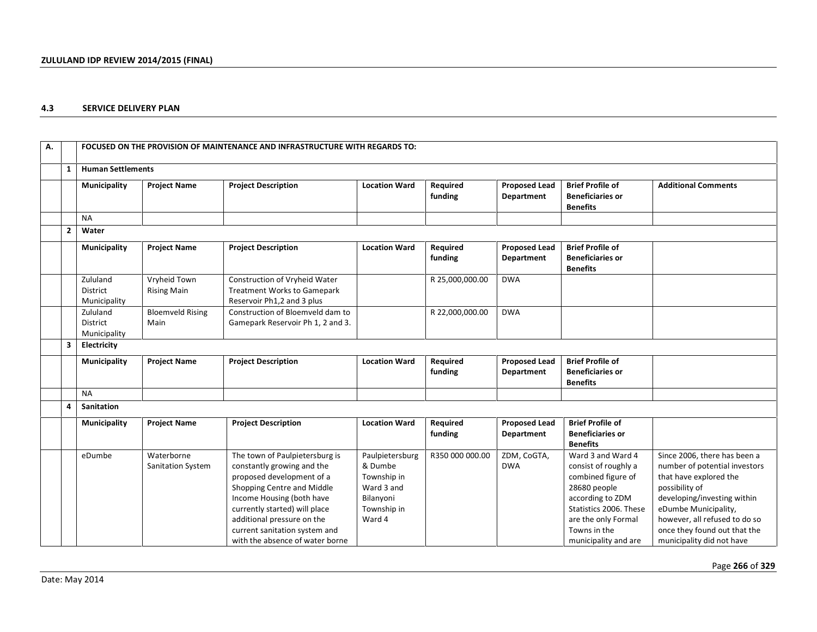### **4.3 SERVICE DELIVERY PLAN**

| А. |                |                                             |                                        | FOCUSED ON THE PROVISION OF MAINTENANCE AND INFRASTRUCTURE WITH REGARDS TO:                                                                                                                                                                                                             |                                                                                               |                     |                                           |                                                                                                                                                                                              |                                                                                                                                                                                                                                                                |
|----|----------------|---------------------------------------------|----------------------------------------|-----------------------------------------------------------------------------------------------------------------------------------------------------------------------------------------------------------------------------------------------------------------------------------------|-----------------------------------------------------------------------------------------------|---------------------|-------------------------------------------|----------------------------------------------------------------------------------------------------------------------------------------------------------------------------------------------|----------------------------------------------------------------------------------------------------------------------------------------------------------------------------------------------------------------------------------------------------------------|
|    | 1              | <b>Human Settlements</b>                    |                                        |                                                                                                                                                                                                                                                                                         |                                                                                               |                     |                                           |                                                                                                                                                                                              |                                                                                                                                                                                                                                                                |
|    |                | Municipality                                | <b>Project Name</b>                    | <b>Project Description</b>                                                                                                                                                                                                                                                              | <b>Location Ward</b>                                                                          | Required<br>funding | <b>Proposed Lead</b><br>Department        | <b>Brief Profile of</b><br><b>Beneficiaries or</b><br><b>Benefits</b>                                                                                                                        | <b>Additional Comments</b>                                                                                                                                                                                                                                     |
|    |                | <b>NA</b>                                   |                                        |                                                                                                                                                                                                                                                                                         |                                                                                               |                     |                                           |                                                                                                                                                                                              |                                                                                                                                                                                                                                                                |
|    | $\overline{2}$ | Water                                       |                                        |                                                                                                                                                                                                                                                                                         |                                                                                               |                     |                                           |                                                                                                                                                                                              |                                                                                                                                                                                                                                                                |
|    |                | Municipality                                | <b>Project Name</b>                    | <b>Project Description</b>                                                                                                                                                                                                                                                              | <b>Location Ward</b>                                                                          | Required<br>funding | <b>Proposed Lead</b><br>Department        | <b>Brief Profile of</b><br><b>Beneficiaries or</b><br><b>Benefits</b>                                                                                                                        |                                                                                                                                                                                                                                                                |
|    |                | Zululand<br><b>District</b><br>Municipality | Vryheid Town<br><b>Rising Main</b>     | Construction of Vryheid Water<br><b>Treatment Works to Gamepark</b><br>Reservoir Ph1,2 and 3 plus                                                                                                                                                                                       |                                                                                               | R 25,000,000.00     | <b>DWA</b>                                |                                                                                                                                                                                              |                                                                                                                                                                                                                                                                |
|    |                | Zululand<br><b>District</b><br>Municipality | <b>Bloemveld Rising</b><br>Main        | Construction of Bloemveld dam to<br>Gamepark Reservoir Ph 1, 2 and 3.                                                                                                                                                                                                                   |                                                                                               | R 22,000,000.00     | <b>DWA</b>                                |                                                                                                                                                                                              |                                                                                                                                                                                                                                                                |
|    | 3              | Electricity                                 |                                        |                                                                                                                                                                                                                                                                                         |                                                                                               |                     |                                           |                                                                                                                                                                                              |                                                                                                                                                                                                                                                                |
|    |                | Municipality                                | <b>Project Name</b>                    | <b>Project Description</b>                                                                                                                                                                                                                                                              | <b>Location Ward</b>                                                                          | Required<br>funding | <b>Proposed Lead</b><br>Department        | <b>Brief Profile of</b><br><b>Beneficiaries or</b><br><b>Benefits</b>                                                                                                                        |                                                                                                                                                                                                                                                                |
|    |                | <b>NA</b>                                   |                                        |                                                                                                                                                                                                                                                                                         |                                                                                               |                     |                                           |                                                                                                                                                                                              |                                                                                                                                                                                                                                                                |
|    | 4              | Sanitation                                  |                                        |                                                                                                                                                                                                                                                                                         |                                                                                               |                     |                                           |                                                                                                                                                                                              |                                                                                                                                                                                                                                                                |
|    |                | Municipality                                | <b>Project Name</b>                    | <b>Project Description</b>                                                                                                                                                                                                                                                              | <b>Location Ward</b>                                                                          | Required<br>funding | <b>Proposed Lead</b><br><b>Department</b> | <b>Brief Profile of</b><br><b>Beneficiaries or</b><br><b>Benefits</b>                                                                                                                        |                                                                                                                                                                                                                                                                |
|    |                | eDumbe                                      | Waterborne<br><b>Sanitation System</b> | The town of Paulpietersburg is<br>constantly growing and the<br>proposed development of a<br>Shopping Centre and Middle<br>Income Housing (both have<br>currently started) will place<br>additional pressure on the<br>current sanitation system and<br>with the absence of water borne | Paulpietersburg<br>& Dumbe<br>Township in<br>Ward 3 and<br>Bilanyoni<br>Township in<br>Ward 4 | R350 000 000.00     | ZDM, CoGTA,<br><b>DWA</b>                 | Ward 3 and Ward 4<br>consist of roughly a<br>combined figure of<br>28680 people<br>according to ZDM<br>Statistics 2006. These<br>are the only Formal<br>Towns in the<br>municipality and are | Since 2006, there has been a<br>number of potential investors<br>that have explored the<br>possibility of<br>developing/investing within<br>eDumbe Municipality,<br>however, all refused to do so<br>once they found out that the<br>municipality did not have |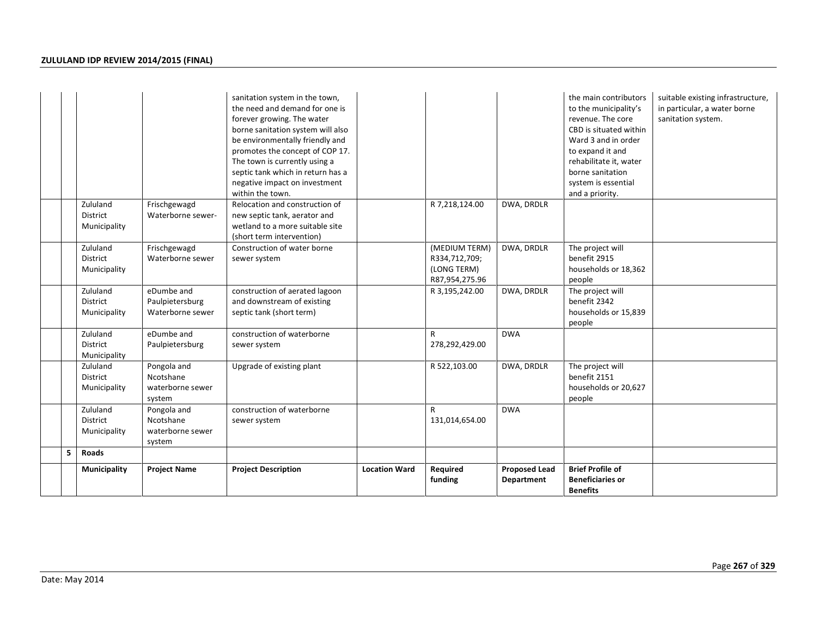|    |                                             |                                                        | sanitation system in the town,<br>the need and demand for one is<br>forever growing. The water<br>borne sanitation system will also<br>be environmentally friendly and<br>promotes the concept of COP 17.<br>The town is currently using a<br>septic tank which in return has a<br>negative impact on investment<br>within the town. |                      |                                                                 |                      | the main contributors<br>to the municipality's<br>revenue. The core<br>CBD is situated within<br>Ward 3 and in order<br>to expand it and<br>rehabilitate it, water<br>borne sanitation<br>system is essential<br>and a priority. | suitable existing infrastructure,<br>in particular, a water borne<br>sanitation system. |
|----|---------------------------------------------|--------------------------------------------------------|--------------------------------------------------------------------------------------------------------------------------------------------------------------------------------------------------------------------------------------------------------------------------------------------------------------------------------------|----------------------|-----------------------------------------------------------------|----------------------|----------------------------------------------------------------------------------------------------------------------------------------------------------------------------------------------------------------------------------|-----------------------------------------------------------------------------------------|
|    | Zululand<br><b>District</b><br>Municipality | Frischgewagd<br>Waterborne sewer-                      | Relocation and construction of<br>new septic tank, aerator and<br>wetland to a more suitable site<br>(short term intervention)                                                                                                                                                                                                       |                      | R 7,218,124.00                                                  | DWA, DRDLR           |                                                                                                                                                                                                                                  |                                                                                         |
|    | Zululand<br><b>District</b><br>Municipality | Frischgewagd<br>Waterborne sewer                       | Construction of water borne<br>sewer system                                                                                                                                                                                                                                                                                          |                      | (MEDIUM TERM)<br>R334,712,709;<br>(LONG TERM)<br>R87,954,275.96 | DWA, DRDLR           | The project will<br>benefit 2915<br>households or 18,362<br>people                                                                                                                                                               |                                                                                         |
|    | Zululand<br>District<br>Municipality        | eDumbe and<br>Paulpietersburg<br>Waterborne sewer      | construction of aerated lagoon<br>and downstream of existing<br>septic tank (short term)                                                                                                                                                                                                                                             |                      | R 3,195,242.00                                                  | DWA, DRDLR           | The project will<br>benefit 2342<br>households or 15,839<br>people                                                                                                                                                               |                                                                                         |
|    | Zululand<br>District<br>Municipality        | eDumbe and<br>Paulpietersburg                          | construction of waterborne<br>sewer system                                                                                                                                                                                                                                                                                           |                      | R<br>278,292,429.00                                             | <b>DWA</b>           |                                                                                                                                                                                                                                  |                                                                                         |
|    | Zululand<br>District<br>Municipality        | Pongola and<br>Ncotshane<br>waterborne sewer<br>system | Upgrade of existing plant                                                                                                                                                                                                                                                                                                            |                      | R 522,103.00                                                    | DWA, DRDLR           | The project will<br>benefit 2151<br>households or 20,627<br>people                                                                                                                                                               |                                                                                         |
|    | Zululand<br>District<br>Municipality        | Pongola and<br>Ncotshane<br>waterborne sewer<br>system | construction of waterborne<br>sewer system                                                                                                                                                                                                                                                                                           |                      | R<br>131,014,654.00                                             | <b>DWA</b>           |                                                                                                                                                                                                                                  |                                                                                         |
| 5. | Roads<br>Municipality                       | <b>Project Name</b>                                    | <b>Project Description</b>                                                                                                                                                                                                                                                                                                           | <b>Location Ward</b> | Required                                                        | <b>Proposed Lead</b> | <b>Brief Profile of</b>                                                                                                                                                                                                          |                                                                                         |
|    |                                             |                                                        |                                                                                                                                                                                                                                                                                                                                      |                      | funding                                                         | Department           | <b>Beneficiaries or</b><br><b>Benefits</b>                                                                                                                                                                                       |                                                                                         |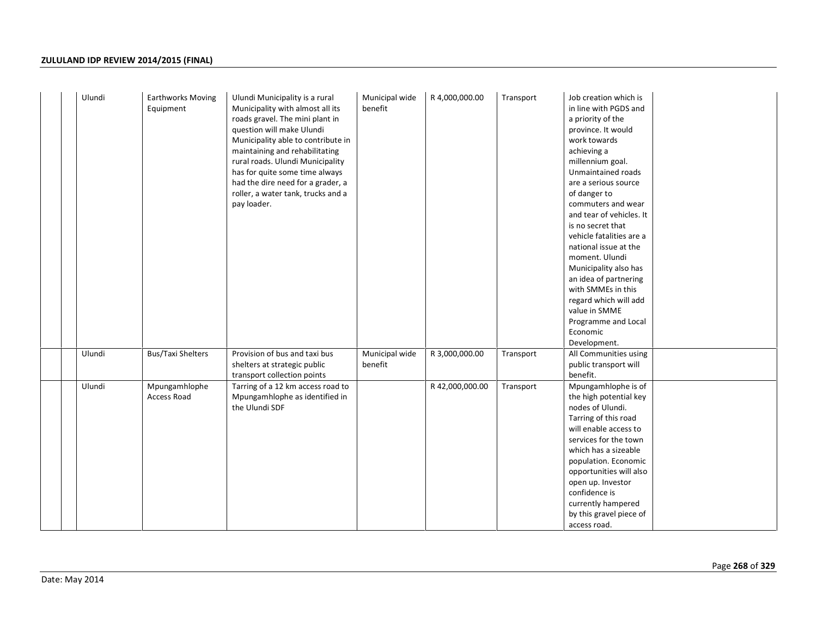| Ulundi | <b>Earthworks Moving</b> | Ulundi Municipality is a rural     | Municipal wide | R 4,000,000.00  | Transport | Job creation which is    |
|--------|--------------------------|------------------------------------|----------------|-----------------|-----------|--------------------------|
|        | Equipment                | Municipality with almost all its   | benefit        |                 |           | in line with PGDS and    |
|        |                          | roads gravel. The mini plant in    |                |                 |           | a priority of the        |
|        |                          | question will make Ulundi          |                |                 |           | province. It would       |
|        |                          | Municipality able to contribute in |                |                 |           | work towards             |
|        |                          | maintaining and rehabilitating     |                |                 |           | achieving a              |
|        |                          | rural roads. Ulundi Municipality   |                |                 |           | millennium goal.         |
|        |                          | has for quite some time always     |                |                 |           | Unmaintained roads       |
|        |                          | had the dire need for a grader, a  |                |                 |           | are a serious source     |
|        |                          | roller, a water tank, trucks and a |                |                 |           | of danger to             |
|        |                          | pay loader.                        |                |                 |           | commuters and wear       |
|        |                          |                                    |                |                 |           | and tear of vehicles. It |
|        |                          |                                    |                |                 |           | is no secret that        |
|        |                          |                                    |                |                 |           | vehicle fatalities are a |
|        |                          |                                    |                |                 |           | national issue at the    |
|        |                          |                                    |                |                 |           | moment. Ulundi           |
|        |                          |                                    |                |                 |           | Municipality also has    |
|        |                          |                                    |                |                 |           | an idea of partnering    |
|        |                          |                                    |                |                 |           | with SMMEs in this       |
|        |                          |                                    |                |                 |           | regard which will add    |
|        |                          |                                    |                |                 |           | value in SMME            |
|        |                          |                                    |                |                 |           | Programme and Local      |
|        |                          |                                    |                |                 |           | Economic                 |
|        |                          |                                    |                |                 |           | Development.             |
| Ulundi | <b>Bus/Taxi Shelters</b> | Provision of bus and taxi bus      | Municipal wide | R 3,000,000.00  | Transport | All Communities using    |
|        |                          | shelters at strategic public       | benefit        |                 |           | public transport will    |
|        |                          | transport collection points        |                |                 |           | benefit.                 |
| Ulundi | Mpungamhlophe            | Tarring of a 12 km access road to  |                | R 42,000,000.00 | Transport | Mpungamhlophe is of      |
|        | Access Road              | Mpungamhlophe as identified in     |                |                 |           | the high potential key   |
|        |                          | the Ulundi SDF                     |                |                 |           | nodes of Ulundi.         |
|        |                          |                                    |                |                 |           | Tarring of this road     |
|        |                          |                                    |                |                 |           | will enable access to    |
|        |                          |                                    |                |                 |           | services for the town    |
|        |                          |                                    |                |                 |           | which has a sizeable     |
|        |                          |                                    |                |                 |           | population. Economic     |
|        |                          |                                    |                |                 |           | opportunities will also  |
|        |                          |                                    |                |                 |           | open up. Investor        |
|        |                          |                                    |                |                 |           | confidence is            |
|        |                          |                                    |                |                 |           | currently hampered       |
|        |                          |                                    |                |                 |           | by this gravel piece of  |
|        |                          |                                    |                |                 |           | access road.             |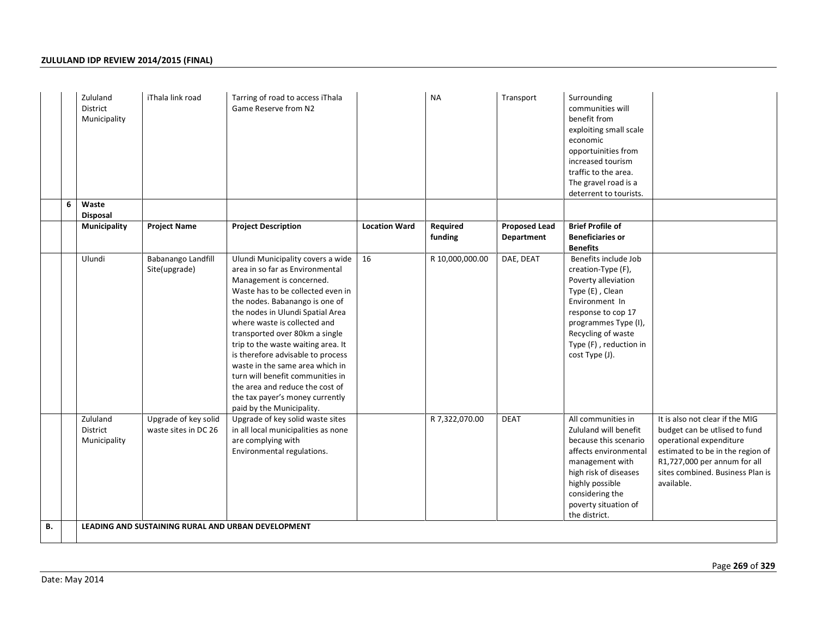|    | Zululand<br><b>District</b><br>Municipality | iThala link road                                   | Tarring of road to access iThala<br>Game Reserve from N2                                                                                                                                                                                                                                                                                                                                                                                                                                                                           |                      | <b>NA</b>           | Transport                          | Surrounding<br>communities will<br>benefit from<br>exploiting small scale<br>economic<br>opportuinities from<br>increased tourism<br>traffic to the area.<br>The gravel road is a<br>deterrent to tourists.              |                                                                                                                                                                                                                   |
|----|---------------------------------------------|----------------------------------------------------|------------------------------------------------------------------------------------------------------------------------------------------------------------------------------------------------------------------------------------------------------------------------------------------------------------------------------------------------------------------------------------------------------------------------------------------------------------------------------------------------------------------------------------|----------------------|---------------------|------------------------------------|--------------------------------------------------------------------------------------------------------------------------------------------------------------------------------------------------------------------------|-------------------------------------------------------------------------------------------------------------------------------------------------------------------------------------------------------------------|
| 6  | Waste<br><b>Disposal</b>                    |                                                    |                                                                                                                                                                                                                                                                                                                                                                                                                                                                                                                                    |                      |                     |                                    |                                                                                                                                                                                                                          |                                                                                                                                                                                                                   |
|    | Municipality                                | <b>Project Name</b>                                | <b>Project Description</b>                                                                                                                                                                                                                                                                                                                                                                                                                                                                                                         | <b>Location Ward</b> | Required<br>funding | <b>Proposed Lead</b><br>Department | <b>Brief Profile of</b><br><b>Beneficiaries or</b><br><b>Benefits</b>                                                                                                                                                    |                                                                                                                                                                                                                   |
|    | Ulundi                                      | Babanango Landfill<br>Site(upgrade)                | Ulundi Municipality covers a wide<br>area in so far as Environmental<br>Management is concerned.<br>Waste has to be collected even in<br>the nodes. Babanango is one of<br>the nodes in Ulundi Spatial Area<br>where waste is collected and<br>transported over 80km a single<br>trip to the waste waiting area. It<br>is therefore advisable to process<br>waste in the same area which in<br>turn will benefit communities in<br>the area and reduce the cost of<br>the tax payer's money currently<br>paid by the Municipality. | 16                   | R 10,000,000.00     | DAE, DEAT                          | Benefits include Job<br>creation-Type (F),<br>Poverty alleviation<br>Type (E), Clean<br>Environment In<br>response to cop 17<br>programmes Type (I),<br>Recycling of waste<br>Type (F), reduction in<br>cost Type (J).   |                                                                                                                                                                                                                   |
|    | Zululand<br>District<br>Municipality        | Upgrade of key solid<br>waste sites in DC 26       | Upgrade of key solid waste sites<br>in all local municipalities as none<br>are complying with<br>Environmental regulations.                                                                                                                                                                                                                                                                                                                                                                                                        |                      | R 7,322,070.00      | <b>DEAT</b>                        | All communities in<br>Zululand will benefit<br>because this scenario<br>affects environmental<br>management with<br>high risk of diseases<br>highly possible<br>considering the<br>poverty situation of<br>the district. | It is also not clear if the MIG<br>budget can be utlised to fund<br>operational expenditure<br>estimated to be in the region of<br>R1,727,000 per annum for all<br>sites combined. Business Plan is<br>available. |
| в. |                                             | LEADING AND SUSTAINING RURAL AND URBAN DEVELOPMENT |                                                                                                                                                                                                                                                                                                                                                                                                                                                                                                                                    |                      |                     |                                    |                                                                                                                                                                                                                          |                                                                                                                                                                                                                   |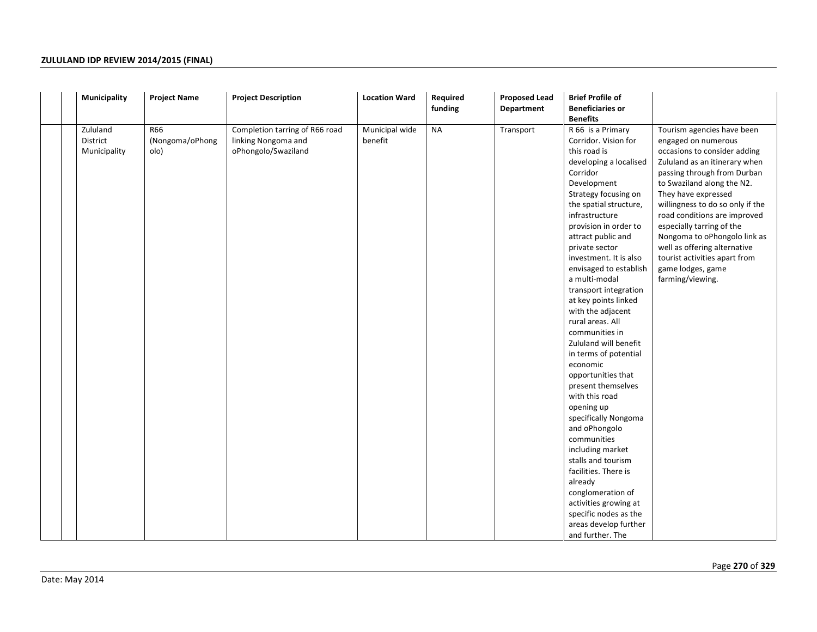| Municipality                         | <b>Project Name</b>            | <b>Project Description</b>                                                   | <b>Location Ward</b>      | Required<br>funding | <b>Proposed Lead</b><br>Department | <b>Brief Profile of</b><br><b>Beneficiaries or</b><br><b>Benefits</b>                                                                                                                                                                                                                                                                                                                                                                                                                                                                                                                                                                                                                                                                                                                                                                   |                                                                                                                                                                                                                                                                                                                                                                                                                                                   |
|--------------------------------------|--------------------------------|------------------------------------------------------------------------------|---------------------------|---------------------|------------------------------------|-----------------------------------------------------------------------------------------------------------------------------------------------------------------------------------------------------------------------------------------------------------------------------------------------------------------------------------------------------------------------------------------------------------------------------------------------------------------------------------------------------------------------------------------------------------------------------------------------------------------------------------------------------------------------------------------------------------------------------------------------------------------------------------------------------------------------------------------|---------------------------------------------------------------------------------------------------------------------------------------------------------------------------------------------------------------------------------------------------------------------------------------------------------------------------------------------------------------------------------------------------------------------------------------------------|
| Zululand<br>District<br>Municipality | R66<br>(Nongoma/oPhong<br>olo) | Completion tarring of R66 road<br>linking Nongoma and<br>oPhongolo/Swaziland | Municipal wide<br>benefit | <b>NA</b>           | Transport                          | R 66 is a Primary<br>Corridor. Vision for<br>this road is<br>developing a localised<br>Corridor<br>Development<br>Strategy focusing on<br>the spatial structure,<br>infrastructure<br>provision in order to<br>attract public and<br>private sector<br>investment. It is also<br>envisaged to establish<br>a multi-modal<br>transport integration<br>at key points linked<br>with the adjacent<br>rural areas. All<br>communities in<br>Zululand will benefit<br>in terms of potential<br>economic<br>opportunities that<br>present themselves<br>with this road<br>opening up<br>specifically Nongoma<br>and oPhongolo<br>communities<br>including market<br>stalls and tourism<br>facilities. There is<br>already<br>conglomeration of<br>activities growing at<br>specific nodes as the<br>areas develop further<br>and further. The | Tourism agencies have been<br>engaged on numerous<br>occasions to consider adding<br>Zululand as an itinerary when<br>passing through from Durban<br>to Swaziland along the N2.<br>They have expressed<br>willingness to do so only if the<br>road conditions are improved<br>especially tarring of the<br>Nongoma to oPhongolo link as<br>well as offering alternative<br>tourist activities apart from<br>game lodges, game<br>farming/viewing. |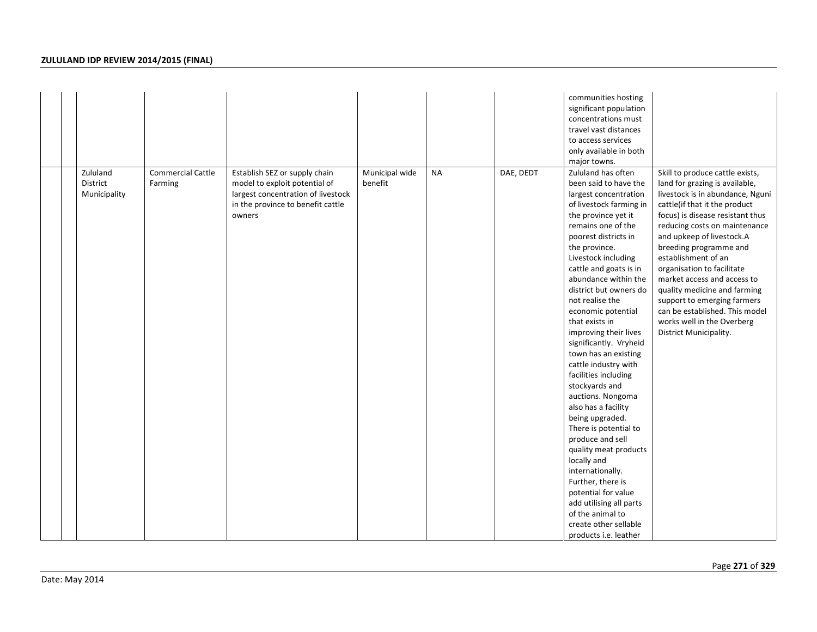|  |                                      |                                     |                                                                                                                                                     |                           |           |           | communities hosting<br>significant population<br>concentrations must<br>travel vast distances<br>to access services<br>only available in both<br>major towns.                                                                                                                                                                                                                                                                                                                                                                                                                                                                                                                                                                                                                                                         |                                                                                                                                                                                                                                                                                                                                                                                                                                                                                                                 |
|--|--------------------------------------|-------------------------------------|-----------------------------------------------------------------------------------------------------------------------------------------------------|---------------------------|-----------|-----------|-----------------------------------------------------------------------------------------------------------------------------------------------------------------------------------------------------------------------------------------------------------------------------------------------------------------------------------------------------------------------------------------------------------------------------------------------------------------------------------------------------------------------------------------------------------------------------------------------------------------------------------------------------------------------------------------------------------------------------------------------------------------------------------------------------------------------|-----------------------------------------------------------------------------------------------------------------------------------------------------------------------------------------------------------------------------------------------------------------------------------------------------------------------------------------------------------------------------------------------------------------------------------------------------------------------------------------------------------------|
|  | Zululand<br>District<br>Municipality | <b>Commercial Cattle</b><br>Farming | Establish SEZ or supply chain<br>model to exploit potential of<br>largest concentration of livestock<br>in the province to benefit cattle<br>owners | Municipal wide<br>benefit | <b>NA</b> | DAE, DEDT | Zululand has often<br>been said to have the<br>largest concentration<br>of livestock farming in<br>the province yet it<br>remains one of the<br>poorest districts in<br>the province.<br>Livestock including<br>cattle and goats is in<br>abundance within the<br>district but owners do<br>not realise the<br>economic potential<br>that exists in<br>improving their lives<br>significantly. Vryheid<br>town has an existing<br>cattle industry with<br>facilities including<br>stockyards and<br>auctions. Nongoma<br>also has a facility<br>being upgraded.<br>There is potential to<br>produce and sell<br>quality meat products<br>locally and<br>internationally.<br>Further, there is<br>potential for value<br>add utilising all parts<br>of the animal to<br>create other sellable<br>products i.e. leather | Skill to produce cattle exists,<br>land for grazing is available,<br>livestock is in abundance, Nguni<br>cattle(if that it the product<br>focus) is disease resistant thus<br>reducing costs on maintenance<br>and upkeep of livestock.A<br>breeding programme and<br>establishment of an<br>organisation to facilitate<br>market access and access to<br>quality medicine and farming<br>support to emerging farmers<br>can be established. This model<br>works well in the Overberg<br>District Municipality. |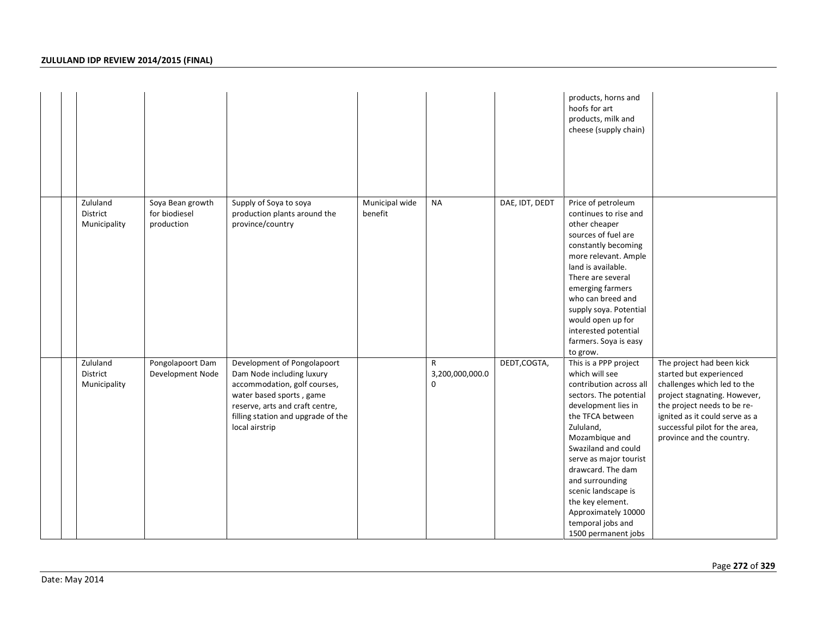|                                      |                                                 |                                                                                                                                                                                                                 |                           |                                                |                | products, horns and<br>hoofs for art<br>products, milk and<br>cheese (supply chain)                                                                                                                                                                                                                                                                                           |                                                                                                                                                                                                                                                     |
|--------------------------------------|-------------------------------------------------|-----------------------------------------------------------------------------------------------------------------------------------------------------------------------------------------------------------------|---------------------------|------------------------------------------------|----------------|-------------------------------------------------------------------------------------------------------------------------------------------------------------------------------------------------------------------------------------------------------------------------------------------------------------------------------------------------------------------------------|-----------------------------------------------------------------------------------------------------------------------------------------------------------------------------------------------------------------------------------------------------|
| Zululand<br>District<br>Municipality | Soya Bean growth<br>for biodiesel<br>production | Supply of Soya to soya<br>production plants around the<br>province/country                                                                                                                                      | Municipal wide<br>benefit | <b>NA</b>                                      | DAE, IDT, DEDT | Price of petroleum<br>continues to rise and<br>other cheaper<br>sources of fuel are<br>constantly becoming<br>more relevant. Ample<br>land is available.<br>There are several<br>emerging farmers<br>who can breed and<br>supply soya. Potential<br>would open up for<br>interested potential<br>farmers. Soya is easy<br>to grow.                                            |                                                                                                                                                                                                                                                     |
| Zululand<br>District<br>Municipality | Pongolapoort Dam<br>Development Node            | Development of Pongolapoort<br>Dam Node including luxury<br>accommodation, golf courses,<br>water based sports, game<br>reserve, arts and craft centre,<br>filling station and upgrade of the<br>local airstrip |                           | $\mathsf{R}$<br>3,200,000,000.0<br>$\mathbf 0$ | DEDT, COGTA,   | This is a PPP project<br>which will see<br>contribution across all<br>sectors. The potential<br>development lies in<br>the TFCA between<br>Zululand,<br>Mozambique and<br>Swaziland and could<br>serve as major tourist<br>drawcard. The dam<br>and surrounding<br>scenic landscape is<br>the key element.<br>Approximately 10000<br>temporal jobs and<br>1500 permanent jobs | The project had been kick<br>started but experienced<br>challenges which led to the<br>project stagnating. However,<br>the project needs to be re-<br>ignited as it could serve as a<br>successful pilot for the area,<br>province and the country. |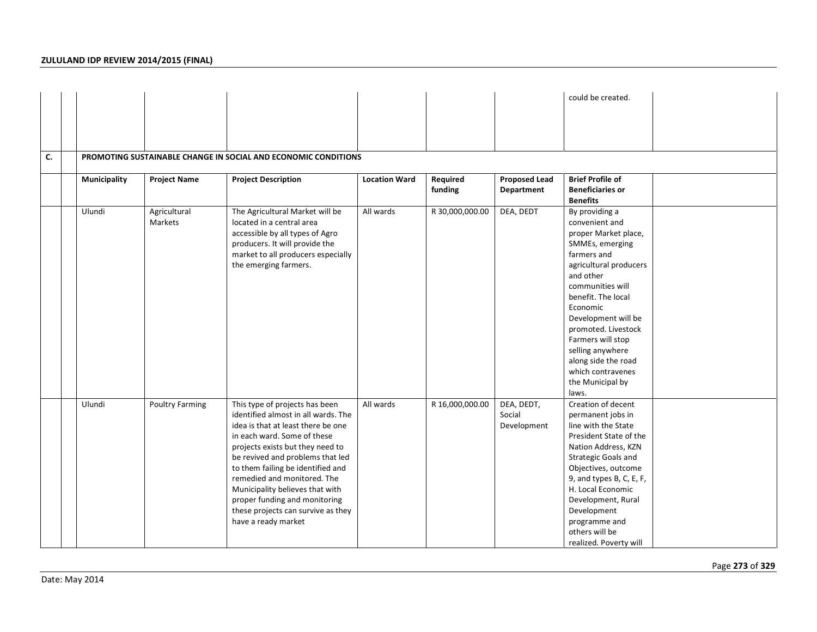|    |              |                         |                                                                                                                                                                                                                                                                                                                                                                                                                         |                      |                     |                                     | could be created.                                                                                                                                                                                                                                                                                                                                       |  |
|----|--------------|-------------------------|-------------------------------------------------------------------------------------------------------------------------------------------------------------------------------------------------------------------------------------------------------------------------------------------------------------------------------------------------------------------------------------------------------------------------|----------------------|---------------------|-------------------------------------|---------------------------------------------------------------------------------------------------------------------------------------------------------------------------------------------------------------------------------------------------------------------------------------------------------------------------------------------------------|--|
|    |              |                         |                                                                                                                                                                                                                                                                                                                                                                                                                         |                      |                     |                                     |                                                                                                                                                                                                                                                                                                                                                         |  |
|    |              |                         |                                                                                                                                                                                                                                                                                                                                                                                                                         |                      |                     |                                     |                                                                                                                                                                                                                                                                                                                                                         |  |
| C. |              |                         | PROMOTING SUSTAINABLE CHANGE IN SOCIAL AND ECONOMIC CONDITIONS                                                                                                                                                                                                                                                                                                                                                          |                      |                     |                                     |                                                                                                                                                                                                                                                                                                                                                         |  |
|    | Municipality | <b>Project Name</b>     | <b>Project Description</b>                                                                                                                                                                                                                                                                                                                                                                                              | <b>Location Ward</b> | Required<br>funding | <b>Proposed Lead</b><br>Department  | <b>Brief Profile of</b><br><b>Beneficiaries or</b><br><b>Benefits</b>                                                                                                                                                                                                                                                                                   |  |
|    | Ulundi       | Agricultural<br>Markets | The Agricultural Market will be<br>located in a central area<br>accessible by all types of Agro<br>producers. It will provide the<br>market to all producers especially<br>the emerging farmers.                                                                                                                                                                                                                        | All wards            | R 30,000,000.00     | DEA, DEDT                           | By providing a<br>convenient and<br>proper Market place,<br>SMMEs, emerging<br>farmers and<br>agricultural producers<br>and other<br>communities will<br>benefit. The local<br>Economic<br>Development will be<br>promoted. Livestock<br>Farmers will stop<br>selling anywhere<br>along side the road<br>which contravenes<br>the Municipal by<br>laws. |  |
|    | Ulundi       | <b>Poultry Farming</b>  | This type of projects has been<br>identified almost in all wards. The<br>idea is that at least there be one<br>in each ward. Some of these<br>projects exists but they need to<br>be revived and problems that led<br>to them failing be identified and<br>remedied and monitored. The<br>Municipality believes that with<br>proper funding and monitoring<br>these projects can survive as they<br>have a ready market | All wards            | R 16,000,000.00     | DEA, DEDT,<br>Social<br>Development | Creation of decent<br>permanent jobs in<br>line with the State<br>President State of the<br>Nation Address, KZN<br>Strategic Goals and<br>Objectives, outcome<br>9, and types B, C, E, F,<br>H. Local Economic<br>Development, Rural<br>Development<br>programme and<br>others will be<br>realized. Poverty will                                        |  |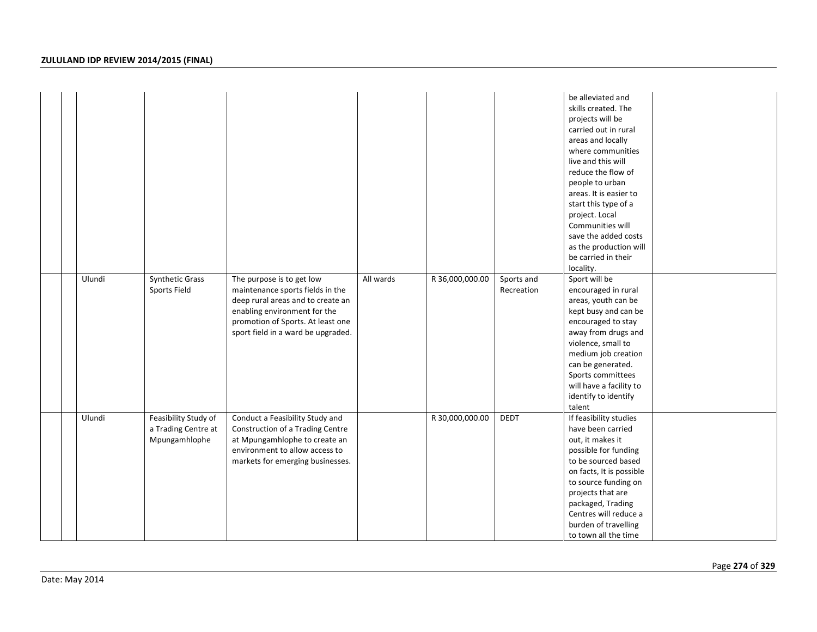|  |        |                                                              |                                                                                                                                                                                                               |           |                 |                          | be alleviated and<br>skills created. The<br>projects will be<br>carried out in rural<br>areas and locally<br>where communities<br>live and this will<br>reduce the flow of<br>people to urban<br>areas. It is easier to<br>start this type of a<br>project. Local<br>Communities will<br>save the added costs<br>as the production will<br>be carried in their<br>locality. |
|--|--------|--------------------------------------------------------------|---------------------------------------------------------------------------------------------------------------------------------------------------------------------------------------------------------------|-----------|-----------------|--------------------------|-----------------------------------------------------------------------------------------------------------------------------------------------------------------------------------------------------------------------------------------------------------------------------------------------------------------------------------------------------------------------------|
|  | Ulundi | Synthetic Grass<br>Sports Field                              | The purpose is to get low<br>maintenance sports fields in the<br>deep rural areas and to create an<br>enabling environment for the<br>promotion of Sports. At least one<br>sport field in a ward be upgraded. | All wards | R 36,000,000.00 | Sports and<br>Recreation | Sport will be<br>encouraged in rural<br>areas, youth can be<br>kept busy and can be<br>encouraged to stay<br>away from drugs and<br>violence, small to<br>medium job creation<br>can be generated.<br>Sports committees<br>will have a facility to<br>identify to identify<br>talent                                                                                        |
|  | Ulundi | Feasibility Study of<br>a Trading Centre at<br>Mpungamhlophe | Conduct a Feasibility Study and<br>Construction of a Trading Centre<br>at Mpungamhlophe to create an<br>environment to allow access to<br>markets for emerging businesses.                                    |           | R 30,000,000.00 | DEDT                     | If feasibility studies<br>have been carried<br>out, it makes it<br>possible for funding<br>to be sourced based<br>on facts, It is possible<br>to source funding on<br>projects that are<br>packaged, Trading<br>Centres will reduce a<br>burden of travelling<br>to town all the time                                                                                       |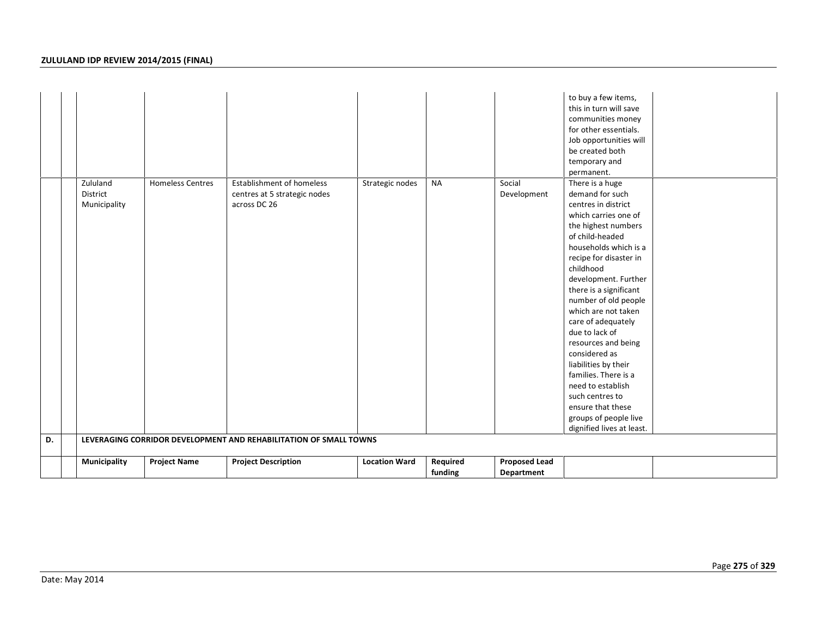| D. | Zululand<br>District<br>Municipality | <b>Homeless Centres</b> | <b>Establishment of homeless</b><br>centres at 5 strategic nodes<br>across DC 26<br>LEVERAGING CORRIDOR DEVELOPMENT AND REHABILITATION OF SMALL TOWNS | Strategic nodes      | <b>NA</b>           | Social<br>Development              | to buy a few items,<br>this in turn will save<br>communities money<br>for other essentials.<br>Job opportunities will<br>be created both<br>temporary and<br>permanent.<br>There is a huge<br>demand for such<br>centres in district<br>which carries one of<br>the highest numbers<br>of child-headed<br>households which is a<br>recipe for disaster in<br>childhood<br>development. Further<br>there is a significant<br>number of old people<br>which are not taken<br>care of adequately<br>due to lack of<br>resources and being<br>considered as<br>liabilities by their<br>families. There is a<br>need to establish<br>such centres to<br>ensure that these<br>groups of people live<br>dignified lives at least. |
|----|--------------------------------------|-------------------------|-------------------------------------------------------------------------------------------------------------------------------------------------------|----------------------|---------------------|------------------------------------|----------------------------------------------------------------------------------------------------------------------------------------------------------------------------------------------------------------------------------------------------------------------------------------------------------------------------------------------------------------------------------------------------------------------------------------------------------------------------------------------------------------------------------------------------------------------------------------------------------------------------------------------------------------------------------------------------------------------------|
|    |                                      |                         |                                                                                                                                                       |                      |                     |                                    |                                                                                                                                                                                                                                                                                                                                                                                                                                                                                                                                                                                                                                                                                                                            |
|    | Municipality                         | <b>Project Name</b>     | <b>Project Description</b>                                                                                                                            | <b>Location Ward</b> | Required<br>funding | <b>Proposed Lead</b><br>Department |                                                                                                                                                                                                                                                                                                                                                                                                                                                                                                                                                                                                                                                                                                                            |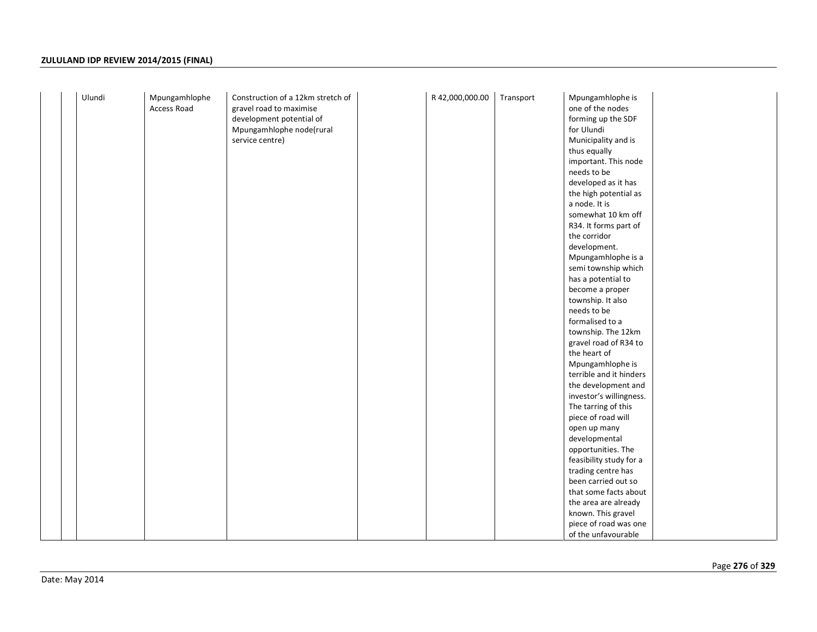| Ulundi | Mpungamhlophe<br>Access Road | Construction of a 12km stretch of<br>gravel road to maximise | R 42,000,000.00 | Transport | Mpungamhlophe is<br>one of the nodes |  |
|--------|------------------------------|--------------------------------------------------------------|-----------------|-----------|--------------------------------------|--|
|        |                              | development potential of                                     |                 |           | forming up the SDF                   |  |
|        |                              | Mpungamhlophe node(rural                                     |                 |           | for Ulundi                           |  |
|        |                              | service centre)                                              |                 |           | Municipality and is                  |  |
|        |                              |                                                              |                 |           | thus equally                         |  |
|        |                              |                                                              |                 |           | important. This node                 |  |
|        |                              |                                                              |                 |           | needs to be                          |  |
|        |                              |                                                              |                 |           | developed as it has                  |  |
|        |                              |                                                              |                 |           | the high potential as                |  |
|        |                              |                                                              |                 |           | a node. It is                        |  |
|        |                              |                                                              |                 |           | somewhat 10 km off                   |  |
|        |                              |                                                              |                 |           | R34. It forms part of                |  |
|        |                              |                                                              |                 |           | the corridor                         |  |
|        |                              |                                                              |                 |           | development.                         |  |
|        |                              |                                                              |                 |           | Mpungamhlophe is a                   |  |
|        |                              |                                                              |                 |           | semi township which                  |  |
|        |                              |                                                              |                 |           | has a potential to                   |  |
|        |                              |                                                              |                 |           | become a proper                      |  |
|        |                              |                                                              |                 |           | township. It also                    |  |
|        |                              |                                                              |                 |           | needs to be                          |  |
|        |                              |                                                              |                 |           | formalised to a                      |  |
|        |                              |                                                              |                 |           | township. The 12km                   |  |
|        |                              |                                                              |                 |           | gravel road of R34 to                |  |
|        |                              |                                                              |                 |           | the heart of                         |  |
|        |                              |                                                              |                 |           | Mpungamhlophe is                     |  |
|        |                              |                                                              |                 |           | terrible and it hinders              |  |
|        |                              |                                                              |                 |           | the development and                  |  |
|        |                              |                                                              |                 |           | investor's willingness.              |  |
|        |                              |                                                              |                 |           | The tarring of this                  |  |
|        |                              |                                                              |                 |           | piece of road will                   |  |
|        |                              |                                                              |                 |           | open up many<br>developmental        |  |
|        |                              |                                                              |                 |           | opportunities. The                   |  |
|        |                              |                                                              |                 |           | feasibility study for a              |  |
|        |                              |                                                              |                 |           | trading centre has                   |  |
|        |                              |                                                              |                 |           | been carried out so                  |  |
|        |                              |                                                              |                 |           | that some facts about                |  |
|        |                              |                                                              |                 |           | the area are already                 |  |
|        |                              |                                                              |                 |           | known. This gravel                   |  |
|        |                              |                                                              |                 |           | piece of road was one                |  |
|        |                              |                                                              |                 |           | of the unfavourable                  |  |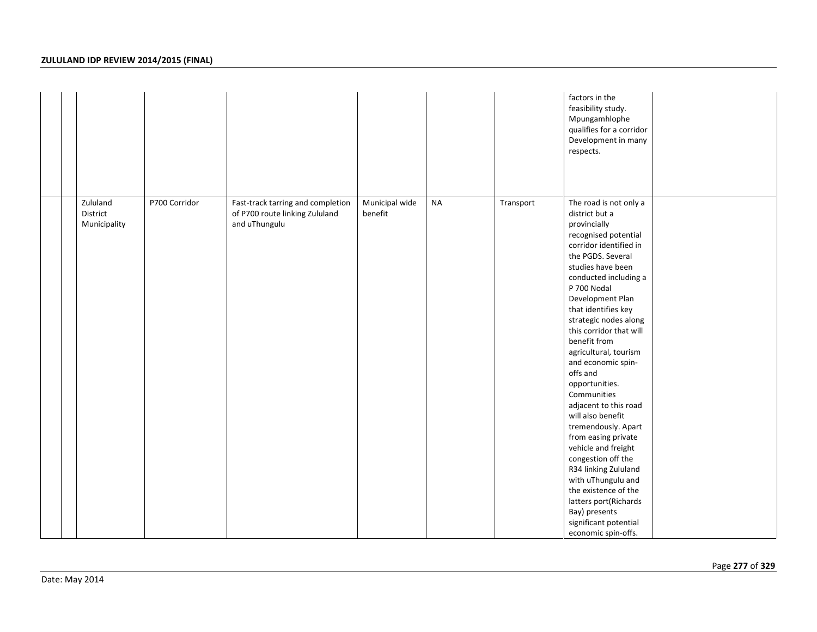|                                      |               |                                                                                      |                           |           |           | factors in the<br>feasibility study.<br>Mpungamhlophe<br>qualifies for a corridor<br>Development in many<br>respects.                                                                                                                                                                                                                                                                                                                                                                                                                                                                                                                                                                                            |  |
|--------------------------------------|---------------|--------------------------------------------------------------------------------------|---------------------------|-----------|-----------|------------------------------------------------------------------------------------------------------------------------------------------------------------------------------------------------------------------------------------------------------------------------------------------------------------------------------------------------------------------------------------------------------------------------------------------------------------------------------------------------------------------------------------------------------------------------------------------------------------------------------------------------------------------------------------------------------------------|--|
| Zululand<br>District<br>Municipality | P700 Corridor | Fast-track tarring and completion<br>of P700 route linking Zululand<br>and uThungulu | Municipal wide<br>benefit | <b>NA</b> | Transport | The road is not only a<br>district but a<br>provincially<br>recognised potential<br>corridor identified in<br>the PGDS. Several<br>studies have been<br>conducted including a<br>P 700 Nodal<br>Development Plan<br>that identifies key<br>strategic nodes along<br>this corridor that will<br>benefit from<br>agricultural, tourism<br>and economic spin-<br>offs and<br>opportunities.<br>Communities<br>adjacent to this road<br>will also benefit<br>tremendously. Apart<br>from easing private<br>vehicle and freight<br>congestion off the<br>R34 linking Zululand<br>with uThungulu and<br>the existence of the<br>latters port(Richards<br>Bay) presents<br>significant potential<br>economic spin-offs. |  |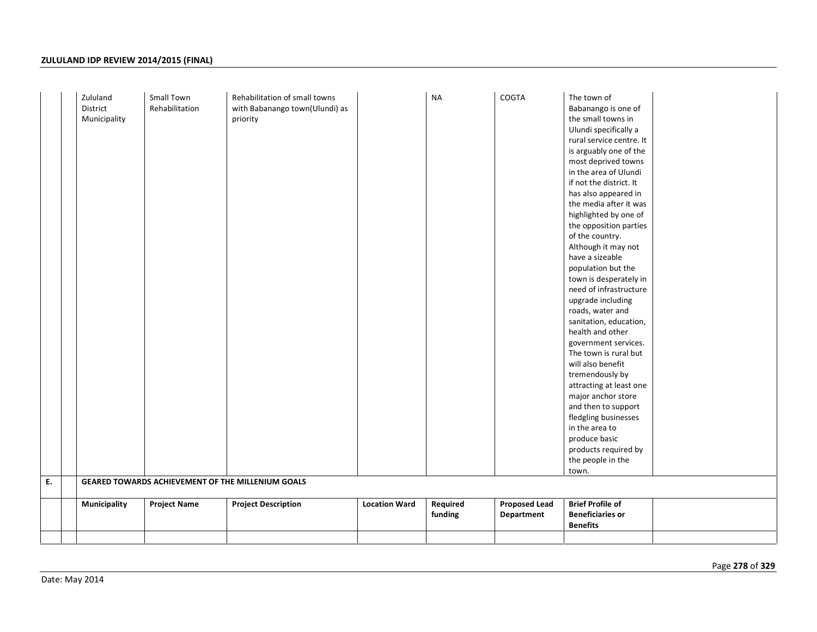| Required<br><b>Brief Profile of</b><br><b>Proposed Lead</b><br><b>Municipality</b><br><b>Project Name</b><br><b>Project Description</b><br><b>Location Ward</b><br><b>Beneficiaries or</b><br>funding<br>Department<br><b>Benefits</b> | Ε. | Zululand<br>District<br>Municipality | Small Town<br>Rehabilitation | Rehabilitation of small towns<br>with Babanango town(Ulundi) as<br>priority<br>GEARED TOWARDS ACHIEVEMENT OF THE MILLENIUM GOALS | <b>NA</b> | COGTA | The town of<br>Babanango is one of<br>the small towns in<br>Ulundi specifically a<br>rural service centre. It<br>is arguably one of the<br>most deprived towns<br>in the area of Ulundi<br>if not the district. It<br>has also appeared in<br>the media after it was<br>highlighted by one of<br>the opposition parties<br>of the country.<br>Although it may not<br>have a sizeable<br>population but the<br>town is desperately in<br>need of infrastructure<br>upgrade including<br>roads, water and<br>sanitation, education,<br>health and other<br>government services.<br>The town is rural but<br>will also benefit<br>tremendously by<br>attracting at least one<br>major anchor store<br>and then to support<br>fledgling businesses<br>in the area to<br>produce basic<br>products required by<br>the people in the<br>town. |  |
|----------------------------------------------------------------------------------------------------------------------------------------------------------------------------------------------------------------------------------------|----|--------------------------------------|------------------------------|----------------------------------------------------------------------------------------------------------------------------------|-----------|-------|-----------------------------------------------------------------------------------------------------------------------------------------------------------------------------------------------------------------------------------------------------------------------------------------------------------------------------------------------------------------------------------------------------------------------------------------------------------------------------------------------------------------------------------------------------------------------------------------------------------------------------------------------------------------------------------------------------------------------------------------------------------------------------------------------------------------------------------------|--|
|                                                                                                                                                                                                                                        |    |                                      |                              |                                                                                                                                  |           |       |                                                                                                                                                                                                                                                                                                                                                                                                                                                                                                                                                                                                                                                                                                                                                                                                                                         |  |
|                                                                                                                                                                                                                                        |    |                                      |                              |                                                                                                                                  |           |       |                                                                                                                                                                                                                                                                                                                                                                                                                                                                                                                                                                                                                                                                                                                                                                                                                                         |  |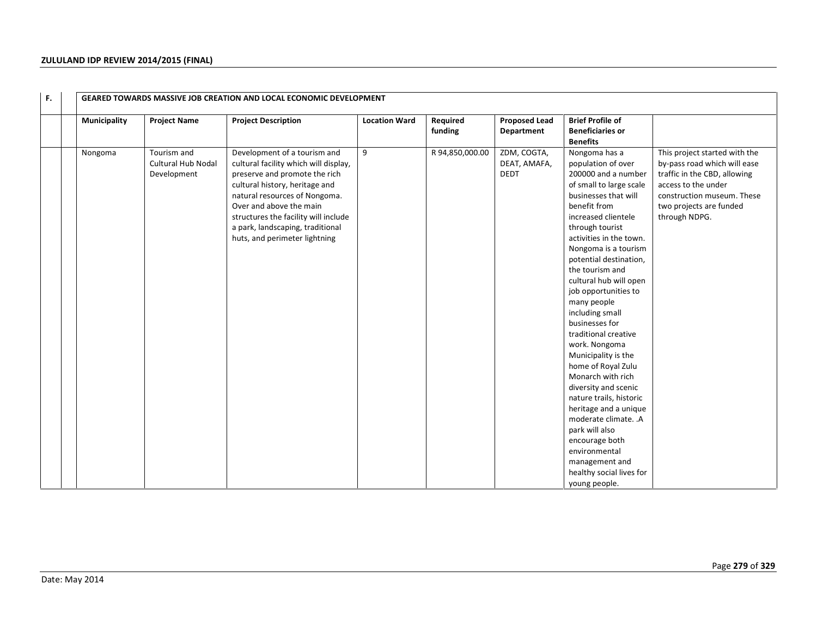| F. |              |                                                  | <b>GEARED TOWARDS MASSIVE JOB CREATION AND LOCAL ECONOMIC DEVELOPMENT</b>                                                                                                                                                                                                                                         |                      |                     |                                            |                                                                                                                                                                                                                                                                                                                                                                                                                                                                                                                                                                                                                                                                                                                  |                                                                                                                                                                                                |
|----|--------------|--------------------------------------------------|-------------------------------------------------------------------------------------------------------------------------------------------------------------------------------------------------------------------------------------------------------------------------------------------------------------------|----------------------|---------------------|--------------------------------------------|------------------------------------------------------------------------------------------------------------------------------------------------------------------------------------------------------------------------------------------------------------------------------------------------------------------------------------------------------------------------------------------------------------------------------------------------------------------------------------------------------------------------------------------------------------------------------------------------------------------------------------------------------------------------------------------------------------------|------------------------------------------------------------------------------------------------------------------------------------------------------------------------------------------------|
|    | Municipality | <b>Project Name</b>                              | <b>Project Description</b>                                                                                                                                                                                                                                                                                        | <b>Location Ward</b> | Required<br>funding | <b>Proposed Lead</b><br>Department         | <b>Brief Profile of</b><br><b>Beneficiaries or</b><br><b>Benefits</b>                                                                                                                                                                                                                                                                                                                                                                                                                                                                                                                                                                                                                                            |                                                                                                                                                                                                |
|    | Nongoma      | Tourism and<br>Cultural Hub Nodal<br>Development | Development of a tourism and<br>cultural facility which will display,<br>preserve and promote the rich<br>cultural history, heritage and<br>natural resources of Nongoma.<br>Over and above the main<br>structures the facility will include<br>a park, landscaping, traditional<br>huts, and perimeter lightning | 9                    | R 94,850,000.00     | ZDM, COGTA,<br>DEAT, AMAFA,<br><b>DEDT</b> | Nongoma has a<br>population of over<br>200000 and a number<br>of small to large scale<br>businesses that will<br>benefit from<br>increased clientele<br>through tourist<br>activities in the town.<br>Nongoma is a tourism<br>potential destination,<br>the tourism and<br>cultural hub will open<br>job opportunities to<br>many people<br>including small<br>businesses for<br>traditional creative<br>work. Nongoma<br>Municipality is the<br>home of Royal Zulu<br>Monarch with rich<br>diversity and scenic<br>nature trails, historic<br>heritage and a unique<br>moderate climate. .A<br>park will also<br>encourage both<br>environmental<br>management and<br>healthy social lives for<br>young people. | This project started with the<br>by-pass road which will ease<br>traffic in the CBD, allowing<br>access to the under<br>construction museum. These<br>two projects are funded<br>through NDPG. |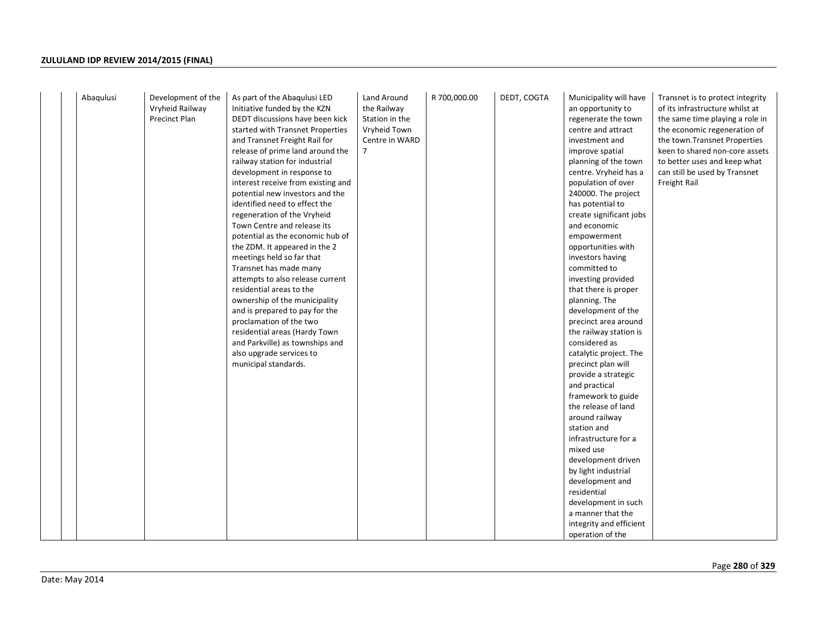| Abaqulusi<br>Development of the<br>Vryheid Railway<br>Precinct Plan | As part of the Abaqulusi LED<br>Initiative funded by the KZN<br>DEDT discussions have been kick<br>started with Transnet Properties<br>and Transnet Freight Rail for<br>release of prime land around the<br>railway station for industrial<br>development in response to<br>interest receive from existing and<br>potential new investors and the<br>identified need to effect the<br>regeneration of the Vryheid<br>Town Centre and release its<br>potential as the economic hub of<br>the ZDM. It appeared in the 2<br>meetings held so far that<br>Transnet has made many<br>attempts to also release current<br>residential areas to the<br>ownership of the municipality<br>and is prepared to pay for the<br>proclamation of the two<br>residential areas (Hardy Town<br>and Parkville) as townships and<br>also upgrade services to<br>municipal standards. | Land Around<br>the Railway<br>Station in the<br>Vryheid Town<br>Centre in WARD<br>7 | R 700,000.00 | DEDT, COGTA | Municipality will have<br>an opportunity to<br>regenerate the town<br>centre and attract<br>investment and<br>improve spatial<br>planning of the town<br>centre. Vryheid has a<br>population of over<br>240000. The project<br>has potential to<br>create significant jobs<br>and economic<br>empowerment<br>opportunities with<br>investors having<br>committed to<br>investing provided<br>that there is proper<br>planning. The<br>development of the<br>precinct area around<br>the railway station is<br>considered as<br>catalytic project. The<br>precinct plan will<br>provide a strategic<br>and practical<br>framework to guide<br>the release of land<br>around railway<br>station and<br>infrastructure for a<br>mixed use<br>development driven<br>by light industrial<br>development and<br>residential<br>development in such<br>a manner that the<br>integrity and efficient<br>operation of the | Transnet is to protect integrity<br>of its infrastructure whilst at<br>the same time playing a role in<br>the economic regeneration of<br>the town. Transnet Properties<br>keen to shared non-core assets<br>to better uses and keep what<br>can still be used by Transnet<br>Freight Rail |
|---------------------------------------------------------------------|--------------------------------------------------------------------------------------------------------------------------------------------------------------------------------------------------------------------------------------------------------------------------------------------------------------------------------------------------------------------------------------------------------------------------------------------------------------------------------------------------------------------------------------------------------------------------------------------------------------------------------------------------------------------------------------------------------------------------------------------------------------------------------------------------------------------------------------------------------------------|-------------------------------------------------------------------------------------|--------------|-------------|------------------------------------------------------------------------------------------------------------------------------------------------------------------------------------------------------------------------------------------------------------------------------------------------------------------------------------------------------------------------------------------------------------------------------------------------------------------------------------------------------------------------------------------------------------------------------------------------------------------------------------------------------------------------------------------------------------------------------------------------------------------------------------------------------------------------------------------------------------------------------------------------------------------|--------------------------------------------------------------------------------------------------------------------------------------------------------------------------------------------------------------------------------------------------------------------------------------------|
|---------------------------------------------------------------------|--------------------------------------------------------------------------------------------------------------------------------------------------------------------------------------------------------------------------------------------------------------------------------------------------------------------------------------------------------------------------------------------------------------------------------------------------------------------------------------------------------------------------------------------------------------------------------------------------------------------------------------------------------------------------------------------------------------------------------------------------------------------------------------------------------------------------------------------------------------------|-------------------------------------------------------------------------------------|--------------|-------------|------------------------------------------------------------------------------------------------------------------------------------------------------------------------------------------------------------------------------------------------------------------------------------------------------------------------------------------------------------------------------------------------------------------------------------------------------------------------------------------------------------------------------------------------------------------------------------------------------------------------------------------------------------------------------------------------------------------------------------------------------------------------------------------------------------------------------------------------------------------------------------------------------------------|--------------------------------------------------------------------------------------------------------------------------------------------------------------------------------------------------------------------------------------------------------------------------------------------|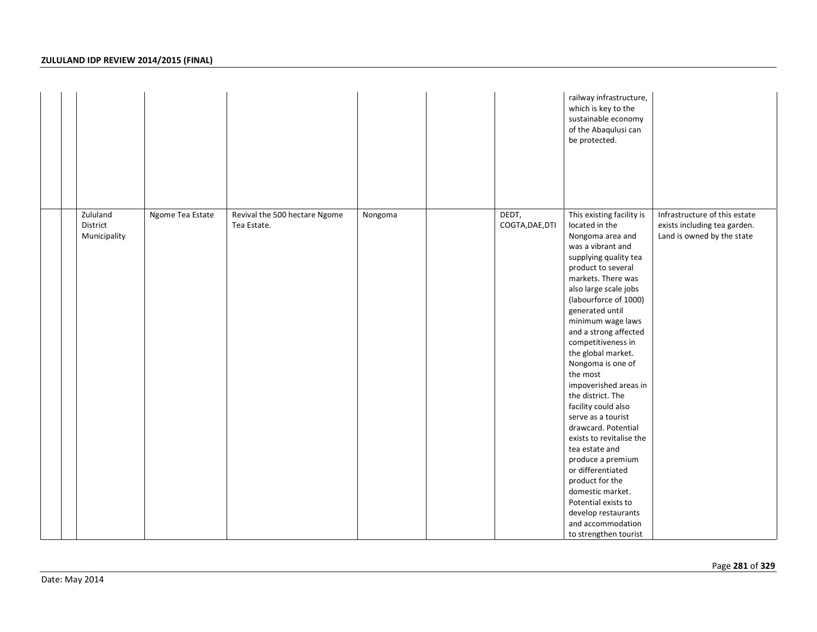|                                      |                  |                                              |         |                          | railway infrastructure,<br>which is key to the<br>sustainable economy<br>of the Abaqulusi can<br>be protected.                                                                                                                                                                                                                                                                                                                                                                                                                                                                                                                                                                                         |                                                                                             |
|--------------------------------------|------------------|----------------------------------------------|---------|--------------------------|--------------------------------------------------------------------------------------------------------------------------------------------------------------------------------------------------------------------------------------------------------------------------------------------------------------------------------------------------------------------------------------------------------------------------------------------------------------------------------------------------------------------------------------------------------------------------------------------------------------------------------------------------------------------------------------------------------|---------------------------------------------------------------------------------------------|
| Zululand<br>District<br>Municipality | Ngome Tea Estate | Revival the 500 hectare Ngome<br>Tea Estate. | Nongoma | DEDT,<br>COGTA, DAE, DTI | This existing facility is<br>located in the<br>Nongoma area and<br>was a vibrant and<br>supplying quality tea<br>product to several<br>markets. There was<br>also large scale jobs<br>(labourforce of 1000)<br>generated until<br>minimum wage laws<br>and a strong affected<br>competitiveness in<br>the global market.<br>Nongoma is one of<br>the most<br>impoverished areas in<br>the district. The<br>facility could also<br>serve as a tourist<br>drawcard. Potential<br>exists to revitalise the<br>tea estate and<br>produce a premium<br>or differentiated<br>product for the<br>domestic market.<br>Potential exists to<br>develop restaurants<br>and accommodation<br>to strengthen tourist | Infrastructure of this estate<br>exists including tea garden.<br>Land is owned by the state |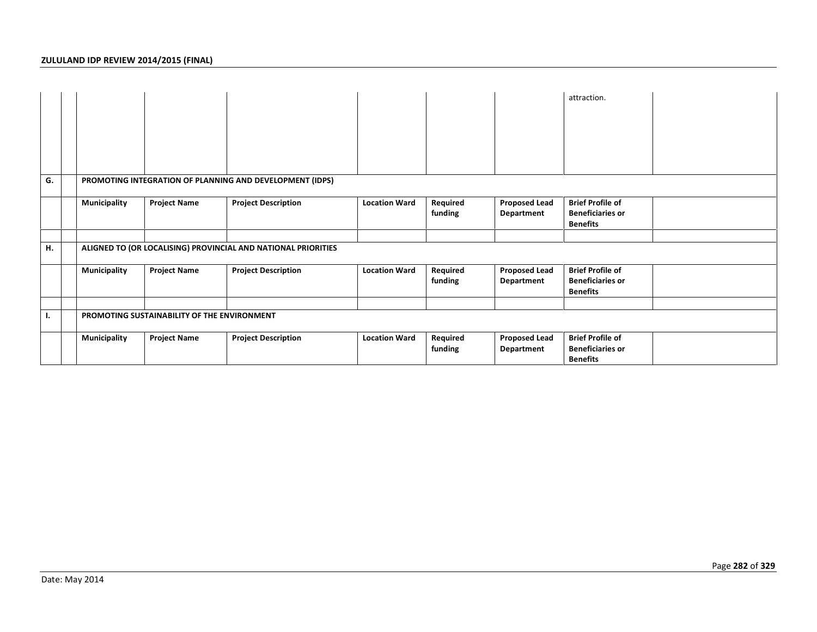|    |                                                          |                                             |                                                               |                      |                     |                                    | attraction.                                                           |  |  |
|----|----------------------------------------------------------|---------------------------------------------|---------------------------------------------------------------|----------------------|---------------------|------------------------------------|-----------------------------------------------------------------------|--|--|
| G. | PROMOTING INTEGRATION OF PLANNING AND DEVELOPMENT (IDPS) |                                             |                                                               |                      |                     |                                    |                                                                       |  |  |
|    | <b>Municipality</b>                                      | <b>Project Name</b>                         | <b>Project Description</b>                                    | <b>Location Ward</b> | Required<br>funding | <b>Proposed Lead</b><br>Department | <b>Brief Profile of</b><br><b>Beneficiaries or</b><br><b>Benefits</b> |  |  |
|    |                                                          |                                             |                                                               |                      |                     |                                    |                                                                       |  |  |
| Н. |                                                          |                                             | ALIGNED TO (OR LOCALISING) PROVINCIAL AND NATIONAL PRIORITIES |                      |                     |                                    |                                                                       |  |  |
|    | Municipality                                             | <b>Project Name</b>                         | <b>Project Description</b>                                    | <b>Location Ward</b> | Required<br>funding | <b>Proposed Lead</b><br>Department | <b>Brief Profile of</b><br><b>Beneficiaries or</b><br><b>Benefits</b> |  |  |
|    |                                                          |                                             |                                                               |                      |                     |                                    |                                                                       |  |  |
| ъ. |                                                          | PROMOTING SUSTAINABILITY OF THE ENVIRONMENT |                                                               |                      |                     |                                    |                                                                       |  |  |
|    | Municipality                                             | <b>Project Name</b>                         | <b>Project Description</b>                                    | <b>Location Ward</b> | Required<br>funding | <b>Proposed Lead</b><br>Department | <b>Brief Profile of</b><br><b>Beneficiaries or</b><br><b>Benefits</b> |  |  |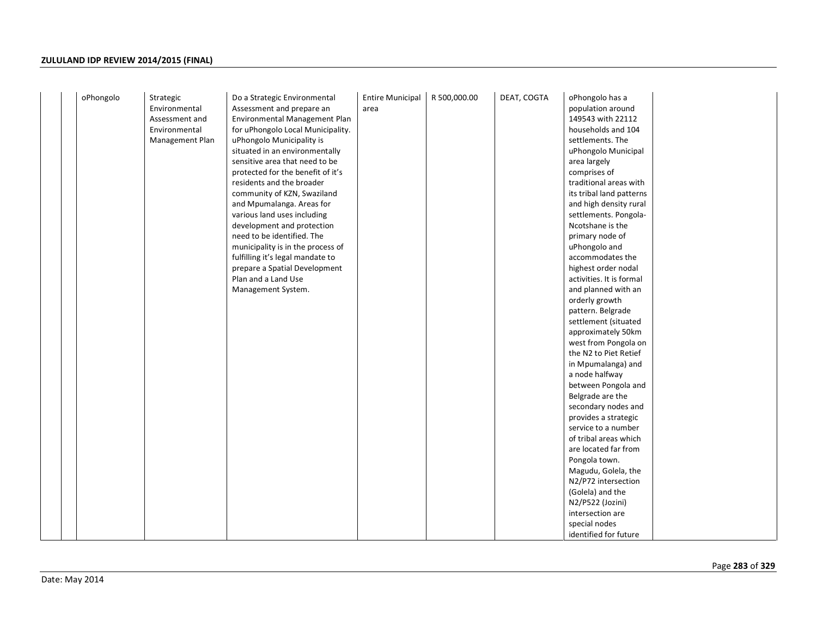| oPhongolo | Strategic       | Do a Strategic Environmental      | <b>Entire Municipal</b> | R 500,000.00 | DEAT, COGTA | oPhongolo has a          |
|-----------|-----------------|-----------------------------------|-------------------------|--------------|-------------|--------------------------|
|           | Environmental   | Assessment and prepare an         | area                    |              |             | population around        |
|           | Assessment and  | Environmental Management Plan     |                         |              |             | 149543 with 22112        |
|           | Environmental   | for uPhongolo Local Municipality. |                         |              |             | households and 104       |
|           | Management Plan | uPhongolo Municipality is         |                         |              |             | settlements. The         |
|           |                 | situated in an environmentally    |                         |              |             | uPhongolo Municipal      |
|           |                 | sensitive area that need to be    |                         |              |             | area largely             |
|           |                 | protected for the benefit of it's |                         |              |             | comprises of             |
|           |                 | residents and the broader         |                         |              |             | traditional areas with   |
|           |                 | community of KZN, Swaziland       |                         |              |             | its tribal land patterns |
|           |                 | and Mpumalanga. Areas for         |                         |              |             | and high density rural   |
|           |                 | various land uses including       |                         |              |             | settlements. Pongola-    |
|           |                 | development and protection        |                         |              |             | Ncotshane is the         |
|           |                 | need to be identified. The        |                         |              |             | primary node of          |
|           |                 | municipality is in the process of |                         |              |             | uPhongolo and            |
|           |                 | fulfilling it's legal mandate to  |                         |              |             | accommodates the         |
|           |                 | prepare a Spatial Development     |                         |              |             | highest order nodal      |
|           |                 | Plan and a Land Use               |                         |              |             | activities. It is formal |
|           |                 | Management System.                |                         |              |             | and planned with an      |
|           |                 |                                   |                         |              |             | orderly growth           |
|           |                 |                                   |                         |              |             | pattern. Belgrade        |
|           |                 |                                   |                         |              |             | settlement (situated     |
|           |                 |                                   |                         |              |             | approximately 50km       |
|           |                 |                                   |                         |              |             | west from Pongola on     |
|           |                 |                                   |                         |              |             | the N2 to Piet Retief    |
|           |                 |                                   |                         |              |             | in Mpumalanga) and       |
|           |                 |                                   |                         |              |             | a node halfway           |
|           |                 |                                   |                         |              |             | between Pongola and      |
|           |                 |                                   |                         |              |             | Belgrade are the         |
|           |                 |                                   |                         |              |             | secondary nodes and      |
|           |                 |                                   |                         |              |             | provides a strategic     |
|           |                 |                                   |                         |              |             | service to a number      |
|           |                 |                                   |                         |              |             | of tribal areas which    |
|           |                 |                                   |                         |              |             | are located far from     |
|           |                 |                                   |                         |              |             | Pongola town.            |
|           |                 |                                   |                         |              |             | Magudu, Golela, the      |
|           |                 |                                   |                         |              |             | N2/P72 intersection      |
|           |                 |                                   |                         |              |             | (Golela) and the         |
|           |                 |                                   |                         |              |             | N2/P522 (Jozini)         |
|           |                 |                                   |                         |              |             | intersection are         |
|           |                 |                                   |                         |              |             | special nodes            |
|           |                 |                                   |                         |              |             | identified for future    |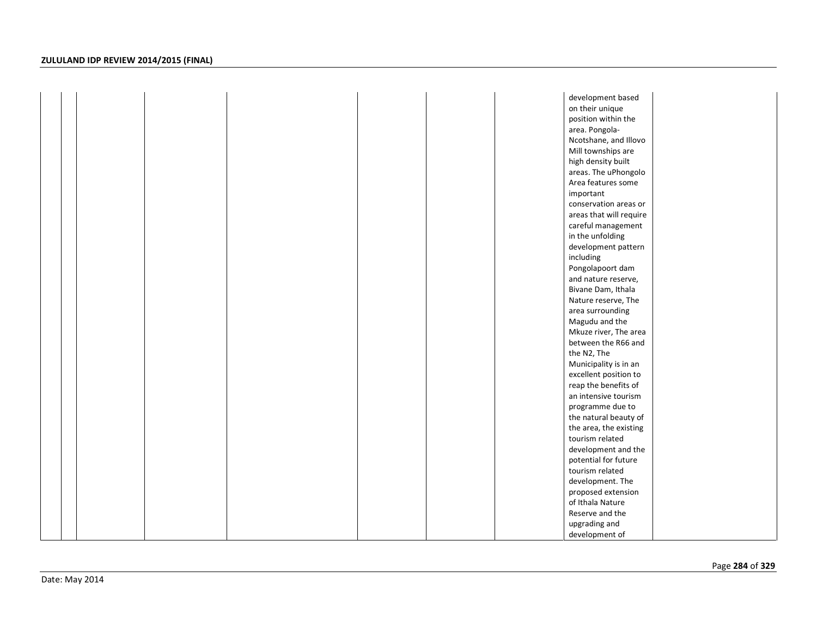|  |  |  | development based       |  |
|--|--|--|-------------------------|--|
|  |  |  | on their unique         |  |
|  |  |  | position within the     |  |
|  |  |  | area. Pongola-          |  |
|  |  |  | Ncotshane, and Illovo   |  |
|  |  |  | Mill townships are      |  |
|  |  |  | high density built      |  |
|  |  |  | areas. The uPhongolo    |  |
|  |  |  | Area features some      |  |
|  |  |  | important               |  |
|  |  |  | conservation areas or   |  |
|  |  |  | areas that will require |  |
|  |  |  | careful management      |  |
|  |  |  | in the unfolding        |  |
|  |  |  | development pattern     |  |
|  |  |  | including               |  |
|  |  |  | Pongolapoort dam        |  |
|  |  |  | and nature reserve,     |  |
|  |  |  | Bivane Dam, Ithala      |  |
|  |  |  | Nature reserve, The     |  |
|  |  |  | area surrounding        |  |
|  |  |  | Magudu and the          |  |
|  |  |  | Mkuze river, The area   |  |
|  |  |  | between the R66 and     |  |
|  |  |  | the N2, The             |  |
|  |  |  | Municipality is in an   |  |
|  |  |  | excellent position to   |  |
|  |  |  | reap the benefits of    |  |
|  |  |  | an intensive tourism    |  |
|  |  |  | programme due to        |  |
|  |  |  | the natural beauty of   |  |
|  |  |  | the area, the existing  |  |
|  |  |  | tourism related         |  |
|  |  |  | development and the     |  |
|  |  |  | potential for future    |  |
|  |  |  | tourism related         |  |
|  |  |  | development. The        |  |
|  |  |  | proposed extension      |  |
|  |  |  | of Ithala Nature        |  |
|  |  |  | Reserve and the         |  |
|  |  |  | upgrading and           |  |
|  |  |  | development of          |  |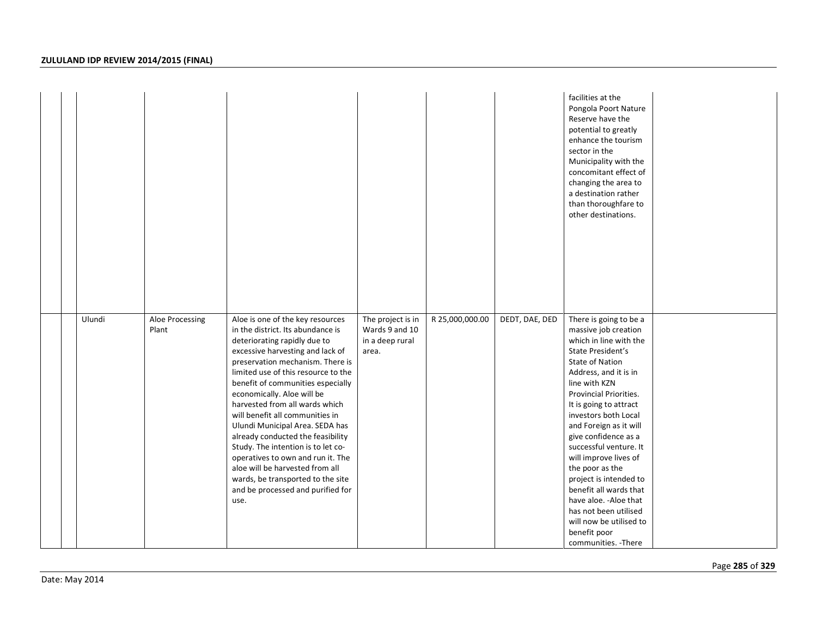|  |        |                          |                                                                                                                                                                                                                                                                                                                                                                                                                                                                                                                                                                                                                                      |                                                                 |                 |                | facilities at the<br>Pongola Poort Nature<br>Reserve have the<br>potential to greatly<br>enhance the tourism<br>sector in the<br>Municipality with the<br>concomitant effect of<br>changing the area to<br>a destination rather<br>than thoroughfare to<br>other destinations.                                                                                                                                                                                                                                                                  |  |
|--|--------|--------------------------|--------------------------------------------------------------------------------------------------------------------------------------------------------------------------------------------------------------------------------------------------------------------------------------------------------------------------------------------------------------------------------------------------------------------------------------------------------------------------------------------------------------------------------------------------------------------------------------------------------------------------------------|-----------------------------------------------------------------|-----------------|----------------|-------------------------------------------------------------------------------------------------------------------------------------------------------------------------------------------------------------------------------------------------------------------------------------------------------------------------------------------------------------------------------------------------------------------------------------------------------------------------------------------------------------------------------------------------|--|
|  | Ulundi | Aloe Processing<br>Plant | Aloe is one of the key resources<br>in the district. Its abundance is<br>deteriorating rapidly due to<br>excessive harvesting and lack of<br>preservation mechanism. There is<br>limited use of this resource to the<br>benefit of communities especially<br>economically. Aloe will be<br>harvested from all wards which<br>will benefit all communities in<br>Ulundi Municipal Area. SEDA has<br>already conducted the feasibility<br>Study. The intention is to let co-<br>operatives to own and run it. The<br>aloe will be harvested from all<br>wards, be transported to the site<br>and be processed and purified for<br>use. | The project is in<br>Wards 9 and 10<br>in a deep rural<br>area. | R 25,000,000.00 | DEDT, DAE, DED | There is going to be a<br>massive job creation<br>which in line with the<br>State President's<br><b>State of Nation</b><br>Address, and it is in<br>line with KZN<br>Provincial Priorities.<br>It is going to attract<br>investors both Local<br>and Foreign as it will<br>give confidence as a<br>successful venture. It<br>will improve lives of<br>the poor as the<br>project is intended to<br>benefit all wards that<br>have aloe. - Aloe that<br>has not been utilised<br>will now be utilised to<br>benefit poor<br>communities. - There |  |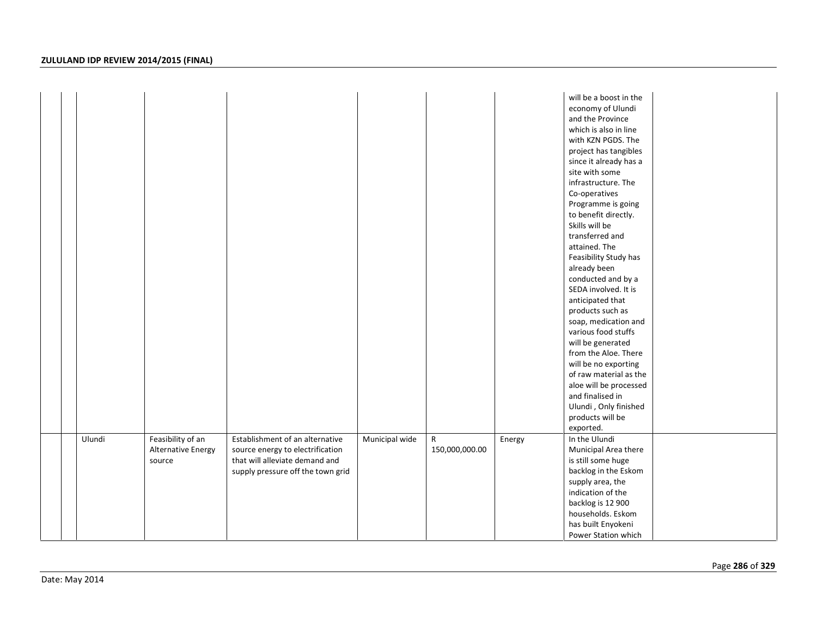|  |        |                    |                                   |                |                |        | will be a boost in the<br>economy of Ulundi |  |
|--|--------|--------------------|-----------------------------------|----------------|----------------|--------|---------------------------------------------|--|
|  |        |                    |                                   |                |                |        | and the Province                            |  |
|  |        |                    |                                   |                |                |        | which is also in line                       |  |
|  |        |                    |                                   |                |                |        | with KZN PGDS. The                          |  |
|  |        |                    |                                   |                |                |        | project has tangibles                       |  |
|  |        |                    |                                   |                |                |        | since it already has a                      |  |
|  |        |                    |                                   |                |                |        | site with some                              |  |
|  |        |                    |                                   |                |                |        | infrastructure. The                         |  |
|  |        |                    |                                   |                |                |        | Co-operatives                               |  |
|  |        |                    |                                   |                |                |        | Programme is going                          |  |
|  |        |                    |                                   |                |                |        | to benefit directly.                        |  |
|  |        |                    |                                   |                |                |        | Skills will be                              |  |
|  |        |                    |                                   |                |                |        | transferred and                             |  |
|  |        |                    |                                   |                |                |        | attained. The                               |  |
|  |        |                    |                                   |                |                |        | Feasibility Study has                       |  |
|  |        |                    |                                   |                |                |        | already been                                |  |
|  |        |                    |                                   |                |                |        | conducted and by a                          |  |
|  |        |                    |                                   |                |                |        | SEDA involved. It is                        |  |
|  |        |                    |                                   |                |                |        | anticipated that                            |  |
|  |        |                    |                                   |                |                |        | products such as                            |  |
|  |        |                    |                                   |                |                |        | soap, medication and                        |  |
|  |        |                    |                                   |                |                |        | various food stuffs                         |  |
|  |        |                    |                                   |                |                |        | will be generated                           |  |
|  |        |                    |                                   |                |                |        | from the Aloe. There                        |  |
|  |        |                    |                                   |                |                |        | will be no exporting                        |  |
|  |        |                    |                                   |                |                |        | of raw material as the                      |  |
|  |        |                    |                                   |                |                |        | aloe will be processed                      |  |
|  |        |                    |                                   |                |                |        | and finalised in                            |  |
|  |        |                    |                                   |                |                |        | Ulundi, Only finished                       |  |
|  |        |                    |                                   |                |                |        | products will be                            |  |
|  |        |                    |                                   |                |                |        | exported.                                   |  |
|  | Ulundi | Feasibility of an  | Establishment of an alternative   | Municipal wide | R              | Energy | In the Ulundi                               |  |
|  |        | Alternative Energy | source energy to electrification  |                | 150,000,000.00 |        | Municipal Area there                        |  |
|  |        | source             | that will alleviate demand and    |                |                |        | is still some huge                          |  |
|  |        |                    | supply pressure off the town grid |                |                |        | backlog in the Eskom                        |  |
|  |        |                    |                                   |                |                |        | supply area, the                            |  |
|  |        |                    |                                   |                |                |        | indication of the                           |  |
|  |        |                    |                                   |                |                |        | backlog is 12 900                           |  |
|  |        |                    |                                   |                |                |        | households. Eskom                           |  |
|  |        |                    |                                   |                |                |        | has built Enyokeni                          |  |
|  |        |                    |                                   |                |                |        | Power Station which                         |  |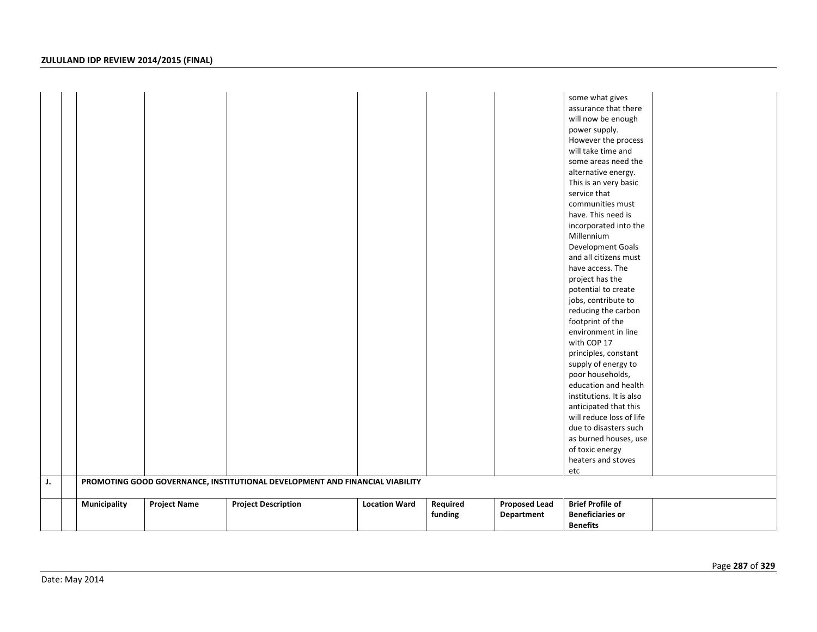| J. |              |                     | PROMOTING GOOD GOVERNANCE, INSTITUTIONAL DEVELOPMENT AND FINANCIAL VIABILITY |                      |          |                      | some what gives<br>assurance that there<br>will now be enough<br>power supply.<br>However the process<br>will take time and<br>some areas need the<br>alternative energy.<br>This is an very basic<br>service that<br>communities must<br>have. This need is<br>incorporated into the<br>Millennium<br>Development Goals<br>and all citizens must<br>have access. The<br>project has the<br>potential to create<br>jobs, contribute to<br>reducing the carbon<br>footprint of the<br>environment in line<br>with COP 17<br>principles, constant<br>supply of energy to<br>poor households,<br>education and health<br>institutions. It is also<br>anticipated that this<br>will reduce loss of life<br>due to disasters such<br>as burned houses, use<br>of toxic energy<br>heaters and stoves<br>etc |  |
|----|--------------|---------------------|------------------------------------------------------------------------------|----------------------|----------|----------------------|-------------------------------------------------------------------------------------------------------------------------------------------------------------------------------------------------------------------------------------------------------------------------------------------------------------------------------------------------------------------------------------------------------------------------------------------------------------------------------------------------------------------------------------------------------------------------------------------------------------------------------------------------------------------------------------------------------------------------------------------------------------------------------------------------------|--|
|    |              |                     |                                                                              |                      |          |                      |                                                                                                                                                                                                                                                                                                                                                                                                                                                                                                                                                                                                                                                                                                                                                                                                       |  |
|    | Municipality | <b>Project Name</b> | <b>Project Description</b>                                                   | <b>Location Ward</b> | Required | <b>Proposed Lead</b> | <b>Brief Profile of</b>                                                                                                                                                                                                                                                                                                                                                                                                                                                                                                                                                                                                                                                                                                                                                                               |  |
|    |              |                     |                                                                              |                      | funding  | Department           | <b>Beneficiaries or</b><br><b>Benefits</b>                                                                                                                                                                                                                                                                                                                                                                                                                                                                                                                                                                                                                                                                                                                                                            |  |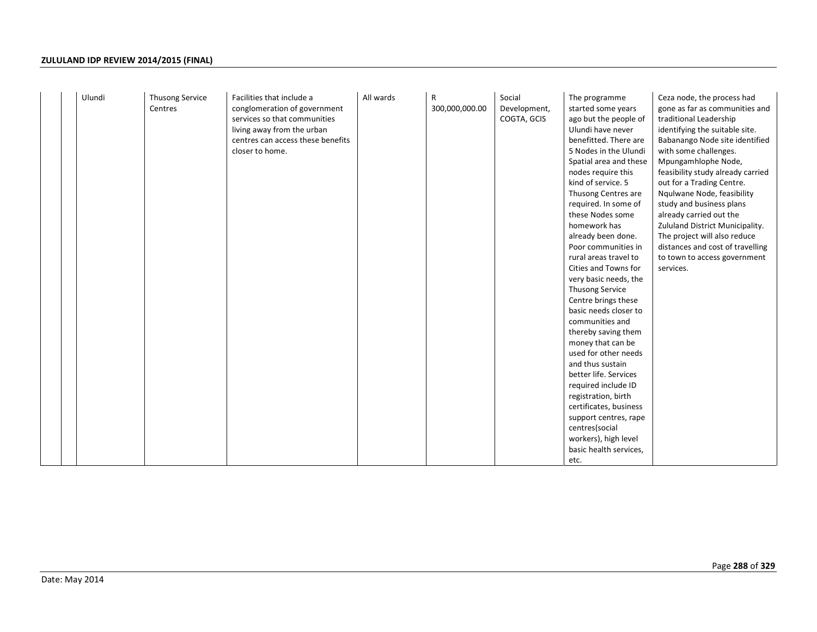|  | Ulundi | <b>Thusong Service</b><br>Centres | Facilities that include a<br>conglomeration of government<br>services so that communities<br>living away from the urban<br>centres can access these benefits<br>closer to home. | All wards | R<br>300,000,000.00 | Social<br>Development,<br>COGTA, GCIS | The programme<br>started some years<br>ago but the people of<br>Ulundi have never<br>benefitted. There are<br>5 Nodes in the Ulundi<br>Spatial area and these<br>nodes require this<br>kind of service. 5<br>Thusong Centres are<br>required. In some of<br>these Nodes some<br>homework has<br>already been done.<br>Poor communities in<br>rural areas travel to<br>Cities and Towns for<br>very basic needs, the<br>Thusong Service<br>Centre brings these<br>basic needs closer to<br>communities and<br>thereby saving them<br>money that can be<br>used for other needs<br>and thus sustain<br>better life. Services<br>required include ID<br>registration, birth<br>certificates, business<br>support centres, rape<br>centres(social<br>workers), high level<br>basic health services,<br>etc. | Ceza node, the process had<br>gone as far as communities and<br>traditional Leadership<br>identifying the suitable site.<br>Babanango Node site identified<br>with some challenges.<br>Mpungamhlophe Node,<br>feasibility study already carried<br>out for a Trading Centre.<br>Ngulwane Node, feasibility<br>study and business plans<br>already carried out the<br>Zululand District Municipality.<br>The project will also reduce<br>distances and cost of travelling<br>to town to access government<br>services. |
|--|--------|-----------------------------------|---------------------------------------------------------------------------------------------------------------------------------------------------------------------------------|-----------|---------------------|---------------------------------------|---------------------------------------------------------------------------------------------------------------------------------------------------------------------------------------------------------------------------------------------------------------------------------------------------------------------------------------------------------------------------------------------------------------------------------------------------------------------------------------------------------------------------------------------------------------------------------------------------------------------------------------------------------------------------------------------------------------------------------------------------------------------------------------------------------|-----------------------------------------------------------------------------------------------------------------------------------------------------------------------------------------------------------------------------------------------------------------------------------------------------------------------------------------------------------------------------------------------------------------------------------------------------------------------------------------------------------------------|
|--|--------|-----------------------------------|---------------------------------------------------------------------------------------------------------------------------------------------------------------------------------|-----------|---------------------|---------------------------------------|---------------------------------------------------------------------------------------------------------------------------------------------------------------------------------------------------------------------------------------------------------------------------------------------------------------------------------------------------------------------------------------------------------------------------------------------------------------------------------------------------------------------------------------------------------------------------------------------------------------------------------------------------------------------------------------------------------------------------------------------------------------------------------------------------------|-----------------------------------------------------------------------------------------------------------------------------------------------------------------------------------------------------------------------------------------------------------------------------------------------------------------------------------------------------------------------------------------------------------------------------------------------------------------------------------------------------------------------|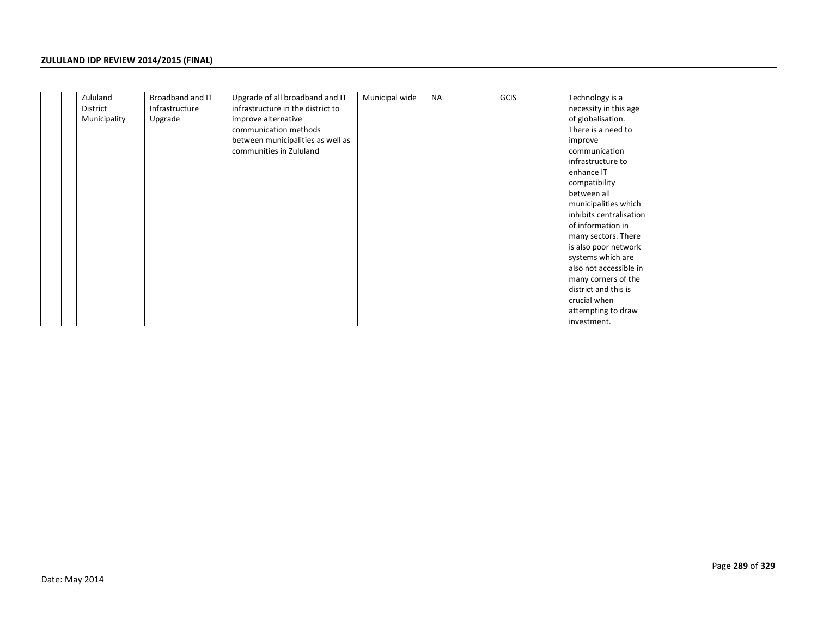|  | Zululand<br>District<br>Municipality | Broadband and IT<br>Infrastructure<br>Upgrade | Upgrade of all broadband and IT<br>infrastructure in the district to<br>improve alternative<br>communication methods<br>between municipalities as well as<br>communities in Zululand | Municipal wide | <b>NA</b> | GCIS | Technology is a<br>necessity in this age<br>of globalisation.<br>There is a need to<br>improve<br>communication<br>infrastructure to<br>enhance IT<br>compatibility<br>between all<br>municipalities which<br>inhibits centralisation<br>of information in<br>many sectors. There<br>is also poor network<br>systems which are<br>also not accessible in<br>many corners of the<br>district and this is<br>crucial when<br>attempting to draw<br>investment. |
|--|--------------------------------------|-----------------------------------------------|--------------------------------------------------------------------------------------------------------------------------------------------------------------------------------------|----------------|-----------|------|--------------------------------------------------------------------------------------------------------------------------------------------------------------------------------------------------------------------------------------------------------------------------------------------------------------------------------------------------------------------------------------------------------------------------------------------------------------|
|--|--------------------------------------|-----------------------------------------------|--------------------------------------------------------------------------------------------------------------------------------------------------------------------------------------|----------------|-----------|------|--------------------------------------------------------------------------------------------------------------------------------------------------------------------------------------------------------------------------------------------------------------------------------------------------------------------------------------------------------------------------------------------------------------------------------------------------------------|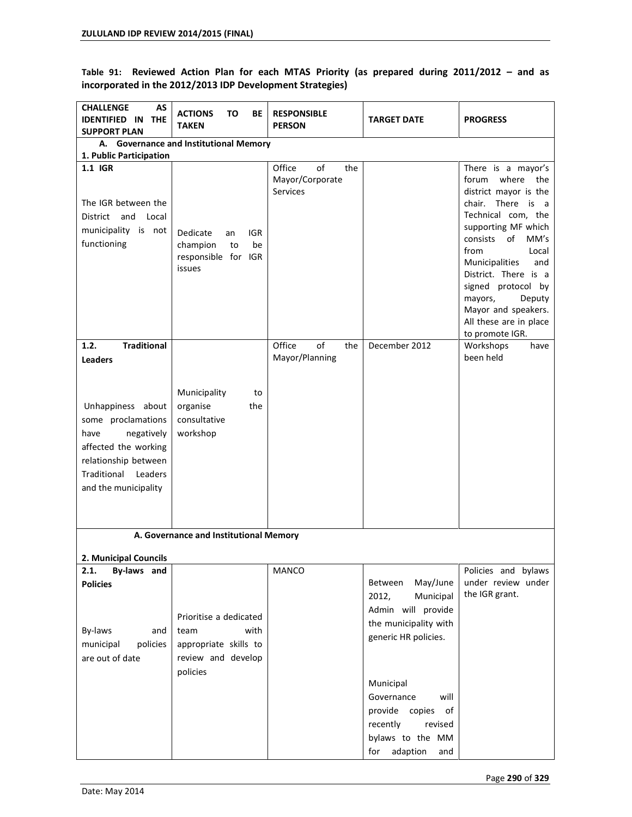Table 91: Reviewed Action Plan for each MTAS Priority (as prepared during 2011/2012 - and as **incorporated in the 2012/2013 IDP Development Strategies)** 

| <b>CHALLENGE</b><br>AS<br><b>IDENTIFIED IN</b><br><b>THE</b><br><b>SUPPORT PLAN</b>                                                                                               | <b>ACTIONS</b><br>ΤО<br>ВE<br><b>TAKEN</b>                                                        | <b>RESPONSIBLE</b><br><b>PERSON</b>                       | <b>TARGET DATE</b>                                                                                                            | <b>PROGRESS</b>                                                                                                                                                                                                                                                                                                                                     |
|-----------------------------------------------------------------------------------------------------------------------------------------------------------------------------------|---------------------------------------------------------------------------------------------------|-----------------------------------------------------------|-------------------------------------------------------------------------------------------------------------------------------|-----------------------------------------------------------------------------------------------------------------------------------------------------------------------------------------------------------------------------------------------------------------------------------------------------------------------------------------------------|
| 1. Public Participation                                                                                                                                                           | A. Governance and Institutional Memory                                                            |                                                           |                                                                                                                               |                                                                                                                                                                                                                                                                                                                                                     |
| 1.1 IGR<br>The IGR between the<br>and Local<br>District<br>municipality is not<br>functioning                                                                                     | Dedicate<br>IGR<br>an<br>champion<br>be<br>to<br>responsible for IGR<br>issues                    | Office<br>of<br>the<br>Mayor/Corporate<br><b>Services</b> |                                                                                                                               | There is a mayor's<br>where the<br>forum<br>district mayor is the<br>chair. There is<br>a a<br>Technical com, the<br>supporting MF which<br>of<br>consists<br>MM's<br>from<br>Local<br>Municipalities<br>and<br>District. There is a<br>signed protocol by<br>mayors,<br>Deputy<br>Mayor and speakers.<br>All these are in place<br>to promote IGR. |
| 1.2.<br><b>Traditional</b>                                                                                                                                                        |                                                                                                   | Office<br>of<br>the<br>Mayor/Planning                     | December 2012                                                                                                                 | Workshops<br>have<br>been held                                                                                                                                                                                                                                                                                                                      |
| <b>Leaders</b><br>Unhappiness about<br>some proclamations<br>have<br>negatively<br>affected the working<br>relationship between<br>Traditional<br>Leaders<br>and the municipality | Municipality<br>to<br>organise<br>the<br>consultative<br>workshop                                 |                                                           |                                                                                                                               |                                                                                                                                                                                                                                                                                                                                                     |
|                                                                                                                                                                                   | A. Governance and Institutional Memory                                                            |                                                           |                                                                                                                               |                                                                                                                                                                                                                                                                                                                                                     |
| 2. Municipal Councils                                                                                                                                                             |                                                                                                   |                                                           |                                                                                                                               |                                                                                                                                                                                                                                                                                                                                                     |
| 2.1.<br>By-laws and<br><b>Policies</b><br>By-laws<br>and<br>policies<br>municipal<br>are out of date                                                                              | Prioritise a dedicated<br>with<br>team<br>appropriate skills to<br>review and develop<br>policies | MANCO                                                     | May/June<br>Between<br>2012,<br>Municipal<br>Admin will provide<br>the municipality with<br>generic HR policies.<br>Municipal | Policies and bylaws<br>under review under<br>the IGR grant.                                                                                                                                                                                                                                                                                         |
|                                                                                                                                                                                   |                                                                                                   |                                                           | Governance<br>will<br>provide copies<br>of<br>recently<br>revised<br>bylaws to the MM<br>adaption<br>for<br>and               |                                                                                                                                                                                                                                                                                                                                                     |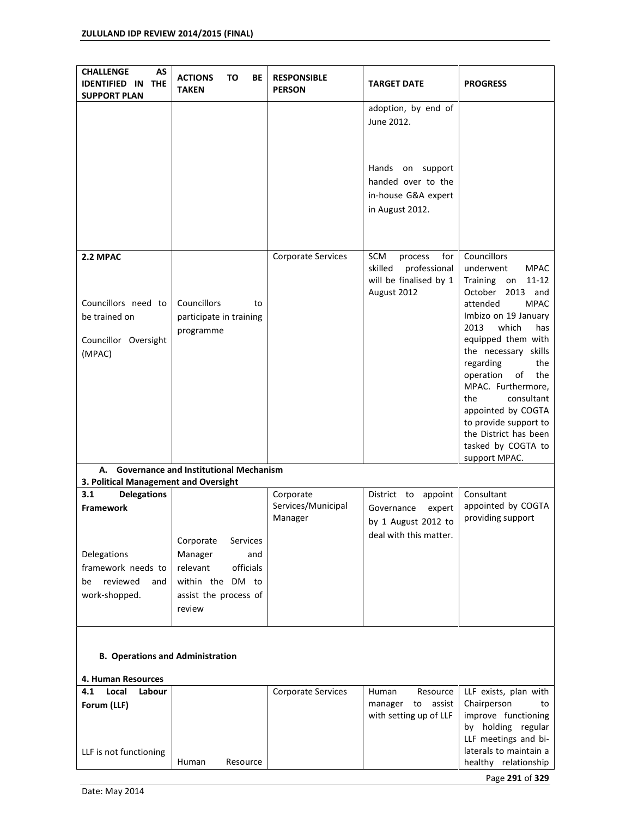| AS<br><b>CHALLENGE</b><br><b>IDENTIFIED IN</b><br><b>THE</b><br><b>SUPPORT PLAN</b> | то<br>BE<br><b>ACTIONS</b><br><b>TAKEN</b>                       | <b>RESPONSIBLE</b><br><b>PERSON</b> | <b>TARGET DATE</b>                                                                        | <b>PROGRESS</b>                                                                                                                                                                                                                                                                                                                                                                                                                       |
|-------------------------------------------------------------------------------------|------------------------------------------------------------------|-------------------------------------|-------------------------------------------------------------------------------------------|---------------------------------------------------------------------------------------------------------------------------------------------------------------------------------------------------------------------------------------------------------------------------------------------------------------------------------------------------------------------------------------------------------------------------------------|
|                                                                                     |                                                                  |                                     | adoption, by end of<br>June 2012.                                                         |                                                                                                                                                                                                                                                                                                                                                                                                                                       |
|                                                                                     |                                                                  |                                     | Hands on support<br>handed over to the<br>in-house G&A expert<br>in August 2012.          |                                                                                                                                                                                                                                                                                                                                                                                                                                       |
| 2.2 MPAC<br>Councillors need to<br>be trained on<br>Councillor Oversight<br>(MPAC)  | Councillors<br>to<br>participate in training<br>programme        | Corporate Services                  | SCM<br>for<br>process<br>professional<br>skilled<br>will be finalised by 1<br>August 2012 | <b>Councillors</b><br>underwent<br><b>MPAC</b><br>Training<br>$11 - 12$<br>on<br>October<br>2013 and<br>attended<br><b>MPAC</b><br>Imbizo on 19 January<br>2013<br>which<br>has<br>equipped them with<br>the necessary skills<br>regarding<br>the<br>operation<br>of<br>the<br>MPAC. Furthermore,<br>consultant<br>the<br>appointed by COGTA<br>to provide support to<br>the District has been<br>tasked by COGTA to<br>support MPAC. |
| А.                                                                                  | <b>Governance and Institutional Mechanism</b>                    |                                     |                                                                                           |                                                                                                                                                                                                                                                                                                                                                                                                                                       |
| 3. Political Management and Oversight<br>3.1<br><b>Delegations</b>                  |                                                                  | Corporate                           | District to<br>appoint                                                                    | Consultant                                                                                                                                                                                                                                                                                                                                                                                                                            |
| <b>Framework</b><br>Delegations<br>framework needs to                               | Corporate<br>Services<br>Manager<br>and<br>relevant<br>officials | Services/Municipal<br>Manager       | Governance<br>expert<br>by 1 August 2012 to<br>deal with this matter.                     | appointed by COGTA<br>providing support                                                                                                                                                                                                                                                                                                                                                                                               |
| reviewed<br>be<br>and<br>work-shopped.<br><b>B. Operations and Administration</b>   | within the DM to<br>assist the process of<br>review              |                                     |                                                                                           |                                                                                                                                                                                                                                                                                                                                                                                                                                       |
| 4. Human Resources                                                                  |                                                                  |                                     |                                                                                           |                                                                                                                                                                                                                                                                                                                                                                                                                                       |
| 4.1<br>Local<br>Labour<br>Forum (LLF)                                               |                                                                  | Corporate Services                  | Resource<br>Human<br>to<br>assist<br>manager<br>with setting up of LLF                    | LLF exists, plan with<br>Chairperson<br>to<br>improve functioning<br>by holding regular<br>LLF meetings and bi-                                                                                                                                                                                                                                                                                                                       |
| LLF is not functioning                                                              | Human<br>Resource                                                |                                     |                                                                                           | laterals to maintain a<br>healthy relationship                                                                                                                                                                                                                                                                                                                                                                                        |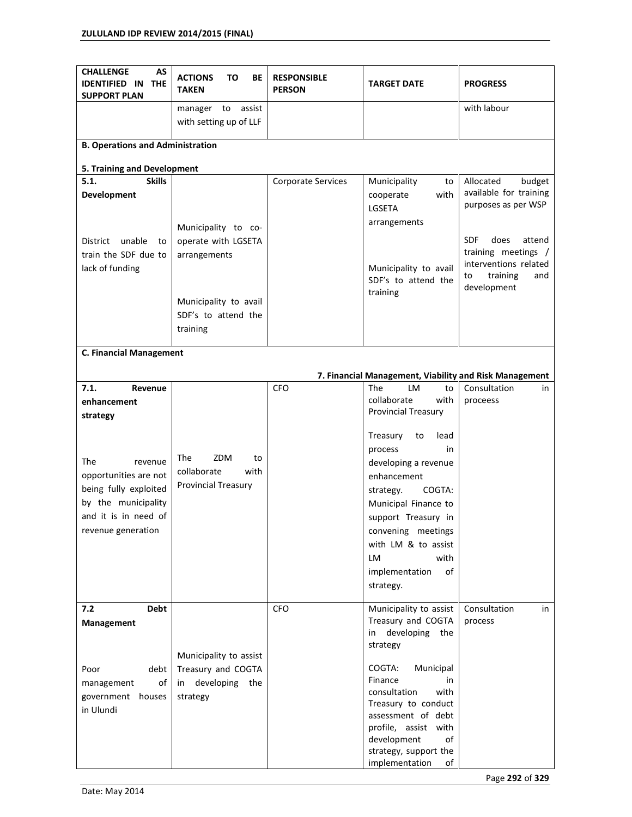| <b>CHALLENGE</b><br>AS<br><b>IDENTIFIED IN</b><br><b>THE</b><br><b>SUPPORT PLAN</b> | <b>ACTIONS</b><br>то<br>ВE<br><b>TAKEN</b>     | <b>RESPONSIBLE</b><br><b>PERSON</b> | <b>TARGET DATE</b>                                                               | <b>PROGRESS</b>                               |
|-------------------------------------------------------------------------------------|------------------------------------------------|-------------------------------------|----------------------------------------------------------------------------------|-----------------------------------------------|
|                                                                                     | assist<br>manager to<br>with setting up of LLF |                                     |                                                                                  | with labour                                   |
| <b>B. Operations and Administration</b>                                             |                                                |                                     |                                                                                  |                                               |
| 5. Training and Development                                                         |                                                |                                     |                                                                                  |                                               |
| <b>Skills</b><br>5.1.                                                               |                                                | <b>Corporate Services</b>           | Municipality<br>to                                                               | Allocated<br>budget                           |
| Development                                                                         |                                                |                                     | with<br>cooperate<br>LGSETA                                                      | available for training<br>purposes as per WSP |
|                                                                                     | Municipality to co-                            |                                     | arrangements                                                                     |                                               |
| unable<br>District<br>to                                                            | operate with LGSETA                            |                                     |                                                                                  | <b>SDF</b><br>does<br>attend                  |
| train the SDF due to                                                                | arrangements                                   |                                     |                                                                                  | training meetings /<br>interventions related  |
| lack of funding                                                                     |                                                |                                     | Municipality to avail<br>SDF's to attend the                                     | training<br>and<br>to<br>development          |
|                                                                                     | Municipality to avail                          |                                     | training                                                                         |                                               |
|                                                                                     | SDF's to attend the                            |                                     |                                                                                  |                                               |
|                                                                                     | training                                       |                                     |                                                                                  |                                               |
| <b>C. Financial Management</b>                                                      |                                                |                                     |                                                                                  |                                               |
|                                                                                     |                                                |                                     |                                                                                  |                                               |
| 7.1.<br>Revenue                                                                     |                                                | <b>CFO</b>                          | 7. Financial Management, Viability and Risk Management<br><b>The</b><br>LM<br>to | Consultation<br>in                            |
| enhancement                                                                         |                                                |                                     | collaborate<br>with                                                              | proceess                                      |
| strategy                                                                            |                                                |                                     | <b>Provincial Treasury</b>                                                       |                                               |
|                                                                                     |                                                |                                     | Treasury<br>to<br>lead                                                           |                                               |
|                                                                                     |                                                |                                     | process<br>in                                                                    |                                               |
| The<br>revenue                                                                      | <b>The</b><br>ZDM<br>to                        |                                     | developing a revenue                                                             |                                               |
| opportunities are not                                                               | collaborate<br>with                            |                                     | enhancement                                                                      |                                               |
| being fully exploited                                                               | <b>Provincial Treasury</b>                     |                                     | COGTA:<br>strategy.                                                              |                                               |
| by the municipality                                                                 |                                                |                                     | Municipal Finance to                                                             |                                               |
| and it is in need of                                                                |                                                |                                     | support Treasury in                                                              |                                               |
| revenue generation                                                                  |                                                |                                     | convening meetings<br>with LM & to assist                                        |                                               |
|                                                                                     |                                                |                                     | with<br>LM                                                                       |                                               |
|                                                                                     |                                                |                                     | implementation<br>of                                                             |                                               |
|                                                                                     |                                                |                                     | strategy.                                                                        |                                               |
| 7.2<br><b>Debt</b>                                                                  |                                                | <b>CFO</b>                          | Municipality to assist                                                           | Consultation<br>in                            |
| Management                                                                          |                                                |                                     | Treasury and COGTA                                                               | process                                       |
|                                                                                     |                                                |                                     | developing<br>the<br>in<br>strategy                                              |                                               |
| debt<br>Poor                                                                        | Municipality to assist<br>Treasury and COGTA   |                                     | COGTA:<br>Municipal                                                              |                                               |
| of<br>management                                                                    | developing<br>the<br>in                        |                                     | Finance<br>in                                                                    |                                               |
| government houses                                                                   | strategy                                       |                                     | consultation<br>with                                                             |                                               |
| in Ulundi                                                                           |                                                |                                     | Treasury to conduct<br>assessment of debt                                        |                                               |
|                                                                                     |                                                |                                     | profile, assist with                                                             |                                               |
|                                                                                     |                                                |                                     | development<br>of                                                                |                                               |
|                                                                                     |                                                |                                     | strategy, support the<br>implementation<br>of                                    |                                               |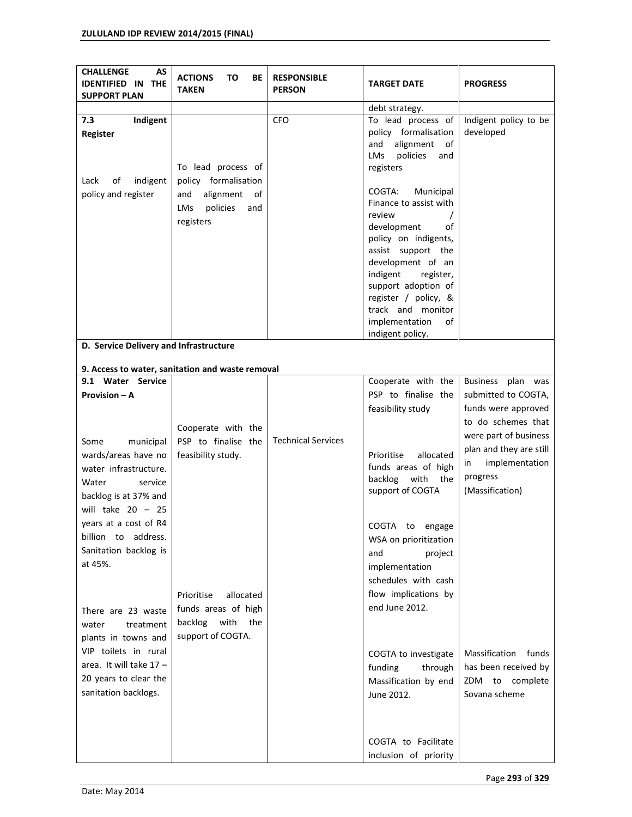| AS<br><b>CHALLENGE</b><br><b>IDENTIFIED IN THE</b><br><b>SUPPORT PLAN</b> | <b>ACTIONS</b><br>ΤО<br>ВE<br><b>TAKEN</b>       | <b>RESPONSIBLE</b><br><b>PERSON</b> | <b>TARGET DATE</b>                        | <b>PROGRESS</b>         |
|---------------------------------------------------------------------------|--------------------------------------------------|-------------------------------------|-------------------------------------------|-------------------------|
|                                                                           |                                                  |                                     | debt strategy.                            |                         |
| Indigent<br>7.3                                                           |                                                  | <b>CFO</b>                          | To lead process of                        | Indigent policy to be   |
| Register                                                                  |                                                  |                                     | policy formalisation                      | developed               |
|                                                                           |                                                  |                                     | alignment<br>and<br>of                    |                         |
|                                                                           |                                                  |                                     | policies<br>LMs<br>and                    |                         |
|                                                                           | To lead process of                               |                                     | registers                                 |                         |
| indigent<br>Lack<br>οf                                                    | policy formalisation                             |                                     |                                           |                         |
|                                                                           |                                                  |                                     | COGTA:<br>Municipal                       |                         |
| policy and register                                                       | alignment<br>and<br>of                           |                                     | Finance to assist with                    |                         |
|                                                                           | policies<br>LMs<br>and                           |                                     | review                                    |                         |
|                                                                           | registers                                        |                                     | development<br>οf                         |                         |
|                                                                           |                                                  |                                     | policy on indigents,                      |                         |
|                                                                           |                                                  |                                     | assist support the                        |                         |
|                                                                           |                                                  |                                     | development of an                         |                         |
|                                                                           |                                                  |                                     | indigent                                  |                         |
|                                                                           |                                                  |                                     | register,                                 |                         |
|                                                                           |                                                  |                                     | support adoption of                       |                         |
|                                                                           |                                                  |                                     | register / policy, &<br>track and monitor |                         |
|                                                                           |                                                  |                                     | implementation<br>of                      |                         |
|                                                                           |                                                  |                                     | indigent policy.                          |                         |
| D. Service Delivery and Infrastructure                                    |                                                  |                                     |                                           |                         |
|                                                                           |                                                  |                                     |                                           |                         |
|                                                                           | 9. Access to water, sanitation and waste removal |                                     |                                           |                         |
| 9.1 Water Service                                                         |                                                  |                                     | Cooperate with the                        | Business plan was       |
| Provision - A                                                             |                                                  |                                     | PSP to finalise the                       | submitted to COGTA,     |
|                                                                           |                                                  |                                     | feasibility study                         | funds were approved     |
|                                                                           |                                                  |                                     |                                           | to do schemes that      |
|                                                                           | Cooperate with the                               |                                     |                                           | were part of business   |
| Some<br>municipal                                                         | PSP to finalise the                              | <b>Technical Services</b>           |                                           | plan and they are still |
| wards/areas have no                                                       | feasibility study.                               |                                     | Prioritise<br>allocated                   |                         |
| water infrastructure.                                                     |                                                  |                                     | funds areas of high                       | implementation<br>in    |
| Water<br>service                                                          |                                                  |                                     | backlog<br>with<br>the                    | progress                |
| backlog is at 37% and                                                     |                                                  |                                     | support of COGTA                          | (Massification)         |
| will take $20 - 25$                                                       |                                                  |                                     |                                           |                         |
|                                                                           |                                                  |                                     |                                           |                         |
| years at a cost of R4                                                     |                                                  |                                     | COGTA to engage                           |                         |
| billion to address.                                                       |                                                  |                                     | WSA on prioritization                     |                         |
| Sanitation backlog is                                                     |                                                  |                                     | project<br>and                            |                         |
| at 45%.                                                                   |                                                  |                                     | implementation                            |                         |
|                                                                           |                                                  |                                     | schedules with cash                       |                         |
|                                                                           |                                                  |                                     | flow implications by                      |                         |
|                                                                           | Prioritise<br>allocated                          |                                     |                                           |                         |
| There are 23 waste                                                        | funds areas of high                              |                                     | end June 2012.                            |                         |
| treatment<br>water                                                        | with<br>backlog<br>the                           |                                     |                                           |                         |
| plants in towns and                                                       | support of COGTA.                                |                                     |                                           |                         |
| VIP toilets in rural                                                      |                                                  |                                     |                                           | Massification<br>funds  |
| area. It will take $17 -$                                                 |                                                  |                                     | COGTA to investigate                      |                         |
|                                                                           |                                                  |                                     | through<br>funding                        | has been received by    |
| 20 years to clear the                                                     |                                                  |                                     | Massification by end                      | ZDM to complete         |
| sanitation backlogs.                                                      |                                                  |                                     | June 2012.                                | Sovana scheme           |
|                                                                           |                                                  |                                     |                                           |                         |
|                                                                           |                                                  |                                     |                                           |                         |
|                                                                           |                                                  |                                     | COGTA to Facilitate                       |                         |
|                                                                           |                                                  |                                     | inclusion of priority                     |                         |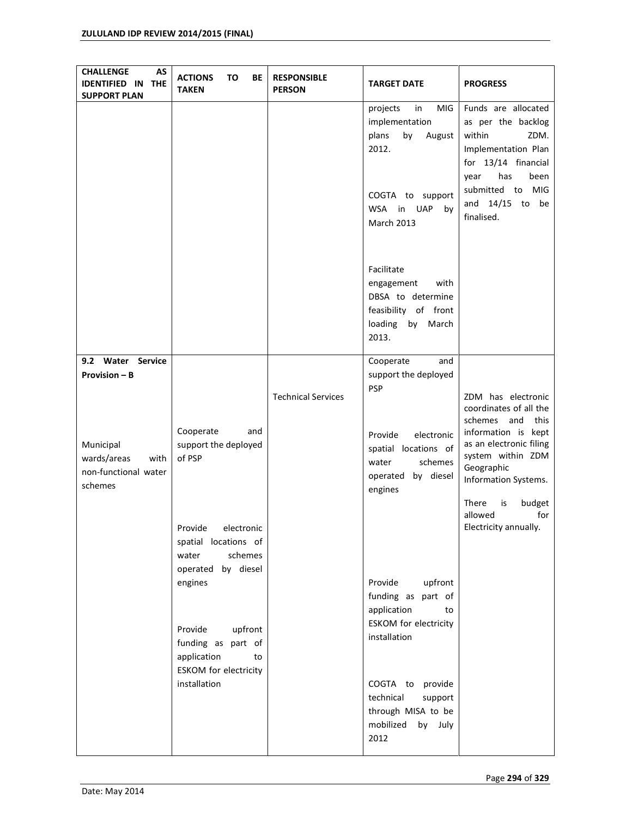| AS<br><b>CHALLENGE</b><br><b>IDENTIFIED IN THE</b><br><b>SUPPORT PLAN</b> | <b>ACTIONS</b><br>ΤО<br>BE<br><b>TAKEN</b>                                              | <b>RESPONSIBLE</b><br><b>PERSON</b> | <b>TARGET DATE</b>                                                                                                                        | <b>PROGRESS</b>                                                                                                                                                                         |
|---------------------------------------------------------------------------|-----------------------------------------------------------------------------------------|-------------------------------------|-------------------------------------------------------------------------------------------------------------------------------------------|-----------------------------------------------------------------------------------------------------------------------------------------------------------------------------------------|
|                                                                           |                                                                                         |                                     | MIG<br>projects<br>in<br>implementation<br>by<br>plans<br>August<br>2012.<br>COGTA to support<br>WSA in<br><b>UAP</b><br>by<br>March 2013 | Funds are allocated<br>as per the backlog<br>within<br>ZDM.<br>Implementation Plan<br>for 13/14 financial<br>has<br>been<br>year<br>submitted to MIG<br>and $14/15$ to be<br>finalised. |
|                                                                           |                                                                                         |                                     | Facilitate<br>engagement<br>with<br>DBSA to determine<br>feasibility of front<br>loading<br>by March<br>2013.                             |                                                                                                                                                                                         |
| 9.2 Water Service<br><b>Provision - B</b>                                 |                                                                                         | <b>Technical Services</b>           | Cooperate<br>and<br>support the deployed<br><b>PSP</b>                                                                                    | ZDM has electronic<br>coordinates of all the<br>schemes and<br>this                                                                                                                     |
| Municipal<br>wards/areas<br>with<br>non-functional water<br>schemes       | Cooperate<br>and<br>support the deployed<br>of PSP                                      |                                     | Provide<br>electronic<br>spatial locations of<br>water<br>schemes<br>operated by diesel<br>engines                                        | information is kept<br>as an electronic filing<br>system within ZDM<br>Geographic<br>Information Systems.<br>There<br>is<br>budget                                                      |
|                                                                           | Provide<br>electronic<br>spatial locations of<br>schemes<br>water<br>operated by diesel |                                     |                                                                                                                                           | allowed<br>for<br>Electricity annually.                                                                                                                                                 |
|                                                                           | engines<br>Provide<br>upfront                                                           |                                     | Provide<br>upfront<br>funding as part of<br>application<br>to<br><b>ESKOM</b> for electricity                                             |                                                                                                                                                                                         |
|                                                                           | funding as part of<br>application<br>to<br><b>ESKOM</b> for electricity                 |                                     | installation                                                                                                                              |                                                                                                                                                                                         |
|                                                                           | installation                                                                            |                                     | COGTA to provide<br>technical<br>support<br>through MISA to be<br>mobilized by July<br>2012                                               |                                                                                                                                                                                         |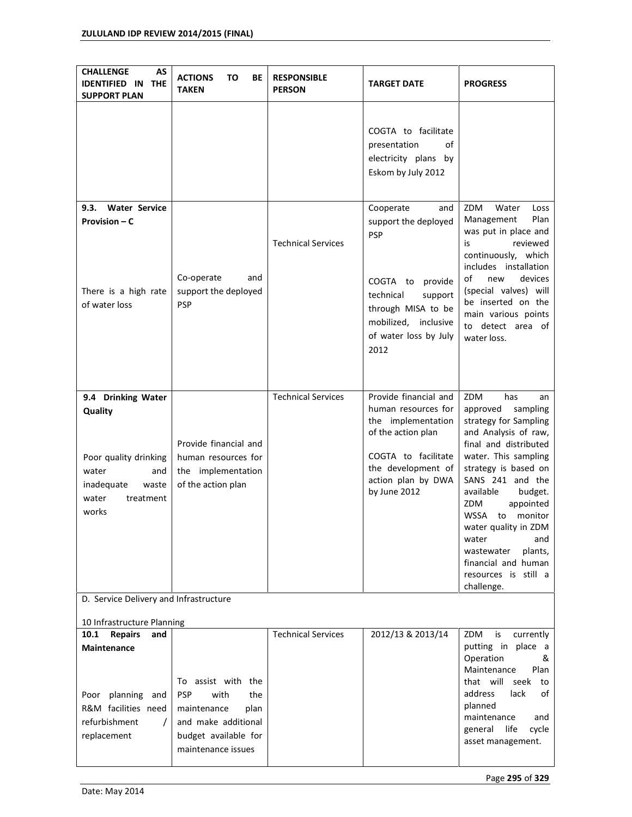| <b>CHALLENGE</b><br>AS<br><b>IDENTIFIED IN</b><br><b>THE</b><br><b>SUPPORT PLAN</b>                                          | <b>ACTIONS</b><br>то<br>ВE<br><b>TAKEN</b>                                                                                                  | <b>RESPONSIBLE</b><br><b>PERSON</b> | <b>TARGET DATE</b>                                                                                                                                                                                                                                                       | <b>PROGRESS</b>                                                                                                                                                                                                                                                                                                                                                                     |  |  |  |
|------------------------------------------------------------------------------------------------------------------------------|---------------------------------------------------------------------------------------------------------------------------------------------|-------------------------------------|--------------------------------------------------------------------------------------------------------------------------------------------------------------------------------------------------------------------------------------------------------------------------|-------------------------------------------------------------------------------------------------------------------------------------------------------------------------------------------------------------------------------------------------------------------------------------------------------------------------------------------------------------------------------------|--|--|--|
| <b>Water Service</b><br>9.3.<br>Provision – C<br>There is a high rate<br>of water loss                                       | Co-operate<br>and<br>support the deployed<br><b>PSP</b>                                                                                     | <b>Technical Services</b>           | COGTA to facilitate<br>presentation<br>of<br>electricity plans by<br>Eskom by July 2012<br>Cooperate<br>and<br>support the deployed<br>PSP<br>COGTA to<br>provide<br>technical<br>support<br>through MISA to be<br>mobilized, inclusive<br>of water loss by July<br>2012 | ZDM<br>Water<br>Loss<br>Plan<br>Management<br>was put in place and<br>reviewed<br>is<br>continuously, which<br>includes installation<br>of<br>devices<br>new<br>(special valves) will<br>be inserted on the<br>main various points<br>to detect area of<br>water loss.                                                                                                              |  |  |  |
| 9.4 Drinking Water<br>Quality<br>Poor quality drinking<br>water<br>and<br>inadequate<br>waste<br>water<br>treatment<br>works | Provide financial and<br>human resources for<br>the implementation<br>of the action plan                                                    | <b>Technical Services</b>           | Provide financial and<br>human resources for<br>the implementation<br>of the action plan<br>COGTA to facilitate<br>the development of<br>action plan by DWA<br>by June 2012                                                                                              | ZDM<br>has<br>an<br>approved<br>sampling<br>strategy for Sampling<br>and Analysis of raw,<br>final and distributed<br>water. This sampling<br>strategy is based on<br>SANS 241 and the<br>available<br>budget.<br>ZDM<br>appointed<br>WSSA to monitor<br>water quality in ZDM<br>water<br>and<br>plants,<br>wastewater<br>financial and human<br>resources is still a<br>challenge. |  |  |  |
| D. Service Delivery and Infrastructure                                                                                       |                                                                                                                                             |                                     |                                                                                                                                                                                                                                                                          |                                                                                                                                                                                                                                                                                                                                                                                     |  |  |  |
| 10 Infrastructure Planning<br><b>Repairs</b><br>10.1<br>and                                                                  |                                                                                                                                             | <b>Technical Services</b>           | 2012/13 & 2013/14                                                                                                                                                                                                                                                        | ZDM<br>currently<br>is                                                                                                                                                                                                                                                                                                                                                              |  |  |  |
| <b>Maintenance</b><br>Poor planning<br>and<br>R&M facilities need<br>refurbishment<br>$\prime$<br>replacement                | To assist with the<br><b>PSP</b><br>with<br>the<br>maintenance<br>plan<br>and make additional<br>budget available for<br>maintenance issues |                                     |                                                                                                                                                                                                                                                                          | putting in place a<br>Operation<br>&<br>Maintenance<br>Plan<br>that will<br>seek<br>to<br>address<br>lack<br>οf<br>planned<br>maintenance<br>and<br>life<br>cycle<br>general<br>asset management.                                                                                                                                                                                   |  |  |  |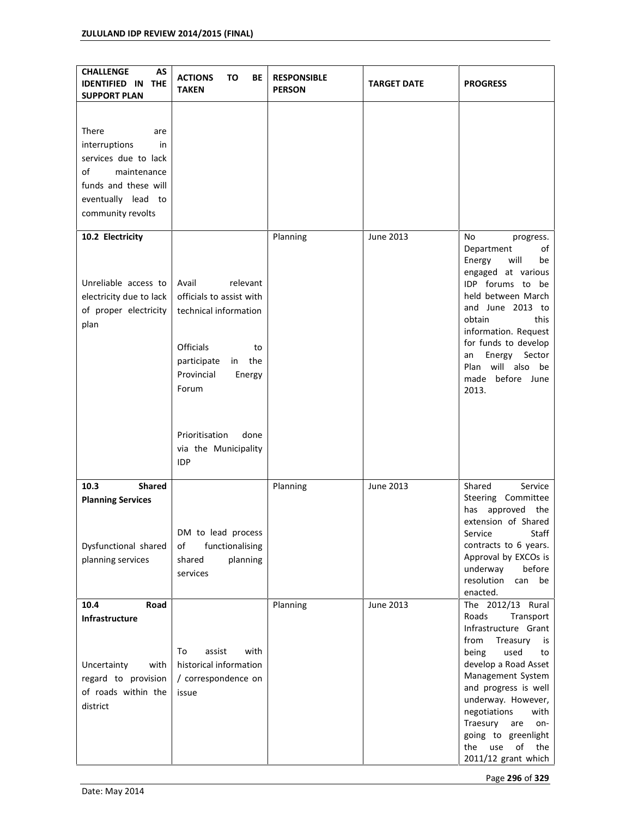| <b>CHALLENGE</b><br>AS<br><b>IDENTIFIED IN</b><br><b>THE</b><br><b>SUPPORT PLAN</b>                                                                 | <b>ACTIONS</b><br>то<br>ВE<br><b>TAKEN</b>                                          | <b>RESPONSIBLE</b><br><b>PERSON</b> | <b>TARGET DATE</b> | <b>PROGRESS</b>                                                                                                                                                                                                                                                  |
|-----------------------------------------------------------------------------------------------------------------------------------------------------|-------------------------------------------------------------------------------------|-------------------------------------|--------------------|------------------------------------------------------------------------------------------------------------------------------------------------------------------------------------------------------------------------------------------------------------------|
| There<br>are<br>interruptions<br>in<br>services due to lack<br>of<br>maintenance<br>funds and these will<br>eventually lead to<br>community revolts |                                                                                     |                                     |                    |                                                                                                                                                                                                                                                                  |
| 10.2 Electricity<br>Unreliable access to                                                                                                            | relevant<br>Avail                                                                   | Planning                            | June 2013          | No<br>progress.<br>Department<br>of<br>will<br>Energy<br>be<br>engaged at various<br>IDP forums to be                                                                                                                                                            |
| electricity due to lack<br>of proper electricity<br>plan                                                                                            | officials to assist with<br>technical information                                   |                                     |                    | held between March<br>and June 2013 to<br>obtain<br>this<br>information. Request<br>for funds to develop                                                                                                                                                         |
|                                                                                                                                                     | <b>Officials</b><br>to<br>the<br>participate<br>in<br>Provincial<br>Energy<br>Forum |                                     |                    | Energy<br>Sector<br>an<br>will also be<br>Plan<br>made before June<br>2013.                                                                                                                                                                                      |
|                                                                                                                                                     | Prioritisation<br>done<br>via the Municipality<br><b>IDP</b>                        |                                     |                    |                                                                                                                                                                                                                                                                  |
| <b>Shared</b><br>10.3<br><b>Planning Services</b>                                                                                                   |                                                                                     | Planning                            | June 2013          | Shared<br>Service<br>Steering Committee<br>approved<br>has<br>the<br>extension of Shared                                                                                                                                                                         |
| Dysfunctional shared<br>planning services                                                                                                           | DM to lead process<br>of<br>functionalising<br>planning<br>shared<br>services       |                                     |                    | Service<br>Staff<br>contracts to 6 years.<br>Approval by EXCOs is<br>underway<br>before<br>resolution<br>can<br>be<br>enacted.                                                                                                                                   |
| 10.4<br>Road<br>Infrastructure                                                                                                                      |                                                                                     | Planning                            | <b>June 2013</b>   | The 2012/13 Rural<br>Roads<br>Transport<br>Infrastructure Grant                                                                                                                                                                                                  |
| Uncertainty<br>with<br>regard to provision<br>of roads within the<br>district                                                                       | assist<br>with<br>To<br>historical information<br>/ correspondence on<br>issue      |                                     |                    | from<br>Treasury<br>is<br>being<br>used<br>to<br>develop a Road Asset<br>Management System<br>and progress is well<br>underway. However,<br>negotiations<br>with<br>Traesury<br>are<br>on-<br>going to greenlight<br>the<br>use<br>of the<br>2011/12 grant which |